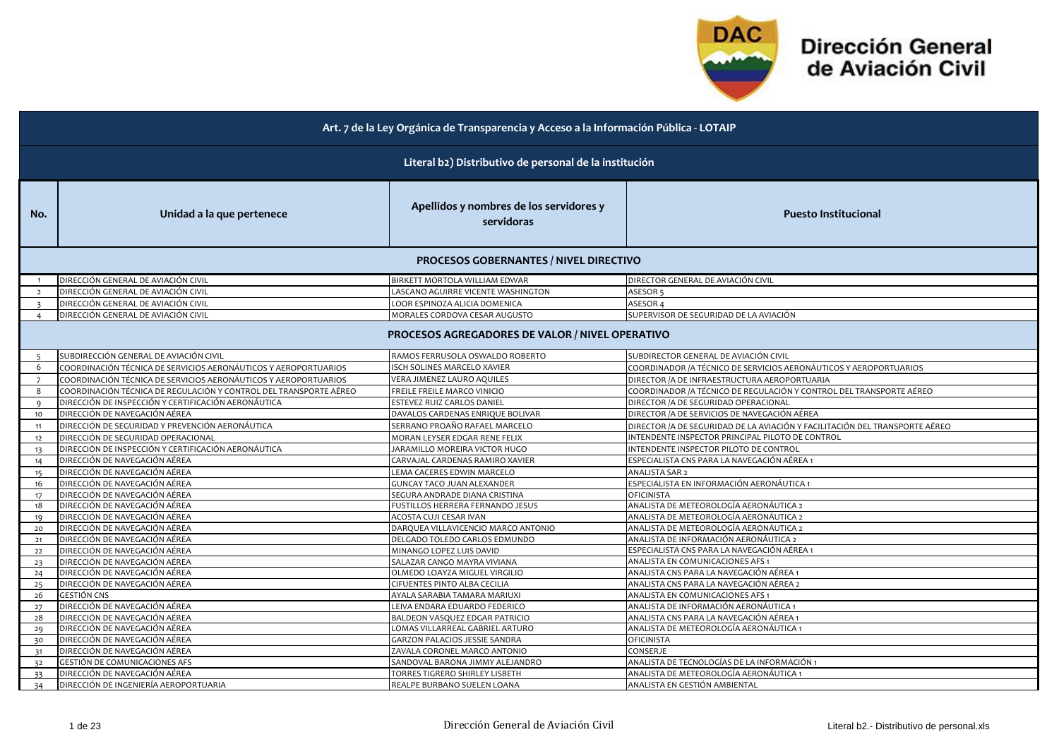

| Art. 7 de la Ley Orgánica de Transparencia y Acceso a la Información Pública - LOTAIP |                                                                   |                                                       |                                                                             |  |
|---------------------------------------------------------------------------------------|-------------------------------------------------------------------|-------------------------------------------------------|-----------------------------------------------------------------------------|--|
| Literal b2) Distributivo de personal de la institución                                |                                                                   |                                                       |                                                                             |  |
| No.                                                                                   | Unidad a la que pertenece                                         | Apellidos y nombres de los servidores y<br>servidoras | <b>Puesto Institucional</b>                                                 |  |
|                                                                                       | <b>PROCESOS GOBERNANTES / NIVEL DIRECTIVO</b>                     |                                                       |                                                                             |  |
|                                                                                       | DIRECCIÓN GENERAL DE AVIACIÓN CIVIL                               | BIRKETT MORTOLA WILLIAM EDWAR                         | DIRECTOR GENERAL DE AVIACIÓN CIVIL                                          |  |
| $\overline{2}$                                                                        | DIRECCIÓN GENERAL DE AVIACIÓN CIVIL                               | LASCANO AGUIRRE VICENTE WASHINGTON                    | ASESOR <sub>5</sub>                                                         |  |
| $\overline{\mathbf{3}}$                                                               | DIRECCIÓN GENERAL DE AVIACIÓN CIVIL                               | LOOR ESPINOZA ALICIA DOMENICA                         | ASESOR 4                                                                    |  |
|                                                                                       | DIRECCIÓN GENERAL DE AVIACIÓN CIVIL                               | MORALES CORDOVA CESAR AUGUSTO                         | SUPERVISOR DE SEGURIDAD DE LA AVIACIÓN                                      |  |
|                                                                                       | PROCESOS AGREGADORES DE VALOR / NIVEL OPERATIVO                   |                                                       |                                                                             |  |
|                                                                                       | SUBDIRECCIÓN GENERAL DE AVIACIÓN CIVIL                            | RAMOS FERRUSOLA OSWALDO ROBERTO                       | SUBDIRECTOR GENERAL DE AVIACIÓN CIVIL                                       |  |
| 6                                                                                     | COORDINACIÓN TÉCNICA DE SERVICIOS AERONÁUTICOS Y AEROPORTUARIOS   | ISCH SOLINES MARCELO XAVIER                           | COORDINADOR /A TÉCNICO DE SERVICIOS AERONÁUTICOS Y AEROPORTUARIOS           |  |
|                                                                                       | COORDINACIÓN TÉCNICA DE SERVICIOS AERONÁUTICOS Y AEROPORTUARIOS   | VERA JIMENEZ LAURO AQUILES                            | DIRECTOR / A DE INFRAESTRUCTURA AEROPORTUARIA                               |  |
| 8                                                                                     | COORDINACIÓN TÉCNICA DE REGULACIÓN Y CONTROL DEL TRANSPORTE AÉREO | FREILE FREILE MARCO VINICIO                           | COORDINADOR /A TÉCNICO DE REGULACIÓN Y CONTROL DEL TRANSPORTE AÉREO         |  |
| $\mathbf{q}$                                                                          | DIRECCIÓN DE INSPECCIÓN Y CERTIFICACIÓN AERONÁUTICA               | ESTEVEZ RUIZ CARLOS DANIEL                            | DIRECTOR / A DE SEGURIDAD OPERACIONAL                                       |  |
| 10                                                                                    | DIRECCIÓN DE NAVEGACIÓN AÉREA                                     | DAVALOS CARDENAS ENRIQUE BOLIVAR                      | DIRECTOR /A DE SERVICIOS DE NAVEGACIÓN AÉREA                                |  |
| 11                                                                                    | DIRECCIÓN DE SEGURIDAD Y PREVENCIÓN AERONÁUTICA                   | SERRANO PROAÑO RAFAEL MARCELO                         | DIRECTOR /A DE SEGURIDAD DE LA AVIACIÓN Y FACILITACIÓN DEL TRANSPORTE AÉREO |  |
| 12                                                                                    | DIRECCIÓN DE SEGURIDAD OPERACIONAL                                | MORAN LEYSER EDGAR RENE FELIX                         | INTENDENTE INSPECTOR PRINCIPAL PILOTO DE CONTROL                            |  |
| 13                                                                                    | DIRECCIÓN DE INSPECCIÓN Y CERTIFICACIÓN AERONÁUTICA               | JARAMILLO MOREIRA VICTOR HUGO                         | <b>INTENDENTE INSPECTOR PILOTO DE CONTROL</b>                               |  |
| 14                                                                                    | DIRECCIÓN DE NAVEGACIÓN AÉREA                                     | CARVAJAL CARDENAS RAMIRO XAVIER                       | ESPECIALISTA CNS PARA LA NAVEGACIÓN AÉREA 1                                 |  |
| 15                                                                                    | DIRECCIÓN DE NAVEGACIÓN AÉREA                                     | LEMA CACERES EDWIN MARCELO                            | ANALISTA SAR 2                                                              |  |
| 16                                                                                    | DIRECCIÓN DE NAVEGACIÓN AÉREA                                     | <b>GUNCAY TACO JUAN ALEXANDER</b>                     | ESPECIALISTA EN INFORMACIÓN AERONÁUTICA 1                                   |  |
| 17                                                                                    | DIRECCIÓN DE NAVEGACIÓN AÉREA                                     | SEGURA ANDRADE DIANA CRISTINA                         | <b>OFICINISTA</b>                                                           |  |
| 18                                                                                    | DIRECCIÓN DE NAVEGACIÓN AÉREA                                     | FUSTILLOS HERRERA FERNANDO JESUS                      | ANALISTA DE METEOROLOGÍA AERONÁUTICA 2                                      |  |
| 19                                                                                    | DIRECCIÓN DE NAVEGACIÓN AÉREA                                     | ACOSTA CUJI CESAR IVAN                                | ANALISTA DE METEOROLOGÍA AERONÁUTICA 2                                      |  |
| 20                                                                                    | DIRECCIÓN DE NAVEGACIÓN AÉREA                                     | DARQUEA VILLAVICENCIO MARCO ANTONIO                   | ANALISTA DE METEOROLOGÍA AERONÁUTICA 2                                      |  |
| 21                                                                                    | DIRECCIÓN DE NAVEGACIÓN AÉREA                                     | DELGADO TOLEDO CARLOS EDMUNDO                         | ANALISTA DE INFORMACIÓN AERONÁUTICA 2                                       |  |
| 22                                                                                    | DIRECCIÓN DE NAVEGACIÓN AÉREA                                     | MINANGO LOPEZ LUIS DAVID                              | ESPECIALISTA CNS PARA LA NAVEGACIÓN AÉREA 1                                 |  |
| 23                                                                                    | DIRECCIÓN DE NAVEGACIÓN AÉREA                                     | SALAZAR CANGO MAYRA VIVIANA                           | ANALISTA EN COMUNICACIONES AFS 1                                            |  |
| 24                                                                                    | DIRECCIÓN DE NAVEGACIÓN AÉREA                                     | OLMEDO LOAYZA MIGUEL VIRGILIO                         | ANALISTA CNS PARA LA NAVEGACIÓN AÉREA 1                                     |  |
| 25                                                                                    | DIRECCIÓN DE NAVEGACIÓN AÉREA                                     | CIFUENTES PINTO ALBA CECILIA                          | ANALISTA CNS PARA LA NAVEGACIÓN AÉREA 2                                     |  |
| 26                                                                                    | <b>GESTIÓN CNS</b>                                                | AYALA SARABIA TAMARA MARIUXI                          | ANALISTA EN COMUNICACIONES AFS 1                                            |  |
| 27                                                                                    | DIRECCIÓN DE NAVEGACIÓN AÉREA                                     | LEIVA ENDARA EDUARDO FEDERICO                         | ANALISTA DE INFORMACIÓN AERONÁUTICA 1                                       |  |
| 28                                                                                    | DIRECCIÓN DE NAVEGACIÓN AÉREA                                     | BALDEON VASQUEZ EDGAR PATRICIO                        | ANALISTA CNS PARA LA NAVEGACIÓN AÉREA 1                                     |  |
| 29                                                                                    | DIRECCIÓN DE NAVEGACIÓN AÉREA                                     | LOMAS VILLARREAL GABRIEL ARTURO                       | ANALISTA DE METEOROLOGÍA AERONÁUTICA 1                                      |  |
| 30                                                                                    | DIRECCIÓN DE NAVEGACIÓN AÉREA                                     | GARZON PALACIOS JESSIE SANDRA                         | <b>OFICINISTA</b>                                                           |  |
| 31                                                                                    | DIRECCIÓN DE NAVEGACIÓN AÉREA                                     | ZAVALA CORONEL MARCO ANTONIO                          | CONSERJE                                                                    |  |
| 32                                                                                    | GESTIÓN DE COMUNICACIONES AFS                                     | SANDOVAL BARONA JIMMY ALEJANDRO                       | ANALISTA DE TECNOLOGÍAS DE LA INFORMACIÓN 1                                 |  |
| 33                                                                                    | DIRECCIÓN DE NAVEGACIÓN AÉREA                                     | TORRES TIGRERO SHIRLEY LISBETH                        | ANALISTA DE METEOROLOGÍA AERONÁUTICA 1                                      |  |
| 34                                                                                    | DIRECCIÓN DE INGENIERÍA AEROPORTUARIA                             | REALPE BURBANO SUELEN LOANA                           | ANALISTA EN GESTIÓN AMBIENTAL                                               |  |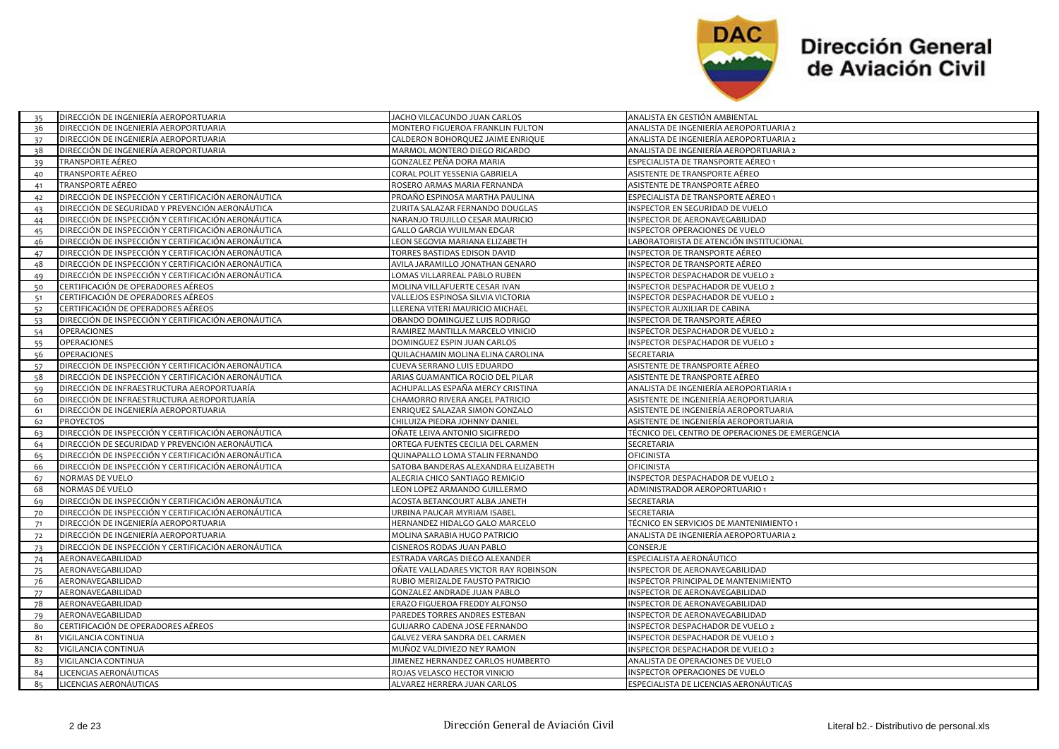

| 35 | DIRECCIÓN DE INGENIERÍA AEROPORTUARIA               | JACHO VILCACUNDO JUAN CARLOS         | ANALISTA EN GESTIÓN AMBIENTAL                   |
|----|-----------------------------------------------------|--------------------------------------|-------------------------------------------------|
| 36 | DIRECCIÓN DE INGENIERÍA AEROPORTUARIA               | MONTERO FIGUEROA FRANKLIN FULTON     | ANALISTA DE INGENIERÍA AEROPORTUARIA 2          |
| 37 | DIRECCIÓN DE INGENIERÍA AEROPORTUARIA               | CALDERON BOHORQUEZ JAIME ENRIQUE     | ANALISTA DE INGENIERÍA AEROPORTUARIA 2          |
| 38 | DIRECCIÓN DE INGENIERÍA AEROPORTUARIA               | MARMOL MONTERO DIEGO RICARDO         | ANALISTA DE INGENIERÍA AEROPORTUARIA 2          |
| 39 | <b>TRANSPORTE AÉREO</b>                             | GONZALEZ PEÑA DORA MARIA             | ESPECIALISTA DE TRANSPORTE AÉREO 1              |
| 40 | <b>TRANSPORTE AÉREO</b>                             | CORAL POLIT YESSENIA GABRIELA        | ASISTENTE DE TRANSPORTE AÉREO                   |
| 41 | <b>TRANSPORTE AÉREO</b>                             | ROSERO ARMAS MARIA FERNANDA          | ASISTENTE DE TRANSPORTE AÉREO                   |
| 42 | DIRECCIÓN DE INSPECCIÓN Y CERTIFICACIÓN AERONÁUTICA | PROAÑO ESPINOSA MARTHA PAULINA       | ESPECIALISTA DE TRANSPORTE AÉREO 1              |
| 43 | DIRECCIÓN DE SEGURIDAD Y PREVENCIÓN AERONÁUTICA     | ZURITA SALAZAR FERNANDO DOUGLAS      | INSPECTOR EN SEGURIDAD DE VUELO                 |
| 44 | DIRECCIÓN DE INSPECCIÓN Y CERTIFICACIÓN AERONÁUTICA | NARANJO TRUJILLO CESAR MAURICIO      | INSPECTOR DE AERONAVEGABILIDAD                  |
| 45 | DIRECCIÓN DE INSPECCIÓN Y CERTIFICACIÓN AERONÁUTICA | GALLO GARCIA WUILMAN EDGAR           | INSPECTOR OPERACIONES DE VUELO                  |
| 46 | DIRECCIÓN DE INSPECCIÓN Y CERTIFICACIÓN AERONÁUTICA | LEON SEGOVIA MARIANA ELIZABETH       | LABORATORISTA DE ATENCIÓN INSTITUCIONAL         |
| 47 | DIRECCIÓN DE INSPECCIÓN Y CERTIFICACIÓN AERONÁUTICA | TORRES BASTIDAS EDISON DAVID         | INSPECTOR DE TRANSPORTE AÉREO                   |
| 48 | DIRECCIÓN DE INSPECCIÓN Y CERTIFICACIÓN AERONÁUTICA | AVILA JARAMILLO JONATHAN GENARO      | INSPECTOR DE TRANSPORTE AÉREO                   |
| 49 | DIRECCIÓN DE INSPECCIÓN Y CERTIFICACIÓN AERONÁUTICA | LOMAS VILLARREAL PABLO RUBEN         | INSPECTOR DESPACHADOR DE VUELO 2                |
| 50 | CERTIFICACIÓN DE OPERADORES AÉREOS                  | MOLINA VILLAFUERTE CESAR IVAN        | INSPECTOR DESPACHADOR DE VUELO 2                |
| 51 | CERTIFICACIÓN DE OPERADORES AÉREOS                  | VALLEJOS ESPINOSA SILVIA VICTORIA    | <b>INSPECTOR DESPACHADOR DE VUELO 2</b>         |
| 52 | CERTIFICACIÓN DE OPERADORES AÉREOS                  | LLERENA VITERI MAURICIO MICHAEL      | INSPECTOR AUXILIAR DE CABINA                    |
| 53 | DIRECCIÓN DE INSPECCIÓN Y CERTIFICACIÓN AERONÁUTICA | OBANDO DOMINGUEZ LUIS RODRIGO        | INSPECTOR DE TRANSPORTE AÉREO                   |
| 54 | OPERACIONES                                         | RAMIREZ MANTILLA MARCELO VINICIO     | <b>INSPECTOR DESPACHADOR DE VUELO 2</b>         |
| 55 | <b>OPERACIONES</b>                                  | DOMINGUEZ ESPIN JUAN CARLOS          | INSPECTOR DESPACHADOR DE VUELO 2                |
| 56 | <b>OPERACIONES</b>                                  | QUILACHAMIN MOLINA ELINA CAROLINA    | <b>SECRETARIA</b>                               |
| 57 | DIRECCIÓN DE INSPECCIÓN Y CERTIFICACIÓN AERONÁUTICA | CUEVA SERRANO LUIS EDUARDO           | ASISTENTE DE TRANSPORTE AÉREO                   |
| 58 | DIRECCIÓN DE INSPECCIÓN Y CERTIFICACIÓN AERONÁUTICA | ARIAS GUAMANTICA ROCIO DEL PILAR     | ASISTENTE DE TRANSPORTE AÉREO                   |
| 59 | DIRECCIÓN DE INFRAESTRUCTURA AEROPORTUARÍA          | ACHUPALLAS ESPAÑA MERCY CRISTINA     | ANALISTA DE INGENIERÍA AEROPORTIARIA 1          |
| 60 | DIRECCIÓN DE INFRAESTRUCTURA AEROPORTUARÍA          | CHAMORRO RIVERA ANGEL PATRICIO       | ASISTENTE DE INGENIERÍA AEROPORTUARIA           |
| 61 | DIRECCIÓN DE INGENIERÍA AEROPORTUARIA               | ENRIQUEZ SALAZAR SIMON GONZALO       | ASISTENTE DE INGENIERÍA AEROPORTUARIA           |
| 62 | <b>PROYECTOS</b>                                    | CHILUIZA PIEDRA JOHNNY DANIEL        | ASISTENTE DE INGENIERÍA AEROPORTUARIA           |
| 63 | DIRECCIÓN DE INSPECCIÓN Y CERTIFICACIÓN AERONÁUTICA | OÑATE LEIVA ANTONIO SIGIFREDO        | TÉCNICO DEL CENTRO DE OPERACIONES DE EMERGENCIA |
| 64 | DIRECCIÓN DE SEGURIDAD Y PREVENCIÓN AERONÁUTICA     | ORTEGA FUENTES CECILIA DEL CARMEN    | SECRETARIA                                      |
| 65 | DIRECCIÓN DE INSPECCIÓN Y CERTIFICACIÓN AERONÁUTICA | QUINAPALLO LOMA STALIN FERNANDO      | OFICINISTA                                      |
| 66 | DIRECCIÓN DE INSPECCIÓN Y CERTIFICACIÓN AERONÁUTICA | SATOBA BANDERAS ALEXANDRA ELIZABETH  | <b>OFICINISTA</b>                               |
| 67 | <b>NORMAS DE VUELO</b>                              | ALEGRIA CHICO SANTIAGO REMIGIO       | INSPECTOR DESPACHADOR DE VUELO 2                |
| 68 | NORMAS DE VUELO                                     | LEON LOPEZ ARMANDO GUILLERMO         | ADMINISTRADOR AEROPORTUARIO 1                   |
| 69 | DIRECCIÓN DE INSPECCIÓN Y CERTIFICACIÓN AERONÁUTICA | ACOSTA BETANCOURT ALBA JANETH        | SECRETARIA                                      |
| 70 | DIRECCIÓN DE INSPECCIÓN Y CERTIFICACIÓN AERONÁUTICA | URBINA PAUCAR MYRIAM ISABEL          | SECRETARIA                                      |
| 71 | DIRECCIÓN DE INGENIERÍA AEROPORTUARIA               | HERNANDEZ HIDALGO GALO MARCELO       | TÉCNICO EN SERVICIOS DE MANTENIMIENTO 1         |
| 72 | DIRECCIÓN DE INGENIERÍA AEROPORTUARIA               | MOLINA SARABIA HUGO PATRICIO         | ANALISTA DE INGENIERÍA AEROPORTUARIA 2          |
| 73 | DIRECCIÓN DE INSPECCIÓN Y CERTIFICACIÓN AERONÁUTICA | <b>LISNEROS RODAS JUAN PABLO</b>     | CONSERJE                                        |
| 74 | AERONAVEGABILIDAD                                   | ESTRADA VARGAS DIEGO ALEXANDER       | ESPECIALISTA AERONÁUTICO                        |
| 75 | AERONAVEGABILIDAD                                   | OÑATE VALLADARES VICTOR RAY ROBINSON | INSPECTOR DE AERONAVEGABILIDAD                  |
| 76 | AERONAVEGABILIDAD                                   | RUBIO MERIZALDE FAUSTO PATRICIO      | INSPECTOR PRINCIPAL DE MANTENIMIENTO            |
| 77 | AERONAVEGABILIDAD                                   | GONZALEZ ANDRADE JUAN PABLO          | INSPECTOR DE AERONAVEGABILIDAD                  |
| 78 | AERONAVEGABILIDAD                                   | ERAZO FIGUEROA FREDDY ALFONSO        | INSPECTOR DE AERONAVEGABILIDAD                  |
| 79 | AERONAVEGABILIDAD                                   | PAREDES TORRES ANDRES ESTEBAN        | INSPECTOR DE AERONAVEGABILIDAD                  |
| 80 | CERTIFICACIÓN DE OPERADORES AÉREOS                  | GUIJARRO CADENA JOSE FERNANDO        | <b>INSPECTOR DESPACHADOR DE VUELO 2</b>         |
| 81 | VIGILANCIA CONTINUA                                 | GALVEZ VERA SANDRA DEL CARMEN        | <b>INSPECTOR DESPACHADOR DE VUELO 2</b>         |
| 82 | VIGILANCIA CONTINUA                                 | MUÑOZ VALDIVIEZO NEY RAMON           | <b>INSPECTOR DESPACHADOR DE VUELO 2</b>         |
| 83 | VIGILANCIA CONTINUA                                 | IIMENEZ HERNANDEZ CARLOS HUMBERTO    | ANALISTA DE OPERACIONES DE VUELO                |
| 84 | LICENCIAS AERONÁUTICAS                              | ROJAS VELASCO HECTOR VINICIO         | INSPECTOR OPERACIONES DE VUELO                  |
| 85 | LICENCIAS AERONÁUTICAS                              | ALVAREZ HERRERA JUAN CARLOS          | ESPECIALISTA DE LICENCIAS AERONÁUTICAS          |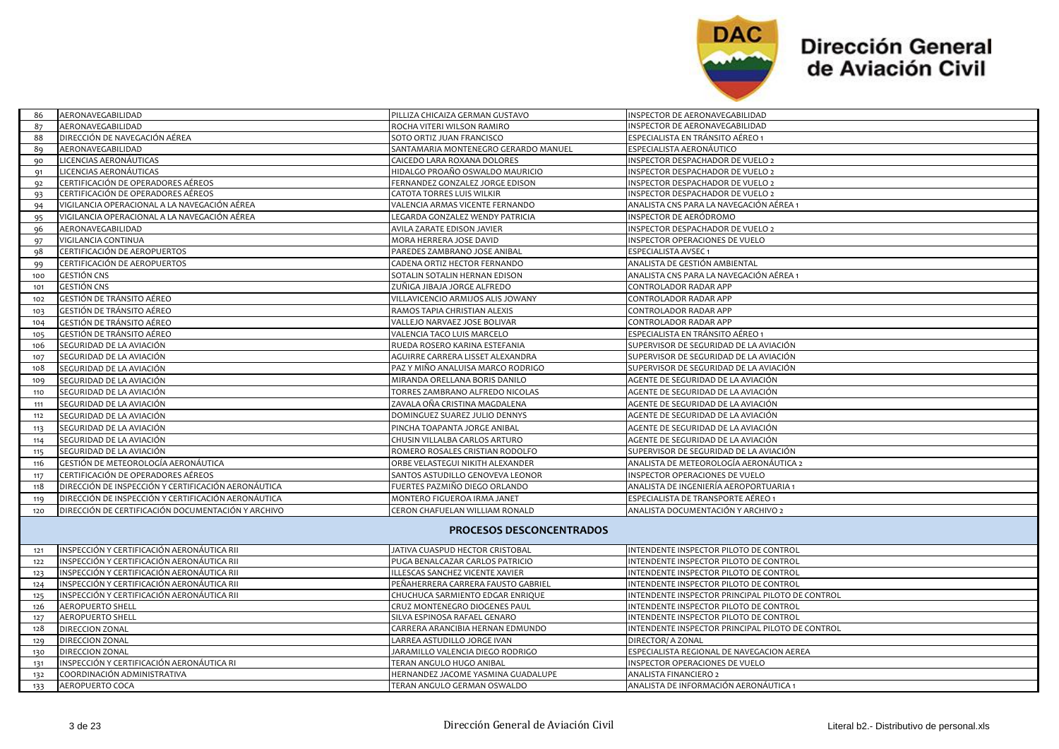

| 86         | AERONAVEGABILIDAD                                                                        | PILLIZA CHICAIZA GERMAN GUSTAVO      | INSPECTOR DE AERONAVEGABILIDAD                                                   |
|------------|------------------------------------------------------------------------------------------|--------------------------------------|----------------------------------------------------------------------------------|
| 87         | AERONAVEGABILIDAD                                                                        | ROCHA VITERI WILSON RAMIRO           | INSPECTOR DE AERONAVEGABILIDAD                                                   |
| 88         | DIRECCIÓN DE NAVEGACIÓN AÉREA                                                            | SOTO ORTIZ JUAN FRANCISCO            | ESPECIALISTA EN TRÁNSITO AÉREO 1                                                 |
| 89         | AERONAVEGABILIDAD                                                                        | SANTAMARIA MONTENEGRO GERARDO MANUEL | ESPECIALISTA AERONÁUTICO                                                         |
| 90         | LICENCIAS AERONÁUTICAS                                                                   | CAICEDO LARA ROXANA DOLORES          | INSPECTOR DESPACHADOR DE VUELO 2                                                 |
| 91         | LICENCIAS AERONÁUTICAS                                                                   | HIDALGO PROAÑO OSWALDO MAURICIO      | NSPECTOR DESPACHADOR DE VUELO 2                                                  |
| 92         | CERTIFICACIÓN DE OPERADORES AÉREOS                                                       | FERNANDEZ GONZALEZ JORGE EDISON      | <b>INSPECTOR DESPACHADOR DE VUELO 2</b>                                          |
| 93         | CERTIFICACIÓN DE OPERADORES AÉREOS                                                       | CATOTA TORRES LUIS WILKIR            | NSPECTOR DESPACHADOR DE VUELO 2                                                  |
| 94         | VIGILANCIA OPERACIONAL A LA NAVEGACIÓN AÉREA                                             | VALENCIA ARMAS VICENTE FERNANDO      | ANALISTA CNS PARA LA NAVEGACIÓN AÉREA 1                                          |
| 95         | VIGILANCIA OPERACIONAL A LA NAVEGACIÓN AÉREA                                             | LEGARDA GONZALEZ WENDY PATRICIA      | INSPECTOR DE AERÓDROMO                                                           |
| 96         | AERONAVEGABILIDAD                                                                        | AVILA ZARATE EDISON JAVIER           | <b>INSPECTOR DESPACHADOR DE VUELO 2</b>                                          |
| 97         | VIGILANCIA CONTINUA                                                                      | MORA HERRERA JOSE DAVID              | INSPECTOR OPERACIONES DE VUELO                                                   |
| 98         | CERTIFICACIÓN DE AEROPUERTOS                                                             | PAREDES ZAMBRANO JOSE ANIBAL         | ESPECIALISTA AVSEC 1                                                             |
| 99         | CERTIFICACIÓN DE AEROPUERTOS                                                             | CADENA ORTIZ HECTOR FERNANDO         | ANALISTA DE GESTIÓN AMBIENTAL                                                    |
| 100        | GESTIÓN CNS                                                                              | SOTALIN SOTALIN HERNAN EDISON        | ANALISTA CNS PARA LA NAVEGACIÓN AÉREA 1                                          |
| 101        | GESTIÓN CNS                                                                              | ZUÑIGA JIBAJA JORGE ALFREDO          | CONTROLADOR RADAR APP                                                            |
| 102        | GESTIÓN DE TRÁNSITO AÉREO                                                                | VILLAVICENCIO ARMIJOS ALIS JOWANY    | <b>CONTROLADOR RADAR APP</b>                                                     |
| 103        | GESTIÓN DE TRÁNSITO AÉREO                                                                | RAMOS TAPIA CHRISTIAN ALEXIS         | CONTROLADOR RADAR APP                                                            |
| 104        | GESTIÓN DE TRÁNSITO AÉREO                                                                | VALLEJO NARVAEZ JOSE BOLIVAR         | CONTROLADOR RADAR APP                                                            |
| 105        | GESTIÓN DE TRÁNSITO AÉREO                                                                | VALENCIA TACO LUIS MARCELO           | ESPECIALISTA EN TRÁNSITO AÉREO 1                                                 |
| 106        | SEGURIDAD DE LA AVIACIÓN                                                                 | RUEDA ROSERO KARINA ESTEFANIA        | SUPERVISOR DE SEGURIDAD DE LA AVIACIÓN                                           |
| 107        | SEGURIDAD DE LA AVIACIÓN                                                                 | AGUIRRE CARRERA LISSET ALEXANDRA     | SUPERVISOR DE SEGURIDAD DE LA AVIACIÓN                                           |
| 108        | SEGURIDAD DE LA AVIACIÓN                                                                 | PAZ Y MIÑO ANALUISA MARCO RODRIGO    | SUPERVISOR DE SEGURIDAD DE LA AVIACIÓN                                           |
| 109        | SEGURIDAD DE LA AVIACIÓN                                                                 | MIRANDA ORELLANA BORIS DANILO        | AGENTE DE SEGURIDAD DE LA AVIACIÓN                                               |
| 110        | SEGURIDAD DE LA AVIACIÓN                                                                 | TORRES ZAMBRANO ALFREDO NICOLAS      | AGENTE DE SEGURIDAD DE LA AVIACIÓN                                               |
| 111        | SEGURIDAD DE LA AVIACIÓN                                                                 | ZAVALA OÑA CRISTINA MAGDALENA        | AGENTE DE SEGURIDAD DE LA AVIACIÓN                                               |
| 112        | SEGURIDAD DE LA AVIACIÓN                                                                 | DOMINGUEZ SUAREZ JULIO DENNYS        | AGENTE DE SEGURIDAD DE LA AVIACIÓN                                               |
| 113        | SEGURIDAD DE LA AVIACIÓN                                                                 | PINCHA TOAPANTA JORGE ANIBAL         | AGENTE DE SEGURIDAD DE LA AVIACIÓN                                               |
| 114        | SEGURIDAD DE LA AVIACIÓN                                                                 | CHUSIN VILLALBA CARLOS ARTURO        | AGENTE DE SEGURIDAD DE LA AVIACIÓN                                               |
| 115        | SEGURIDAD DE LA AVIACIÓN                                                                 | ROMERO ROSALES CRISTIAN RODOLFO      | SUPERVISOR DE SEGURIDAD DE LA AVIACIÓN                                           |
| 116        | GESTIÓN DE METEOROLOGÍA AERONÁUTICA                                                      | ORBE VELASTEGUI NIKITH ALEXANDER     | ANALISTA DE METEOROLOGÍA AERONÁUTICA 2                                           |
| 117        | CERTIFICACIÓN DE OPERADORES AÉREOS                                                       | SANTOS ASTUDILLO GENOVEVA LEONOR     | INSPECTOR OPERACIONES DE VUELO                                                   |
| 118        | DIRECCIÓN DE INSPECCIÓN Y CERTIFICACIÓN AERONÁUTICA                                      | FUERTES PAZMIÑO DIEGO ORLANDO        | ANALISTA DE INGENIERÍA AEROPORTUARIA 1                                           |
| 119        | DIRECCIÓN DE INSPECCIÓN Y CERTIFICACIÓN AERONÁUTICA                                      | MONTERO FIGUEROA IRMA JANET          | ESPECIALISTA DE TRANSPORTE AÉREO 1                                               |
| 120        | DIRECCIÓN DE CERTIFICACIÓN DOCUMENTACIÓN Y ARCHIVO                                       | CERON CHAFUELAN WILLIAM RONALD       | ANALISTA DOCUMENTACIÓN Y ARCHIVO 2                                               |
|            |                                                                                          | <b>PROCESOS DESCONCENTRADOS</b>      |                                                                                  |
|            |                                                                                          | JATIVA CUASPUD HECTOR CRISTOBAL      |                                                                                  |
| 121        | INSPECCIÓN Y CERTIFICACIÓN AERONÁUTICA RII<br>INSPECCIÓN Y CERTIFICACIÓN AERONÁUTICA RII | PUGA BENALCAZAR CARLOS PATRICIO      | INTENDENTE INSPECTOR PILOTO DE CONTROL<br>INTENDENTE INSPECTOR PILOTO DE CONTROL |
| 122<br>123 | INSPECCIÓN Y CERTIFICACIÓN AERONÁUTICA RII                                               | ILLESCAS SANCHEZ VICENTE XAVIER      | INTENDENTE INSPECTOR PILOTO DE CONTROL                                           |
| 124        | INSPECCIÓN Y CERTIFICACIÓN AERONÁUTICA RII                                               | PEÑAHERRERA CARRERA FAUSTO GABRIEL   | NTENDENTE INSPECTOR PILOTO DE CONTROL                                            |
| 125        | NSPECCIÓN Y CERTIFICACIÓN AERONÁUTICA RII                                                | CHUCHUCA SARMIENTO EDGAR ENRIQUE     | INTENDENTE INSPECTOR PRINCIPAL PILOTO DE CONTROL                                 |
| 126        | <b>AEROPUERTO SHELL</b>                                                                  | CRUZ MONTENEGRO DIOGENES PAUL        | INTENDENTE INSPECTOR PILOTO DE CONTROL                                           |
| 127        | <b>AEROPUERTO SHELL</b>                                                                  | SILVA ESPINOSA RAFAEL GENARO         | INTENDENTE INSPECTOR PILOTO DE CONTROL                                           |
| 128        | DIRECCION ZONAL                                                                          | CARRERA ARANCIBIA HERNAN EDMUNDO     | INTENDENTE INSPECTOR PRINCIPAL PILOTO DE CONTROL                                 |
| 129        | DIRECCION ZONAL                                                                          | LARREA ASTUDILLO JORGE IVAN          | DIRECTOR/ A ZONAL                                                                |
| 130        | DIRECCION ZONAL                                                                          | JARAMILLO VALENCIA DIEGO RODRIGO     | ESPECIALISTA REGIONAL DE NAVEGACION AEREA                                        |
| 131        | INSPECCIÓN Y CERTIFICACIÓN AERONÁUTICA RI                                                | TERAN ANGULO HUGO ANIBAL             | INSPECTOR OPERACIONES DE VUELO                                                   |
| 132        | COORDINACIÓN ADMINISTRATIVA                                                              | HERNANDEZ JACOME YASMINA GUADALUPE   | ANALISTA FINANCIERO 2                                                            |
| 133        | <b>AEROPUERTO COCA</b>                                                                   | TERAN ANGULO GERMAN OSWALDO          | ANALISTA DE INFORMACIÓN AERONÁUTICA 1                                            |
|            |                                                                                          |                                      |                                                                                  |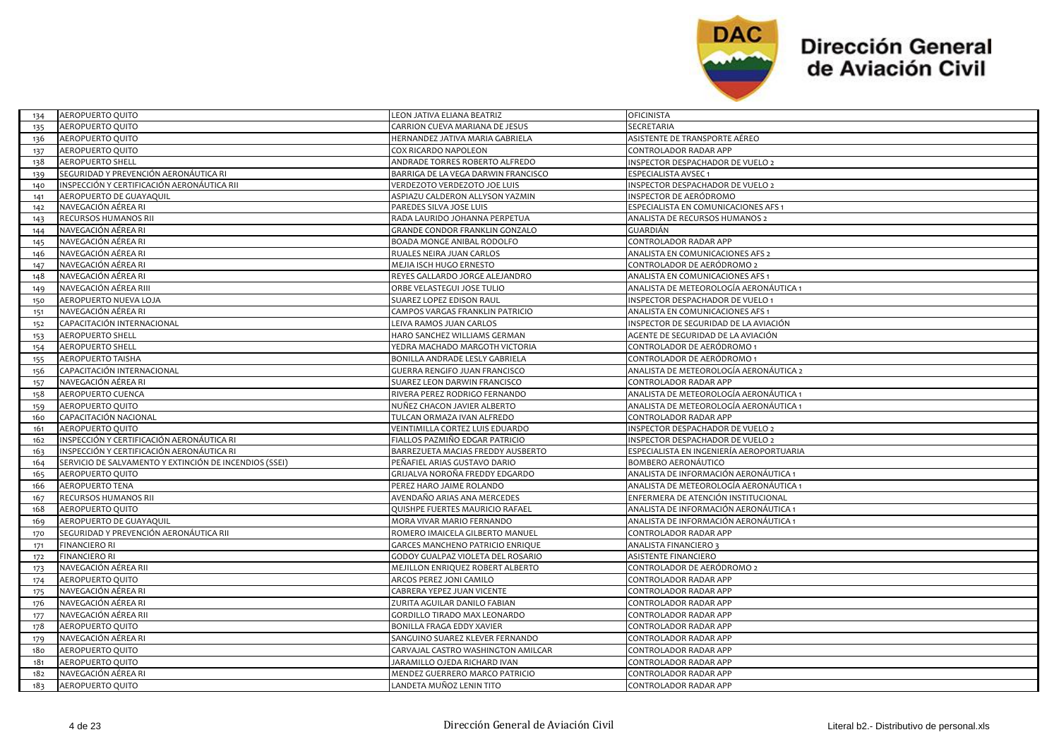

| 134 | <b>AEROPUERTO QUITO</b>                                | LEON JATIVA ELIANA BEATRIZ          | <b>OFICINISTA</b>                        |
|-----|--------------------------------------------------------|-------------------------------------|------------------------------------------|
| 135 | AEROPUERTO QUITO                                       | CARRION CUEVA MARIANA DE JESUS      | SECRETARIA                               |
| 136 | AEROPUERTO QUITO                                       | HERNANDEZ JATIVA MARIA GABRIELA     | ASISTENTE DE TRANSPORTE AÉREO            |
| 137 | AEROPUERTO QUITO                                       | COX RICARDO NAPOLEON                | CONTROLADOR RADAR APP                    |
| 138 | <b>AEROPUERTO SHELL</b>                                | ANDRADE TORRES ROBERTO ALFREDO      | <b>INSPECTOR DESPACHADOR DE VUELO 2</b>  |
| 139 | SEGURIDAD Y PREVENCIÓN AERONÁUTICA RI                  | BARRIGA DE LA VEGA DARWIN FRANCISCO | ESPECIALISTA AVSEC 1                     |
| 140 | INSPECCIÓN Y CERTIFICACIÓN AERONÁUTICA RII             | VERDEZOTO VERDEZOTO JOE LUIS        | <b>INSPECTOR DESPACHADOR DE VUELO 2</b>  |
| 141 | AEROPUERTO DE GUAYAQUIL                                | ASPIAZU CALDERON ALLYSON YAZMIN     | NSPECTOR DE AERÓDROMO                    |
| 142 | NAVEGACIÓN AÉREA RI                                    | PAREDES SILVA JOSE LUIS             | ESPECIALISTA EN COMUNICACIONES AFS 1     |
| 143 | RECURSOS HUMANOS RII                                   | RADA LAURIDO JOHANNA PERPETUA       | ANALISTA DE RECURSOS HUMANOS 2           |
| 144 | NAVEGACIÓN AÉREA RI                                    | GRANDE CONDOR FRANKLIN GONZALO      | GUARDIÁN                                 |
| 145 | NAVEGACIÓN AÉREA RI                                    | BOADA MONGE ANIBAL RODOLFO          | CONTROLADOR RADAR APP                    |
| 146 | NAVEGACIÓN AÉREA RI                                    | RUALES NEIRA JUAN CARLOS            | ANALISTA EN COMUNICACIONES AFS 2         |
| 147 | NAVEGACIÓN AÉREA RI                                    | MEJIA ISCH HUGO ERNESTO             | CONTROLADOR DE AERÓDROMO 2               |
| 148 | NAVEGACIÓN AÉREA RI                                    | REYES GALLARDO JORGE ALEJANDRO      | ANALISTA EN COMUNICACIONES AFS 1         |
| 149 | NAVEGACIÓN AÉREA RIII                                  | ORBE VELASTEGUI JOSE TULIO          | ANALISTA DE METEOROLOGÍA AERONÁUTICA 1   |
| 150 | AEROPUERTO NUEVA LOJA                                  | SUAREZ LOPEZ EDISON RAUL            | INSPECTOR DESPACHADOR DE VUELO 1         |
| 151 | NAVEGACIÓN AÉREA RI                                    | CAMPOS VARGAS FRANKLIN PATRICIO     | ANALISTA EN COMUNICACIONES AFS 1         |
| 152 | CAPACITACIÓN INTERNACIONAL                             | LEIVA RAMOS JUAN CARLOS             | INSPECTOR DE SEGURIDAD DE LA AVIACIÓN    |
| 153 | <b>AEROPUERTO SHELL</b>                                | HARO SANCHEZ WILLIAMS GERMAN        | AGENTE DE SEGURIDAD DE LA AVIACIÓN       |
| 154 | <b>AEROPUERTO SHELL</b>                                | YEDRA MACHADO MARGOTH VICTORIA      | CONTROLADOR DE AERÓDROMO 1               |
| 155 | <b>AEROPUERTO TAISHA</b>                               | BONILLA ANDRADE LESLY GABRIELA      | CONTROLADOR DE AERÓDROMO 1               |
| 156 | CAPACITACIÓN INTERNACIONAL                             | GUERRA RENGIFO JUAN FRANCISCO       | ANALISTA DE METEOROLOGÍA AERONÁUTICA 2   |
| 157 | NAVEGACIÓN AÉREA RI                                    | SUAREZ LEON DARWIN FRANCISCO        | CONTROLADOR RADAR APP                    |
| 158 | <b>AEROPUERTO CUENCA</b>                               | RIVERA PEREZ RODRIGO FERNANDO       | ANALISTA DE METEOROLOGÍA AERONÁUTICA 1   |
| 159 | AEROPUERTO QUITO                                       | NUÑEZ CHACON JAVIER ALBERTO         | ANALISTA DE METEOROLOGÍA AERONÁUTICA 1   |
| 160 | CAPACITACIÓN NACIONAL                                  | TULCAN ORMAZA IVAN ALFREDO          | CONTROLADOR RADAR APP                    |
| 161 | AEROPUERTO QUITO                                       | VEINTIMILLA CORTEZ LUIS EDUARDO     | <b>INSPECTOR DESPACHADOR DE VUELO 2</b>  |
| 162 | INSPECCIÓN Y CERTIFICACIÓN AERONÁUTICA RI              | FIALLOS PAZMIÑO EDGAR PATRICIO      | <b>INSPECTOR DESPACHADOR DE VUELO 2</b>  |
| 163 | INSPECCIÓN Y CERTIFICACIÓN AERONÁUTICA RI              | BARREZUETA MACIAS FREDDY AUSBERTO   | ESPECIALISTA EN INGENIERÍA AEROPORTUARIA |
| 164 | SERVICIO DE SALVAMENTO Y EXTINCIÓN DE INCENDIOS (SSEI) | PEÑAFIEL ARIAS GUSTAVO DARIO        | BOMBERO AERONÁUTICO                      |
| 165 | AEROPUERTO QUITO                                       | GRIJALVA NOROÑA FREDDY EDGARDO      | ANALISTA DE INFORMACIÓN AERONÁUTICA 1    |
| 166 | AEROPUERTO TENA                                        | PEREZ HARO JAIME ROLANDO            | ANALISTA DE METEOROLOGÍA AERONÁUTICA 1   |
| 167 | <b>RECURSOS HUMANOS RII</b>                            | AVENDAÑO ARIAS ANA MERCEDES         | ENFERMERA DE ATENCIÓN INSTITUCIONAL      |
| 168 | AEROPUERTO QUITO                                       | QUISHPE FUERTES MAURICIO RAFAEL     | ANALISTA DE INFORMACIÓN AERONÁUTICA 1    |
| 169 | AEROPUERTO DE GUAYAQUIL                                | MORA VIVAR MARIO FERNANDO           | ANALISTA DE INFORMACIÓN AERONÁUTICA 1    |
| 170 | SEGURIDAD Y PREVENCIÓN AERONÁUTICA RII                 | ROMERO IMAICELA GILBERTO MANUEL     | CONTROLADOR RADAR APP                    |
| 171 | <b>FINANCIERO RI</b>                                   | GARCES MANCHENO PATRICIO ENRIQUE    | <b>ANALISTA FINANCIERO 3</b>             |
| 172 | <b>FINANCIERO RI</b>                                   | GODOY GUALPAZ VIOLETA DEL ROSARIO   | <b>ASISTENTE FINANCIERO</b>              |
| 173 | NAVEGACIÓN AÉREA RII                                   | MEJILLON ENRIQUEZ ROBERT ALBERTO    | CONTROLADOR DE AERÓDROMO 2               |
| 174 | AEROPUERTO QUITO                                       | ARCOS PEREZ JONI CAMILO             | CONTROLADOR RADAR APP                    |
| 175 | NAVEGACIÓN AÉREA RI                                    | CABRERA YEPEZ JUAN VICENTE          | CONTROLADOR RADAR APP                    |
| 176 | NAVEGACIÓN AÉREA RI                                    | ZURITA AGUILAR DANILO FABIAN        | CONTROLADOR RADAR APP                    |
| 177 | NAVEGACIÓN AÉREA RII                                   | GORDILLO TIRADO MAX LEONARDO        | CONTROLADOR RADAR APP                    |
| 178 | AEROPUERTO QUITO                                       | BONILLA FRAGA EDDY XAVIER           | CONTROLADOR RADAR APP                    |
| 179 | NAVEGACIÓN AÉREA RI                                    | SANGUINO SUAREZ KLEVER FERNANDO     | CONTROLADOR RADAR APP                    |
| 180 | AEROPUERTO QUITO                                       | CARVAJAL CASTRO WASHINGTON AMILCAR  | CONTROLADOR RADAR APP                    |
| 181 | AEROPUERTO QUITO                                       | JARAMILLO OJEDA RICHARD IVAN        | CONTROLADOR RADAR APP                    |
| 182 | NAVEGACIÓN AÉREA RI                                    | MENDEZ GUERRERO MARCO PATRICIO      | CONTROLADOR RADAR APP                    |
| 183 | AEROPUERTO QUITO                                       | LANDETA MUÑOZ LENIN TITO            | CONTROLADOR RADAR APP                    |
|     |                                                        |                                     |                                          |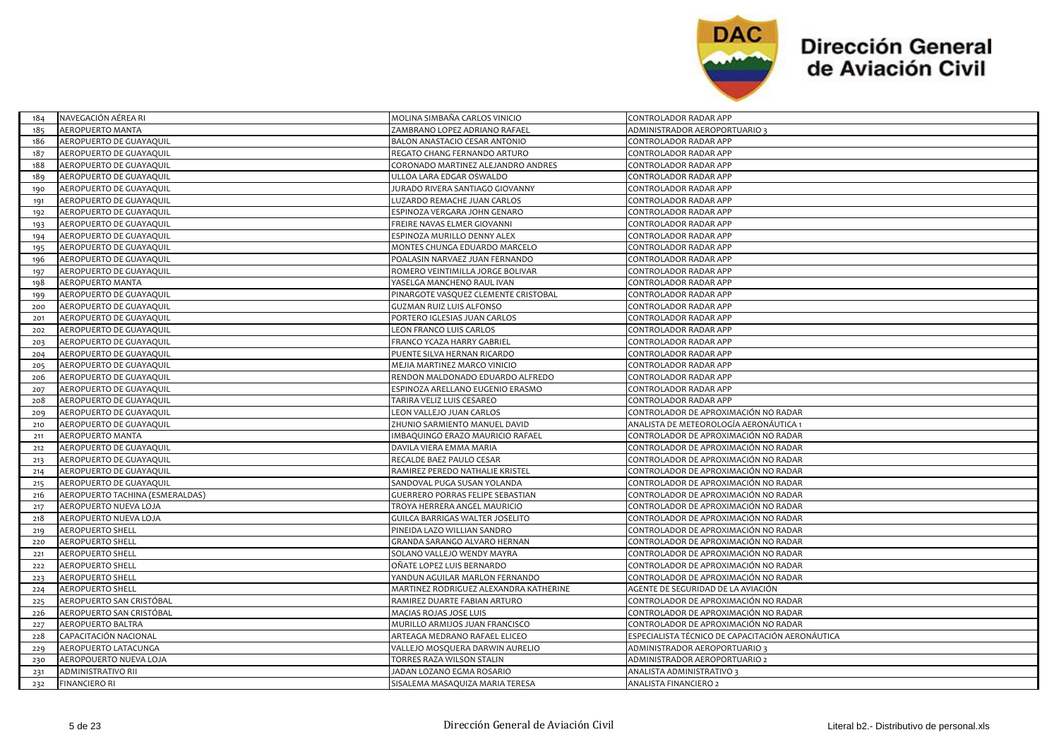

| 184 | NAVEGACIÓN AÉREA RI             | MOLINA SIMBAÑA CARLOS VINICIO           | CONTROLADOR RADAR APP                            |
|-----|---------------------------------|-----------------------------------------|--------------------------------------------------|
| 185 | <b>AEROPUERTO MANTA</b>         | ZAMBRANO LOPEZ ADRIANO RAFAEL           | ADMINISTRADOR AEROPORTUARIO 3                    |
| 186 | AEROPUERTO DE GUAYAQUIL         | BALON ANASTACIO CESAR ANTONIO           | CONTROLADOR RADAR APP                            |
| 187 | AEROPUERTO DE GUAYAQUIL         | REGATO CHANG FERNANDO ARTURO            | CONTROLADOR RADAR APP                            |
| 188 | AEROPUERTO DE GUAYAQUIL         | CORONADO MARTINEZ ALEJANDRO ANDRES      | CONTROLADOR RADAR APP                            |
| 189 | AEROPUERTO DE GUAYAQUIL         | ULLOA LARA EDGAR OSWALDO                | CONTROLADOR RADAR APP                            |
| 190 | AEROPUERTO DE GUAYAQUIL         | JURADO RIVERA SANTIAGO GIOVANNY         | CONTROLADOR RADAR APP                            |
| 191 | AEROPUERTO DE GUAYAQUIL         | LUZARDO REMACHE JUAN CARLOS             | CONTROLADOR RADAR APP                            |
| 192 | AEROPUERTO DE GUAYAQUIL         | ESPINOZA VERGARA JOHN GENARO            | CONTROLADOR RADAR APP                            |
| 193 | AEROPUERTO DE GUAYAQUIL         | FREIRE NAVAS ELMER GIOVANNI             | CONTROLADOR RADAR APP                            |
| 194 | AEROPUERTO DE GUAYAQUIL         | ESPINOZA MURILLO DENNY ALEX             | CONTROLADOR RADAR APP                            |
| 195 | AEROPUERTO DE GUAYAQUIL         | MONTES CHUNGA EDUARDO MARCELO           | CONTROLADOR RADAR APP                            |
| 196 | AEROPUERTO DE GUAYAQUIL         | POALASIN NARVAEZ JUAN FERNANDO          | CONTROLADOR RADAR APP                            |
| 197 | AEROPUERTO DE GUAYAQUIL         | ROMERO VEINTIMILLA JORGE BOLIVAR        | CONTROLADOR RADAR APP                            |
| 198 | AEROPUERTO MANTA                | YASELGA MANCHENO RAUL IVAN              | CONTROLADOR RADAR APP                            |
| 199 | AEROPUERTO DE GUAYAQUIL         | PINARGOTE VASQUEZ CLEMENTE CRISTOBAL    | CONTROLADOR RADAR APP                            |
| 200 | AEROPUERTO DE GUAYAQUIL         | <b>GUZMAN RUIZ LUIS ALFONSO</b>         | CONTROLADOR RADAR APP                            |
| 201 | AEROPUERTO DE GUAYAQUIL         | PORTERO IGLESIAS JUAN CARLOS            | CONTROLADOR RADAR APP                            |
| 202 | AEROPUERTO DE GUAYAQUIL         | LEON FRANCO LUIS CARLOS                 | CONTROLADOR RADAR APP                            |
| 203 | AEROPUERTO DE GUAYAQUIL         | FRANCO YCAZA HARRY GABRIEL              | CONTROLADOR RADAR APP                            |
| 204 | AEROPUERTO DE GUAYAQUIL         | PUENTE SILVA HERNAN RICARDO             | CONTROLADOR RADAR APP                            |
| 205 | AEROPUERTO DE GUAYAQUIL         | MEJIA MARTINEZ MARCO VINICIO            | CONTROLADOR RADAR APP                            |
| 206 | AEROPUERTO DE GUAYAQUIL         | RENDON MALDONADO EDUARDO ALFREDO        | CONTROLADOR RADAR APP                            |
| 207 | AEROPUERTO DE GUAYAQUIL         | ESPINOZA ARELLANO EUGENIO ERASMO        | CONTROLADOR RADAR APP                            |
| 208 | AEROPUERTO DE GUAYAQUIL         | TARIRA VELIZ LUIS CESAREO               | CONTROLADOR RADAR APP                            |
| 209 | AEROPUERTO DE GUAYAQUIL         | LEON VALLEJO JUAN CARLOS                | CONTROLADOR DE APROXIMACIÓN NO RADAR             |
| 210 | AEROPUERTO DE GUAYAQUIL         | ZHUNIO SARMIENTO MANUEL DAVID           | ANALISTA DE METEOROLOGÍA AERONÁUTICA 1           |
| 211 | AEROPUERTO MANTA                | IMBAQUINGO ERAZO MAURICIO RAFAEL        | CONTROLADOR DE APROXIMACIÓN NO RADAR             |
| 212 | AEROPUERTO DE GUAYAQUIL         | DAVILA VIERA EMMA MARIA                 | CONTROLADOR DE APROXIMACIÓN NO RADAR             |
| 213 | AEROPUERTO DE GUAYAQUIL         | RECALDE BAEZ PAULO CESAR                | CONTROLADOR DE APROXIMACIÓN NO RADAR             |
| 214 | AEROPUERTO DE GUAYAQUIL         | RAMIREZ PEREDO NATHALIE KRISTEL         | CONTROLADOR DE APROXIMACIÓN NO RADAR             |
| 215 | AEROPUERTO DE GUAYAQUIL         | SANDOVAL PUGA SUSAN YOLANDA             | CONTROLADOR DE APROXIMACIÓN NO RADAR             |
| 216 | AEROPUERTO TACHINA (ESMERALDAS) | <b>GUERRERO PORRAS FELIPE SEBASTIAN</b> | CONTROLADOR DE APROXIMACIÓN NO RADAR             |
| 217 | AEROPUERTO NUEVA LOJA           | TROYA HERRERA ANGEL MAURICIO            | CONTROLADOR DE APROXIMACIÓN NO RADAR             |
| 218 | AEROPUERTO NUEVA LOJA           | GUILCA BARRIGAS WALTER JOSELITO         | CONTROLADOR DE APROXIMACIÓN NO RADAR             |
| 219 | <b>AEROPUERTO SHELL</b>         | PINEIDA LAZO WILLIAN SANDRO             | CONTROLADOR DE APROXIMACIÓN NO RADAR             |
| 220 | <b>AEROPUERTO SHELL</b>         | GRANDA SARANGO ALVARO HERNAN            | CONTROLADOR DE APROXIMACIÓN NO RADAR             |
| 221 | <b>AEROPUERTO SHELL</b>         | SOLANO VALLEJO WENDY MAYRA              | CONTROLADOR DE APROXIMACIÓN NO RADAR             |
| 222 | <b>AEROPUERTO SHELL</b>         | OÑATE LOPEZ LUIS BERNARDO               | CONTROLADOR DE APROXIMACIÓN NO RADAR             |
| 223 | <b>AEROPUERTO SHELL</b>         | YANDUN AGUILAR MARLON FERNANDO          | CONTROLADOR DE APROXIMACIÓN NO RADAR             |
| 224 | <b>AEROPUERTO SHELL</b>         | MARTINEZ RODRIGUEZ ALEXANDRA KATHERINE  | AGENTE DE SEGURIDAD DE LA AVIACIÓN               |
| 225 | AEROPUERTO SAN CRISTÓBAL        | RAMIREZ DUARTE FABIAN ARTURO            | CONTROLADOR DE APROXIMACIÓN NO RADAR             |
| 226 | AEROPUERTO SAN CRISTÓBAL        | MACIAS ROJAS JOSE LUIS                  | CONTROLADOR DE APROXIMACIÓN NO RADAR             |
| 227 | <b>AEROPUERTO BALTRA</b>        | MURILLO ARMIJOS JUAN FRANCISCO          | CONTROLADOR DE APROXIMACIÓN NO RADAR             |
| 228 | CAPACITACIÓN NACIONAL           | ARTEAGA MEDRANO RAFAEL ELICEO           | ESPECIALISTA TÉCNICO DE CAPACITACIÓN AERONÁUTICA |
| 229 | AEROPUERTO LATACUNGA            | VALLEJO MOSQUERA DARWIN AURELIO         | ADMINISTRADOR AEROPORTUARIO 3                    |
| 230 | AEROPOUERTO NUEVA LOJA          | TORRES RAZA WILSON STALIN               | ADMINISTRADOR AEROPORTUARIO 2                    |
| 231 | ADMINISTRATIVO RII              | JADAN LOZANO EGMA ROSARIO               | ANALISTA ADMINISTRATIVO 3                        |
| 232 | <b>FINANCIERO RI</b>            | SISALEMA MASAQUIZA MARIA TERESA         | <b>ANALISTA FINANCIERO 2</b>                     |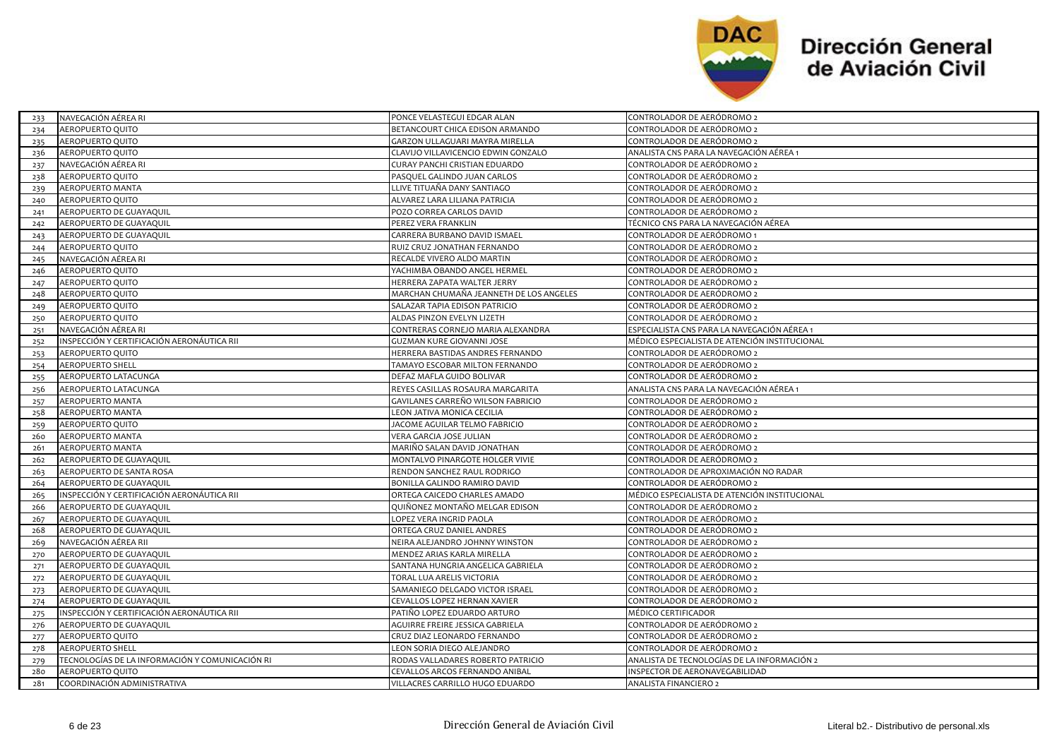

| 233 | NAVEGACIÓN AÉREA RI                             | PONCE VELASTEGUI EDGAR ALAN             | CONTROLADOR DE AERÓDROMO 2                    |
|-----|-------------------------------------------------|-----------------------------------------|-----------------------------------------------|
| 234 | AEROPUERTO QUITO                                | BETANCOURT CHICA EDISON ARMANDO         | CONTROLADOR DE AERÓDROMO 2                    |
| 235 | AEROPUERTO QUITO                                | GARZON ULLAGUARI MAYRA MIRELLA          | CONTROLADOR DE AERÓDROMO 2                    |
| 236 | AEROPUERTO QUITO                                | CLAVIJO VILLAVICENCIO EDWIN GONZALO     | ANALISTA CNS PARA LA NAVEGACIÓN AÉREA 1       |
| 237 | NAVEGACIÓN AÉREA RI                             | CURAY PANCHI CRISTIAN EDUARDO           | CONTROLADOR DE AERÓDROMO 2                    |
| 238 | AEROPUERTO QUITO                                | PASQUEL GALINDO JUAN CARLOS             | CONTROLADOR DE AERÓDROMO 2                    |
| 239 | <b>AEROPUERTO MANTA</b>                         | LLIVE TITUAÑA DANY SANTIAGO             | CONTROLADOR DE AERÓDROMO 2                    |
| 240 | AEROPUERTO QUITO                                | ALVAREZ LARA LILIANA PATRICIA           | CONTROLADOR DE AERÓDROMO 2                    |
| 241 | AEROPUERTO DE GUAYAQUIL                         | POZO CORREA CARLOS DAVID                | CONTROLADOR DE AERÓDROMO 2                    |
| 242 | AEROPUERTO DE GUAYAQUIL                         | PEREZ VERA FRANKLIN                     | TÉCNICO CNS PARA LA NAVEGACIÓN AÉREA          |
| 243 | AEROPUERTO DE GUAYAQUIL                         | CARRERA BURBANO DAVID ISMAEL            | CONTROLADOR DE AERÓDROMO 1                    |
| 244 | AEROPUERTO QUITO                                | RUIZ CRUZ JONATHAN FERNANDO             | CONTROLADOR DE AERÓDROMO 2                    |
| 245 | NAVEGACIÓN AÉREA RI                             | RECALDE VIVERO ALDO MARTIN              | CONTROLADOR DE AERÓDROMO 2                    |
| 246 | AEROPUERTO QUITO                                | YACHIMBA OBANDO ANGEL HERMEL            | CONTROLADOR DE AERÓDROMO 2                    |
| 247 | AEROPUERTO QUITO                                | HERRERA ZAPATA WALTER JERRY             | CONTROLADOR DE AERÓDROMO 2                    |
| 248 | AEROPUERTO QUITO                                | MARCHAN CHUMAÑA JEANNETH DE LOS ANGELES | CONTROLADOR DE AERÓDROMO 2                    |
| 249 | AEROPUERTO QUITO                                | SALAZAR TAPIA EDISON PATRICIO           | CONTROLADOR DE AERÓDROMO 2                    |
| 250 | AEROPUERTO QUITO                                | ALDAS PINZON EVELYN LIZETH              | CONTROLADOR DE AERÓDROMO 2                    |
| 251 | NAVEGACIÓN AÉREA RI                             | CONTRERAS CORNEJO MARIA ALEXANDRA       | ESPECIALISTA CNS PARA LA NAVEGACIÓN AÉREA 1   |
| 252 | INSPECCIÓN Y CERTIFICACIÓN AERONÁUTICA RII      | <b>GUZMAN KURE GIOVANNI JOSE</b>        | MÉDICO ESPECIALISTA DE ATENCIÓN INSTITUCIONAL |
| 253 | AEROPUERTO QUITO                                | HERRERA BASTIDAS ANDRES FERNANDO        | CONTROLADOR DE AERÓDROMO 2                    |
| 254 | <b>AEROPUERTO SHELL</b>                         | TAMAYO ESCOBAR MILTON FERNANDO          | CONTROLADOR DE AERÓDROMO 2                    |
| 255 | AEROPUERTO LATACUNGA                            | DEFAZ MAFLA GUIDO BOLIVAR               | CONTROLADOR DE AERÓDROMO 2                    |
| 256 | AEROPUERTO LATACUNGA                            | REYES CASILLAS ROSAURA MARGARITA        | ANALISTA CNS PARA LA NAVEGACIÓN AÉREA 1       |
| 257 | <b>AEROPUERTO MANTA</b>                         | GAVILANES CARREÑO WILSON FABRICIO       | CONTROLADOR DE AERÓDROMO 2                    |
| 258 | <b>AEROPUERTO MANTA</b>                         | LEON JATIVA MONICA CECILIA              | CONTROLADOR DE AERÓDROMO 2                    |
| 259 | AEROPUERTO QUITO                                | JACOME AGUILAR TELMO FABRICIO           | CONTROLADOR DE AERÓDROMO 2                    |
| 260 | <b>AEROPUERTO MANTA</b>                         | VERA GARCIA JOSE JULIAN                 | CONTROLADOR DE AERÓDROMO 2                    |
| 261 | AEROPUERTO MANTA                                | MARIÑO SALAN DAVID JONATHAN             | CONTROLADOR DE AERÓDROMO 2                    |
| 262 | AEROPUERTO DE GUAYAQUIL                         | MONTALVO PINARGOTE HOLGER VIVIE         | CONTROLADOR DE AERÓDROMO 2                    |
| 263 | AEROPUERTO DE SANTA ROSA                        | RENDON SANCHEZ RAUL RODRIGO             | CONTROLADOR DE APROXIMACIÓN NO RADAR          |
| 264 | AEROPUERTO DE GUAYAQUIL                         | BONILLA GALINDO RAMIRO DAVID            | CONTROLADOR DE AERÓDROMO 2                    |
| 265 | INSPECCIÓN Y CERTIFICACIÓN AERONÁUTICA RII      | ORTEGA CAICEDO CHARLES AMADO            | MÉDICO ESPECIALISTA DE ATENCIÓN INSTITUCIONAL |
| 266 | AEROPUERTO DE GUAYAQUIL                         | QUIÑONEZ MONTAÑO MELGAR EDISON          | CONTROLADOR DE AERÓDROMO 2                    |
| 267 | AEROPUERTO DE GUAYAQUIL                         | LOPEZ VERA INGRID PAOLA                 | CONTROLADOR DE AERÓDROMO 2                    |
| 268 | AEROPUERTO DE GUAYAQUIL                         | ORTEGA CRUZ DANIEL ANDRES               | CONTROLADOR DE AERÓDROMO 2                    |
| 269 | NAVEGACIÓN AÉREA RII                            | NEIRA ALEJANDRO JOHNNY WINSTON          | CONTROLADOR DE AERÓDROMO 2                    |
| 270 | AEROPUERTO DE GUAYAQUIL                         | MENDEZ ARIAS KARLA MIRELLA              | CONTROLADOR DE AERÓDROMO 2                    |
| 271 | AEROPUERTO DE GUAYAQUIL                         | SANTANA HUNGRIA ANGELICA GABRIELA       | CONTROLADOR DE AERÓDROMO 2                    |
| 272 | AEROPUERTO DE GUAYAQUIL                         | TORAL LUA ARELIS VICTORIA               | CONTROLADOR DE AERÓDROMO 2                    |
| 273 | AEROPUERTO DE GUAYAQUIL                         | SAMANIEGO DELGADO VICTOR ISRAEL         | CONTROLADOR DE AERÓDROMO 2                    |
| 274 | AEROPUERTO DE GUAYAQUIL                         | CEVALLOS LOPEZ HERNAN XAVIER            | CONTROLADOR DE AERÓDROMO 2                    |
| 275 | INSPECCIÓN Y CERTIFICACIÓN AERONÁUTICA RII      | PATIÑO LOPEZ EDUARDO ARTURO             | MÉDICO CERTIFICADOR                           |
| 276 | AEROPUERTO DE GUAYAQUIL                         | AGUIRRE FREIRE JESSICA GABRIELA         | CONTROLADOR DE AERÓDROMO 2                    |
| 277 | AEROPUERTO QUITO                                | CRUZ DIAZ LEONARDO FERNANDO             | CONTROLADOR DE AERÓDROMO 2                    |
| 278 | <b>AEROPUERTO SHELL</b>                         | LEON SORIA DIEGO ALEJANDRO              | CONTROLADOR DE AERÓDROMO 2                    |
| 279 | TECNOLOGÍAS DE LA INFORMACIÓN Y COMUNICACIÓN RI | RODAS VALLADARES ROBERTO PATRICIO       | ANALISTA DE TECNOLOGÍAS DE LA INFORMACIÓN 2   |
| 280 | AEROPUERTO QUITO                                | CEVALLOS ARCOS FERNANDO ANIBAL          | INSPECTOR DE AERONAVEGABILIDAD                |
| 281 | COORDINACIÓN ADMINISTRATIVA                     | VILLACRES CARRILLO HUGO EDUARDO         | ANALISTA FINANCIERO 2                         |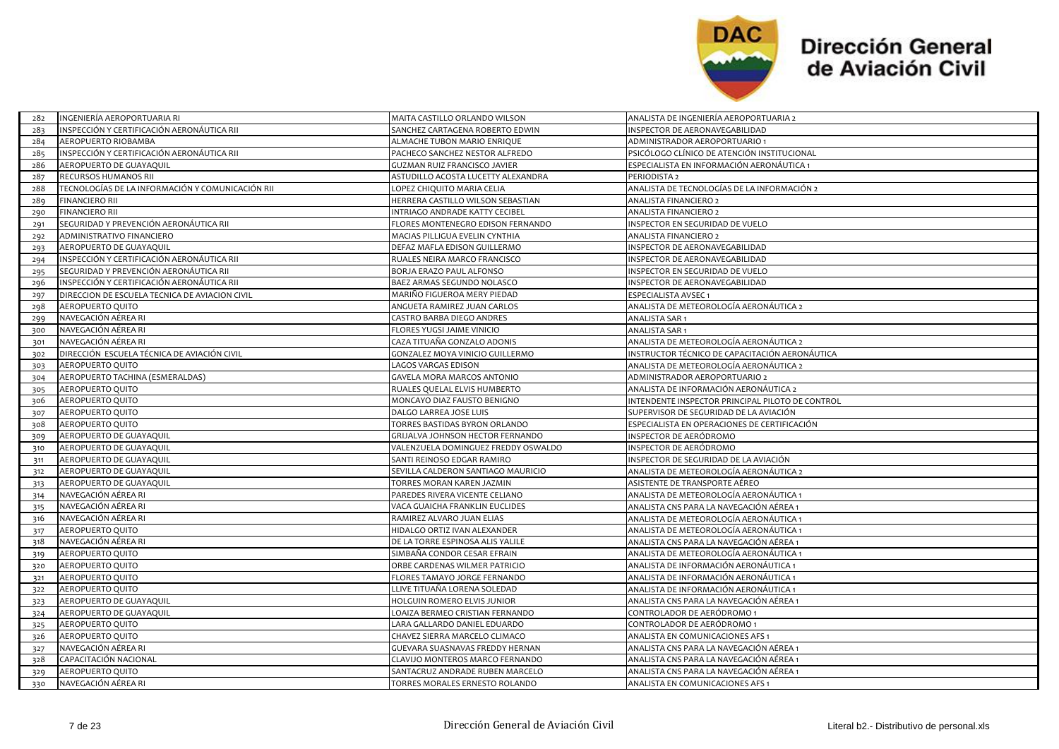

| 282 | INGENIERÍA AEROPORTUARIA RI                      | MAITA CASTILLO ORLANDO WILSON       | ANALISTA DE INGENIERÍA AEROPORTUARIA 2                                      |
|-----|--------------------------------------------------|-------------------------------------|-----------------------------------------------------------------------------|
| 283 | INSPECCIÓN Y CERTIFICACIÓN AERONÁUTICA RII       | SANCHEZ CARTAGENA ROBERTO EDWIN     | INSPECTOR DE AERONAVEGABILIDAD                                              |
| 284 | AEROPUERTO RIOBAMBA                              | ALMACHE TUBON MARIO ENRIQUE         | ADMINISTRADOR AEROPORTUARIO 1                                               |
| 285 | INSPECCIÓN Y CERTIFICACIÓN AERONÁUTICA RII       | PACHECO SANCHEZ NESTOR ALFREDO      | PSICÓLOGO CLÍNICO DE ATENCIÓN INSTITUCIONAL                                 |
| 286 | AEROPUERTO DE GUAYAQUIL                          | <b>GUZMAN RUIZ FRANCISCO JAVIER</b> | ESPECIALISTA EN INFORMACIÓN AERONÁUTICA 1                                   |
| 287 | RECURSOS HUMANOS RII                             | ASTUDILLO ACOSTA LUCETTY ALEXANDRA  | PERIODISTA 2                                                                |
| 288 | TECNOLOGÍAS DE LA INFORMACIÓN Y COMUNICACIÓN RII | LOPEZ CHIQUITO MARIA CELIA          | ANALISTA DE TECNOLOGÍAS DE LA INFORMACIÓN 2                                 |
| 289 | <b>FINANCIERO RII</b>                            | HERRERA CASTILLO WILSON SEBASTIAN   | <b>ANALISTA FINANCIERO 2</b>                                                |
| 290 | <b>FINANCIERO RII</b>                            | INTRIAGO ANDRADE KATTY CECIBEL      | ANALISTA FINANCIERO 2                                                       |
| 291 | SEGURIDAD Y PREVENCIÓN AERONÁUTICA RII           | FLORES MONTENEGRO EDISON FERNANDO   | INSPECTOR EN SEGURIDAD DE VUELO                                             |
| 292 | ADMINISTRATIVO FINANCIERO                        | MACIAS PILLIGUA EVELIN CYNTHIA      | ANALISTA FINANCIERO 2                                                       |
| 293 | AEROPUERTO DE GUAYAQUIL                          | DEFAZ MAFLA EDISON GUILLERMO        | INSPECTOR DE AERONAVEGABILIDAD                                              |
| 294 | INSPECCIÓN Y CERTIFICACIÓN AERONÁUTICA RII       | RUALES NEIRA MARCO FRANCISCO        | INSPECTOR DE AERONAVEGABILIDAD                                              |
| 295 | SEGURIDAD Y PREVENCIÓN AERONÁUTICA RII           | BORJA ERAZO PAUL ALFONSO            | INSPECTOR EN SEGURIDAD DE VUELO                                             |
| 296 | INSPECCIÓN Y CERTIFICACIÓN AERONÁUTICA RII       | BAEZ ARMAS SEGUNDO NOLASCO          | <b>INSPECTOR DE AERONAVEGABILIDAD</b>                                       |
| 297 | DIRECCION DE ESCUELA TECNICA DE AVIACION CIVIL   | MARIÑO FIGUEROA MERY PIEDAD         | ESPECIALISTA AVSEC 1                                                        |
| 298 | <b>AEROPUERTO QUITO</b>                          | ANGUETA RAMIREZ JUAN CARLOS         | ANALISTA DE METEOROLOGÍA AERONÁUTICA 2                                      |
| 299 | NAVEGACIÓN AÉREA RI                              | CASTRO BARBA DIEGO ANDRES           | ANALISTA SAR 1                                                              |
| 300 | NAVEGACIÓN AÉREA RI                              | FLORES YUGSI JAIME VINICIO          | ANALISTA SAR 1                                                              |
| 301 | NAVEGACIÓN AÉREA RI                              | CAZA TITUAÑA GONZALO ADONIS         | ANALISTA DE METEOROLOGÍA AERONÁUTICA 2                                      |
| 302 | DIRECCIÓN ESCUELA TÉCNICA DE AVIACIÓN CIVIL      | GONZALEZ MOYA VINICIO GUILLERMO     | INSTRUCTOR TÉCNICO DE CAPACITACIÓN AERONÁUTICA                              |
| 303 | AEROPUERTO QUITO                                 | LAGOS VARGAS EDISON                 | ANALISTA DE METEOROLOGÍA AERONÁUTICA 2                                      |
| 304 | AEROPUERTO TACHINA (ESMERALDAS)                  | GAVELA MORA MARCOS ANTONIO          | ADMINISTRADOR AEROPORTUARIO 2                                               |
| 305 | <b>AEROPUERTO QUITO</b>                          | RUALES QUELAL ELVIS HUMBERTO        | ANALISTA DE INFORMACIÓN AERONÁUTICA 2                                       |
| 306 | AEROPUERTO QUITO                                 | MONCAYO DIAZ FAUSTO BENIGNO         | NTENDENTE INSPECTOR PRINCIPAL PILOTO DE CONTROL                             |
| 307 | <b>AEROPUERTO QUITO</b>                          | DALGO LARREA JOSE LUIS              | SUPERVISOR DE SEGURIDAD DE LA AVIACIÓN                                      |
| 308 | AEROPUERTO QUITO                                 | TORRES BASTIDAS BYRON ORLANDO       | ESPECIALISTA EN OPERACIONES DE CERTIFICACIÓN                                |
| 309 | AEROPUERTO DE GUAYAQUIL                          | GRIJALVA JOHNSON HECTOR FERNANDO    | NSPECTOR DE AERÓDROMO                                                       |
| 310 | AEROPUERTO DE GUAYAQUIL                          | VALENZUELA DOMINGUEZ FREDDY OSWALDO | INSPECTOR DE AERÓDROMO                                                      |
| 311 | AEROPUERTO DE GUAYAQUIL                          | SANTI REINOSO EDGAR RAMIRO          | INSPECTOR DE SEGURIDAD DE LA AVIACIÓN                                       |
| 312 | AEROPUERTO DE GUAYAQUIL                          | SEVILLA CALDERON SANTIAGO MAURICIO  | ANALISTA DE METEOROLOGÍA AERONÁUTICA 2                                      |
| 313 | AEROPUERTO DE GUAYAQUIL                          | TORRES MORAN KAREN JAZMIN           | ASISTENTE DE TRANSPORTE AÉREO                                               |
| 314 | NAVEGACIÓN AÉREA RI                              | PAREDES RIVERA VICENTE CELIANO      | ANALISTA DE METEOROLOGÍA AERONÁUTICA 1                                      |
| 315 | NAVEGACIÓN AÉREA RI                              | VACA GUAICHA FRANKLIN EUCLIDES      | ANALISTA CNS PARA LA NAVEGACIÓN AÉREA 1                                     |
| 316 | NAVEGACIÓN AÉREA RI                              | RAMIREZ ALVARO JUAN ELIAS           | ANALISTA DE METEOROLOGÍA AERONÁUTICA 1                                      |
| 317 | AEROPUERTO QUITO                                 | HIDALGO ORTIZ IVAN ALEXANDER        | ANALISTA DE METEOROLOGÍA AERONÁUTICA 1                                      |
| 318 | NAVEGACIÓN AÉREA RI                              | DE LA TORRE ESPINOSA ALIS YALILE    | ANALISTA CNS PARA LA NAVEGACIÓN AÉREA 1                                     |
| 319 | AEROPUERTO QUITO                                 | SIMBAÑA CONDOR CESAR EFRAIN         | ANALISTA DE METEOROLOGÍA AERONÁUTICA 1                                      |
| 320 | <b>AEROPUERTO QUITO</b>                          | ORBE CARDENAS WILMER PATRICIO       | ANALISTA DE INFORMACIÓN AERONÁUTICA 1                                       |
| 321 | AEROPUERTO QUITO                                 | FLORES TAMAYO JORGE FERNANDO        | ANALISTA DE INFORMACIÓN AERONÁUTICA 1                                       |
| 322 | <b>AEROPUERTO QUITO</b>                          | LLIVE TITUAÑA LORENA SOLEDAD        | ANALISTA DE INFORMACIÓN AERONÁUTICA 1                                       |
| 323 | AEROPUERTO DE GUAYAQUIL                          | HOLGUIN ROMERO ELVIS JUNIOR         | ANALISTA CNS PARA LA NAVEGACIÓN AÉREA 1                                     |
| 324 | AEROPUERTO DE GUAYAQUIL                          | LOAIZA BERMEO CRISTIAN FERNANDO     | CONTROLADOR DE AERÓDROMO 1                                                  |
| 325 | AEROPUERTO QUITO                                 | LARA GALLARDO DANIEL EDUARDO        | CONTROLADOR DE AERÓDROMO 1                                                  |
| 326 | AEROPUERTO QUITO                                 | CHAVEZ SIERRA MARCELO CLIMACO       | ANALISTA EN COMUNICACIONES AFS 1                                            |
| 327 | NAVEGACIÓN AÉREA RI                              | GUEVARA SUASNAVAS FREDDY HERNAN     | ANALISTA CNS PARA LA NAVEGACIÓN AÉREA 1                                     |
| 328 | CAPACITACIÓN NACIONAL                            | CLAVIJO MONTEROS MARCO FERNANDO     | ANALISTA CNS PARA LA NAVEGACIÓN AÉREA 1                                     |
| 329 | AEROPUERTO QUITO<br>NAVEGACIÓN AÉREA RI          | SANTACRUZ ANDRADE RUBEN MARCELO     | ANALISTA CNS PARA LA NAVEGACIÓN AÉREA 1<br>ANALISTA EN COMUNICACIONES AFS 1 |
| 330 |                                                  | TORRES MORALES ERNESTO ROLANDO      |                                                                             |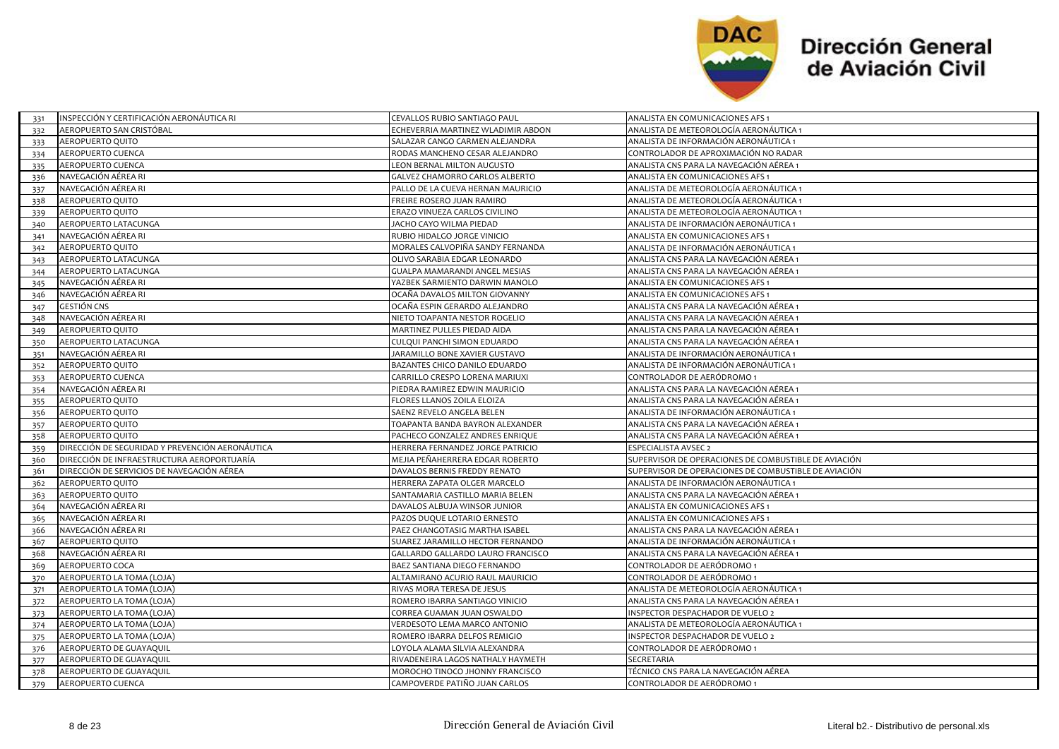

| 331        | INSPECCIÓN Y CERTIFICACIÓN AERONÁUTICA RI            | CEVALLOS RUBIO SANTIAGO PAUL                                 | ANALISTA EN COMUNICACIONES AFS 1                                           |
|------------|------------------------------------------------------|--------------------------------------------------------------|----------------------------------------------------------------------------|
| 332        | AEROPUERTO SAN CRISTÓBAL                             | ECHEVERRIA MARTINEZ WLADIMIR ABDON                           | ANALISTA DE METEOROLOGÍA AERONÁUTICA 1                                     |
| 333        | <b>AEROPUERTO QUITO</b>                              | SALAZAR CANGO CARMEN ALEJANDRA                               | ANALISTA DE INFORMACIÓN AERONÁUTICA 1                                      |
| 334        | <b>AEROPUERTO CUENCA</b>                             | RODAS MANCHENO CESAR ALEJANDRO                               | CONTROLADOR DE APROXIMACIÓN NO RADAR                                       |
| 335        | <b>AEROPUERTO CUENCA</b>                             | LEON BERNAL MILTON AUGUSTO                                   | ANALISTA CNS PARA LA NAVEGACIÓN AÉREA 1                                    |
| 336        | NAVEGACIÓN AÉREA RI                                  | GALVEZ CHAMORRO CARLOS ALBERTO                               | ANALISTA EN COMUNICACIONES AFS 1                                           |
| 337        | NAVEGACIÓN AÉREA RI                                  | PALLO DE LA CUEVA HERNAN MAURICIO                            | ANALISTA DE METEOROLOGÍA AERONÁUTICA 1                                     |
| 338        | AEROPUERTO QUITO                                     | FREIRE ROSERO JUAN RAMIRO                                    | ANALISTA DE METEOROLOGÍA AERONÁUTICA 1                                     |
| 339        | AEROPUERTO QUITO                                     | ERAZO VINUEZA CARLOS CIVILINO                                | ANALISTA DE METEOROLOGÍA AERONÁUTICA 1                                     |
| 340        | AEROPUERTO LATACUNGA                                 | JACHO CAYO WILMA PIEDAD                                      | ANALISTA DE INFORMACIÓN AERONÁUTICA 1                                      |
| 341        | NAVEGACIÓN AÉREA RI                                  | RUBIO HIDALGO JORGE VINICIO                                  | ANALISTA EN COMUNICACIONES AFS 1                                           |
| 342        | <b>AEROPUERTO QUITO</b>                              | MORALES CALVOPIÑA SANDY FERNANDA                             | ANALISTA DE INFORMACIÓN AERONÁUTICA 1                                      |
| 343        | AEROPUERTO LATACUNGA                                 | OLIVO SARABIA EDGAR LEONARDO                                 | ANALISTA CNS PARA LA NAVEGACIÓN AÉREA 1                                    |
| 344        | AEROPUERTO LATACUNGA                                 | GUALPA MAMARANDI ANGEL MESIAS                                | ANALISTA CNS PARA LA NAVEGACIÓN AÉREA 1                                    |
| 345        | NAVEGACIÓN AÉREA RI                                  | YAZBEK SARMIENTO DARWIN MANOLO                               | ANALISTA EN COMUNICACIONES AFS 1                                           |
| 346        | NAVEGACIÓN AÉREA RI                                  | OCAÑA DAVALOS MILTON GIOVANNY                                | ANALISTA EN COMUNICACIONES AFS 1                                           |
| 347        | <b>GESTIÓN CNS</b>                                   | OCAÑA ESPIN GERARDO ALEJANDRO                                | ANALISTA CNS PARA LA NAVEGACIÓN AÉREA 1                                    |
| 348        | NAVEGACIÓN AÉREA RI                                  | NIETO TOAPANTA NESTOR ROGELIO                                | ANALISTA CNS PARA LA NAVEGACIÓN AÉREA 1                                    |
| 349        | <b>AEROPUERTO QUITO</b>                              | MARTINEZ PULLES PIEDAD AIDA                                  | ANALISTA CNS PARA LA NAVEGACIÓN AÉREA 1                                    |
| 350        | AEROPUERTO LATACUNGA                                 | CULQUI PANCHI SIMON EDUARDO                                  | ANALISTA CNS PARA LA NAVEGACIÓN AÉREA 1                                    |
| 351        | NAVEGACIÓN AÉREA RI                                  | JARAMILLO BONE XAVIER GUSTAVO                                | ANALISTA DE INFORMACIÓN AERONÁUTICA 1                                      |
| 352        | AEROPUERTO QUITO                                     | BAZANTES CHICO DANILO EDUARDO                                | ANALISTA DE INFORMACIÓN AERONÁUTICA 1                                      |
| 353        | <b>AEROPUERTO CUENCA</b>                             | CARRILLO CRESPO LORENA MARIUXI                               | CONTROLADOR DE AERÓDROMO 1                                                 |
| 354        | NAVEGACIÓN AÉREA RI                                  | PIEDRA RAMIREZ EDWIN MAURICIO                                | ANALISTA CNS PARA LA NAVEGACIÓN AÉREA 1                                    |
| 355        | AEROPUERTO QUITO                                     | FLORES LLANOS ZOILA ELOIZA                                   | ANALISTA CNS PARA LA NAVEGACIÓN AÉREA 1                                    |
| 356        | AEROPUERTO QUITO                                     | SAENZ REVELO ANGELA BELEN                                    | ANALISTA DE INFORMACIÓN AERONÁUTICA 1                                      |
| 357        | AEROPUERTO QUITO                                     | TOAPANTA BANDA BAYRON ALEXANDER                              | ANALISTA CNS PARA LA NAVEGACIÓN AÉREA 1                                    |
| 358        | AEROPUERTO QUITO                                     | PACHECO GONZALEZ ANDRES ENRIQUE                              | ANALISTA CNS PARA LA NAVEGACIÓN AÉREA 1                                    |
| 359        | DIRECCIÓN DE SEGURIDAD Y PREVENCIÓN AERONÁUTICA      | HERRERA FERNANDEZ JORGE PATRICIO                             | ESPECIALISTA AVSEC 2                                                       |
| 360        | DIRECCIÓN DE INFRAESTRUCTURA AEROPORTUARÍA           | MEJIA PEÑAHERRERA EDGAR ROBERTO                              | SUPERVISOR DE OPERACIONES DE COMBUSTIBLE DE AVIACIÓN                       |
| 361        | DIRECCIÓN DE SERVICIOS DE NAVEGACIÓN AÉREA           | DAVALOS BERNIS FREDDY RENATO                                 | SUPERVISOR DE OPERACIONES DE COMBUSTIBLE DE AVIACIÓN                       |
| 362        | AEROPUERTO QUITO                                     | HERRERA ZAPATA OLGER MARCELO                                 | ANALISTA DE INFORMACIÓN AERONÁUTICA 1                                      |
| 363        | AEROPUERTO QUITO                                     | SANTAMARIA CASTILLO MARIA BELEN                              | ANALISTA CNS PARA LA NAVEGACIÓN AÉREA 1                                    |
| 364        | NAVEGACIÓN AÉREA RI                                  | DAVALOS ALBUJA WINSOR JUNIOR                                 | ANALISTA EN COMUNICACIONES AFS 1                                           |
| 365        | NAVEGACIÓN AÉREA RI                                  | PAZOS DUQUE LOTARIO ERNESTO                                  | ANALISTA EN COMUNICACIONES AFS 1                                           |
| 366        | NAVEGACIÓN AÉREA RI                                  | PAEZ CHANGOTASIG MARTHA ISABEL                               | ANALISTA CNS PARA LA NAVEGACIÓN AÉREA 1                                    |
| 367        | AEROPUERTO QUITO                                     | SUAREZ JARAMILLO HECTOR FERNANDO                             | ANALISTA DE INFORMACIÓN AERONÁUTICA 1                                      |
| 368        | NAVEGACIÓN AÉREA RI                                  | GALLARDO GALLARDO LAURO FRANCISCO                            | ANALISTA CNS PARA LA NAVEGACIÓN AÉREA 1                                    |
| 369        | AEROPUERTO COCA                                      | BAEZ SANTIANA DIEGO FERNANDO                                 | CONTROLADOR DE AERÓDROMO 1                                                 |
| 370        | AEROPUERTO LA TOMA (LOJA)                            | ALTAMIRANO ACURIO RAUL MAURICIO                              | CONTROLADOR DE AERÓDROMO 1                                                 |
| 371        | AEROPUERTO LA TOMA (LOJA)                            | RIVAS MORA TERESA DE JESUS                                   | ANALISTA DE METEOROLOGÍA AERONÁUTICA 1                                     |
| 372        | AEROPUERTO LA TOMA (LOJA)                            | ROMERO IBARRA SANTIAGO VINICIO                               | ANALISTA CNS PARA LA NAVEGACIÓN AÉREA 1                                    |
| 373        | AEROPUERTO LA TOMA (LOJA)                            | CORREA GUAMAN JUAN OSWALDO                                   | INSPECTOR DESPACHADOR DE VUELO 2                                           |
| 374        | AEROPUERTO LA TOMA (LOJA)                            | VERDESOTO LEMA MARCO ANTONIO<br>ROMERO IBARRA DELFOS REMIGIO | ANALISTA DE METEOROLOGÍA AERONÁUTICA 1<br>INSPECTOR DESPACHADOR DE VUELO 2 |
| 375        | AEROPUERTO LA TOMA (LOJA)<br>AEROPUERTO DE GUAYAQUIL | LOYOLA ALAMA SILVIA ALEXANDRA                                | CONTROLADOR DE AERÓDROMO 1                                                 |
| 376        | AEROPUERTO DE GUAYAQUIL                              | RIVADENEIRA LAGOS NATHALY HAYMETH                            | SECRETARIA                                                                 |
| 377        | AEROPUERTO DE GUAYAQUIL                              | MOROCHO TINOCO JHONNY FRANCISCO                              | TÉCNICO CNS PARA LA NAVEGACIÓN AÉREA                                       |
| 378<br>379 | <b>AEROPUERTO CUENCA</b>                             | CAMPOVERDE PATIÑO JUAN CARLOS                                | CONTROLADOR DE AERÓDROMO 1                                                 |
|            |                                                      |                                                              |                                                                            |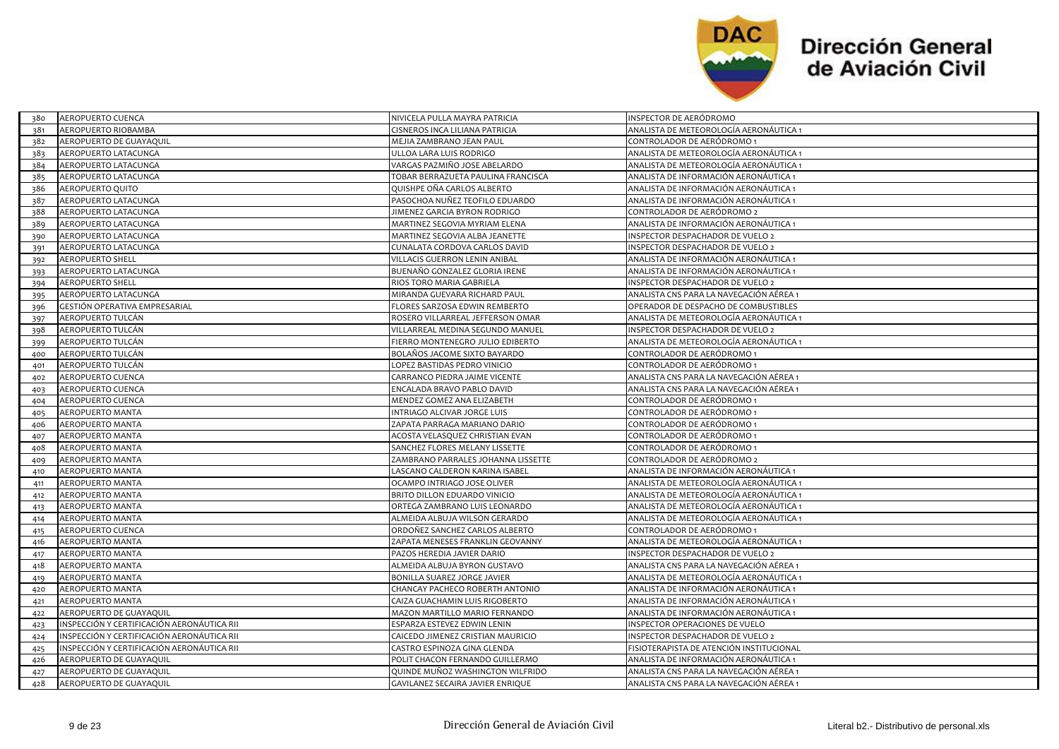

| 380 | <b>AEROPUERTO CUENCA</b>                                                                 | NIVICELA PULLA MAYRA PATRICIA                                       | INSPECTOR DE AERÓDROMO                                                              |
|-----|------------------------------------------------------------------------------------------|---------------------------------------------------------------------|-------------------------------------------------------------------------------------|
| 381 | AEROPUERTO RIOBAMBA                                                                      | CISNEROS INCA LILIANA PATRICIA                                      | ANALISTA DE METEOROLOGÍA AERONÁUTICA 1                                              |
| 382 | AEROPUERTO DE GUAYAQUIL                                                                  | MEJIA ZAMBRANO JEAN PAUL                                            | CONTROLADOR DE AERÓDROMO 1                                                          |
| 383 | AEROPUERTO LATACUNGA                                                                     | ULLOA LARA LUIS RODRIGO                                             | ANALISTA DE METEOROLOGÍA AERONÁUTICA 1                                              |
| 384 | AEROPUERTO LATACUNGA                                                                     | VARGAS PAZMIÑO JOSE ABELARDO                                        | ANALISTA DE METEOROLOGÍA AERONÁUTICA 1                                              |
| 385 | AEROPUERTO LATACUNGA                                                                     | TOBAR BERRAZUETA PAULINA FRANCISCA                                  | ANALISTA DE INFORMACIÓN AERONÁUTICA 1                                               |
| 386 | AEROPUERTO QUITO                                                                         | QUISHPE OÑA CARLOS ALBERTO                                          | ANALISTA DE INFORMACIÓN AERONÁUTICA 1                                               |
| 387 | AEROPUERTO LATACUNGA                                                                     | PASOCHOA NUÑEZ TEOFILO EDUARDO                                      | ANALISTA DE INFORMACIÓN AERONÁUTICA 1                                               |
| 388 | AEROPUERTO LATACUNGA                                                                     | JIMENEZ GARCIA BYRON RODRIGO                                        | CONTROLADOR DE AERÓDROMO 2                                                          |
| 389 | AEROPUERTO LATACUNGA                                                                     | MARTINEZ SEGOVIA MYRIAM ELENA                                       | ANALISTA DE INFORMACIÓN AERONÁUTICA 1                                               |
| 390 | AEROPUERTO LATACUNGA                                                                     | MARTINEZ SEGOVIA ALBA JEANETTE                                      | NSPECTOR DESPACHADOR DE VUELO 2                                                     |
| 391 | AEROPUERTO LATACUNGA                                                                     | CUNALATA CORDOVA CARLOS DAVID                                       | <b>INSPECTOR DESPACHADOR DE VUELO 2</b>                                             |
| 392 | <b>AEROPUERTO SHELL</b>                                                                  | VILLACIS GUERRON LENIN ANIBAL                                       | ANALISTA DE INFORMACIÓN AERONÁUTICA 1                                               |
| 393 | AEROPUERTO LATACUNGA                                                                     | BUENAÑO GONZALEZ GLORIA IRENE                                       | ANALISTA DE INFORMACIÓN AERONÁUTICA 1                                               |
| 394 | <b>AEROPUERTO SHELL</b>                                                                  | RIOS TORO MARIA GABRIELA                                            | <b>INSPECTOR DESPACHADOR DE VUELO 2</b>                                             |
| 395 | AEROPUERTO LATACUNGA                                                                     | MIRANDA GUEVARA RICHARD PAUL                                        | ANALISTA CNS PARA LA NAVEGACIÓN AÉREA 1                                             |
| 396 | GESTIÓN OPERATIVA EMPRESARIAL                                                            | FLORES SARZOSA EDWIN REMBERTO                                       | OPERADOR DE DESPACHO DE COMBUSTIBLES                                                |
| 397 | AEROPUERTO TULCÁN                                                                        | ROSERO VILLARREAL JEFFERSON OMAR                                    | ANALISTA DE METEOROLOGÍA AERONÁUTICA 1                                              |
| 398 | AEROPUERTO TULCÁN                                                                        | VILLARREAL MEDINA SEGUNDO MANUEL                                    | <b>INSPECTOR DESPACHADOR DE VUELO 2</b>                                             |
| 399 | AEROPUERTO TULCÁN                                                                        | FIERRO MONTENEGRO JULIO EDIBERTO                                    | ANALISTA DE METEOROLOGÍA AERONÁUTICA 1                                              |
| 400 | AEROPUERTO TULCÁN                                                                        | BOLAÑOS JACOME SIXTO BAYARDO                                        | CONTROLADOR DE AERÓDROMO 1                                                          |
| 401 | AEROPUERTO TULCÁN                                                                        | LOPEZ BASTIDAS PEDRO VINICIO                                        | CONTROLADOR DE AERÓDROMO 1                                                          |
| 402 | AEROPUERTO CUENCA                                                                        | CARRANCO PIEDRA JAIME VICENTE                                       | ANALISTA CNS PARA LA NAVEGACIÓN AÉREA 1                                             |
| 403 | <b>AEROPUERTO CUENCA</b>                                                                 | ENCALADA BRAVO PABLO DAVID                                          | ANALISTA CNS PARA LA NAVEGACIÓN AÉREA 1                                             |
| 404 | <b>AEROPUERTO CUENCA</b>                                                                 | MENDEZ GOMEZ ANA ELIZABETH                                          | CONTROLADOR DE AERÓDROMO 1                                                          |
| 405 | <b>AEROPUERTO MANTA</b>                                                                  | INTRIAGO ALCIVAR JORGE LUIS                                         | CONTROLADOR DE AERÓDROMO 1                                                          |
| 406 | <b>AEROPUERTO MANTA</b>                                                                  | ZAPATA PARRAGA MARIANO DARIO                                        | CONTROLADOR DE AERÓDROMO 1                                                          |
| 407 | <b>AEROPUERTO MANTA</b>                                                                  | ACOSTA VELASQUEZ CHRISTIAN EVAN                                     | CONTROLADOR DE AERÓDROMO 1                                                          |
| 408 | <b>AEROPUERTO MANTA</b>                                                                  | SANCHEZ FLORES MELANY LISSETTE                                      | CONTROLADOR DE AERÓDROMO 1                                                          |
| 409 | <b>AEROPUERTO MANTA</b>                                                                  | ZAMBRANO PARRALES JOHANNA LISSETTE                                  | CONTROLADOR DE AERÓDROMO 2                                                          |
| 410 | AEROPUERTO MANTA                                                                         | LASCANO CALDERON KARINA ISABEL                                      | ANALISTA DE INFORMACIÓN AERONÁUTICA 1                                               |
| 411 | <b>AEROPUERTO MANTA</b>                                                                  | OCAMPO INTRIAGO JOSE OLIVER                                         | ANALISTA DE METEOROLOGÍA AERONÁUTICA 1                                              |
| 412 | AEROPUERTO MANTA                                                                         | BRITO DILLON EDUARDO VINICIO                                        | ANALISTA DE METEOROLOGÍA AERONÁUTICA 1                                              |
| 413 | <b>AEROPUERTO MANTA</b>                                                                  | ORTEGA ZAMBRANO LUIS LEONARDO                                       | ANALISTA DE METEOROLOGÍA AERONÁUTICA 1                                              |
| 414 | <b>AEROPUERTO MANTA</b>                                                                  | ALMEIDA ALBUJA WILSON GERARDO                                       | ANALISTA DE METEOROLOGÍA AERONÁUTICA 1                                              |
| 415 | AEROPUERTO CUENCA                                                                        | ORDOÑEZ SANCHEZ CARLOS ALBERTO                                      | CONTROLADOR DE AERÓDROMO 1                                                          |
| 416 | <b>AEROPUERTO MANTA</b>                                                                  | ZAPATA MENESES FRANKLIN GEOVANNY                                    | ANALISTA DE METEOROLOGÍA AERONÁUTICA 1                                              |
| 417 | <b>AEROPUERTO MANTA</b>                                                                  | PAZOS HEREDIA JAVIER DARIO                                          | <b>INSPECTOR DESPACHADOR DE VUELO 2</b>                                             |
| 418 | AEROPUERTO MANTA                                                                         | ALMEIDA ALBUJA BYRON GUSTAVO                                        | ANALISTA CNS PARA LA NAVEGACIÓN AÉREA 1                                             |
| 419 | AEROPUERTO MANTA                                                                         | BONILLA SUAREZ JORGE JAVIER                                         | ANALISTA DE METEOROLOGÍA AERONÁUTICA 1                                              |
| 420 | AEROPUERTO MANTA                                                                         | CHANCAY PACHECO ROBERTH ANTONIO                                     | ANALISTA DE INFORMACIÓN AERONÁUTICA 1                                               |
| 421 | <b>AEROPUERTO MANTA</b>                                                                  | CAIZA GUACHAMIN LUIS RIGOBERTO                                      | ANALISTA DE INFORMACIÓN AERONÁUTICA 1                                               |
| 422 | AEROPUERTO DE GUAYAQUIL                                                                  | MAZON MARTILLO MARIO FERNANDO                                       | ANALISTA DE INFORMACIÓN AERONÁUTICA 1                                               |
| 423 | INSPECCIÓN Y CERTIFICACIÓN AERONÁUTICA RII<br>INSPECCIÓN Y CERTIFICACIÓN AERONÁUTICA RII | ESPARZA ESTEVEZ EDWIN LENIN                                         | INSPECTOR OPERACIONES DE VUELO                                                      |
| 424 | INSPECCIÓN Y CERTIFICACIÓN AERONÁUTICA RII                                               | CAICEDO JIMENEZ CRISTIAN MAURICIO<br>CASTRO ESPINOZA GINA GLENDA    | <b>INSPECTOR DESPACHADOR DE VUELO 2</b><br>FISIOTERAPISTA DE ATENCIÓN INSTITUCIONAL |
| 425 |                                                                                          |                                                                     |                                                                                     |
| 426 | AEROPUERTO DE GUAYAQUIL<br>AEROPUERTO DE GUAYAQUIL                                       | POLIT CHACON FERNANDO GUILLERMO<br>QUINDE MUÑOZ WASHINGTON WILFRIDO | ANALISTA DE INFORMACIÓN AERONÁUTICA 1<br>ANALISTA CNS PARA LA NAVEGACIÓN AÉREA 1    |
| 427 | AEROPUERTO DE GUAYAQUIL                                                                  | GAVILANEZ SECAIRA JAVIER ENRIQUE                                    | ANALISTA CNS PARA LA NAVEGACIÓN AÉREA 1                                             |
| 428 |                                                                                          |                                                                     |                                                                                     |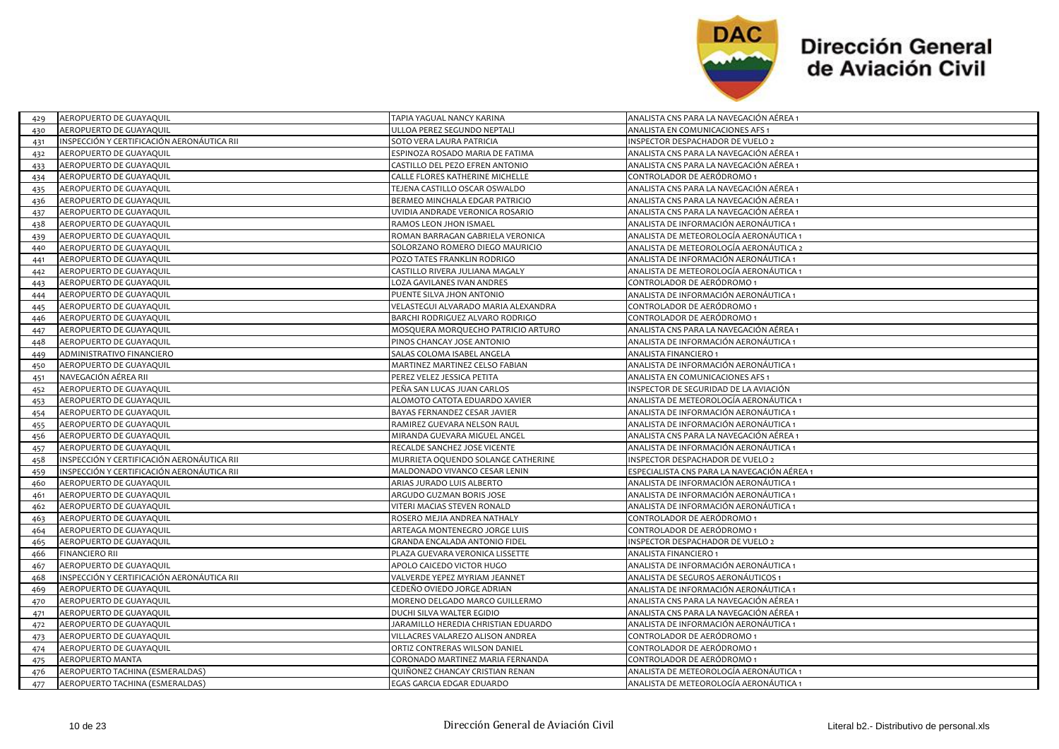

| 429 | AEROPUERTO DE GUAYAQUIL                    | TAPIA YAGUAL NANCY KARINA           | ANALISTA CNS PARA LA NAVEGACIÓN AÉREA 1     |
|-----|--------------------------------------------|-------------------------------------|---------------------------------------------|
| 430 | AEROPUERTO DE GUAYAQUIL                    | ULLOA PEREZ SEGUNDO NEPTALI         | ANALISTA EN COMUNICACIONES AFS 1            |
| 431 | INSPECCIÓN Y CERTIFICACIÓN AERONÁUTICA RII | SOTO VERA LAURA PATRICIA            | INSPECTOR DESPACHADOR DE VUELO 2            |
| 432 | AEROPUERTO DE GUAYAQUIL                    | ESPINOZA ROSADO MARIA DE FATIMA     | ANALISTA CNS PARA LA NAVEGACIÓN AÉREA 1     |
| 433 | AEROPUERTO DE GUAYAQUIL                    | CASTILLO DEL PEZO EFREN ANTONIO     | ANALISTA CNS PARA LA NAVEGACIÓN AÉREA 1     |
| 434 | AEROPUERTO DE GUAYAQUIL                    | CALLE FLORES KATHERINE MICHELLE     | CONTROLADOR DE AERÓDROMO 1                  |
| 435 | AEROPUERTO DE GUAYAQUIL                    | TEJENA CASTILLO OSCAR OSWALDO       | ANALISTA CNS PARA LA NAVEGACIÓN AÉREA 1     |
| 436 | AEROPUERTO DE GUAYAQUIL                    | BERMEO MINCHALA EDGAR PATRICIO      | ANALISTA CNS PARA LA NAVEGACIÓN AÉREA 1     |
| 437 | AEROPUERTO DE GUAYAQUIL                    | UVIDIA ANDRADE VERONICA ROSARIO     | ANALISTA CNS PARA LA NAVEGACIÓN AÉREA 1     |
| 438 | AEROPUERTO DE GUAYAQUIL                    | RAMOS LEON JHON ISMAEL              | ANALISTA DE INFORMACIÓN AERONÁUTICA 1       |
| 439 | AEROPUERTO DE GUAYAQUIL                    | ROMAN BARRAGAN GABRIELA VERONICA    | ANALISTA DE METEOROLOGÍA AERONÁUTICA 1      |
| 440 | AEROPUERTO DE GUAYAQUIL                    | SOLORZANO ROMERO DIEGO MAURICIO     | ANALISTA DE METEOROLOGÍA AERONÁUTICA 2      |
| 441 | AEROPUERTO DE GUAYAQUIL                    | POZO TATES FRANKLIN RODRIGO         | ANALISTA DE INFORMACIÓN AERONÁUTICA 1       |
| 442 | AEROPUERTO DE GUAYAQUIL                    | CASTILLO RIVERA JULIANA MAGALY      | ANALISTA DE METEOROLOGÍA AERONÁUTICA 1      |
| 443 | AEROPUERTO DE GUAYAQUIL                    | LOZA GAVILANES IVAN ANDRES          | CONTROLADOR DE AERÓDROMO 1                  |
| 444 | AEROPUERTO DE GUAYAQUIL                    | PUENTE SILVA JHON ANTONIO           | ANALISTA DE INFORMACIÓN AERONÁUTICA 1       |
| 445 | AEROPUERTO DE GUAYAQUIL                    | VELASTEGUI ALVARADO MARIA ALEXANDRA | CONTROLADOR DE AERÓDROMO 1                  |
| 446 | AEROPUERTO DE GUAYAQUIL                    | BARCHI RODRIGUEZ ALVARO RODRIGO     | CONTROLADOR DE AERÓDROMO 1                  |
| 447 | AEROPUERTO DE GUAYAQUIL                    | MOSQUERA MORQUECHO PATRICIO ARTURO  | ANALISTA CNS PARA LA NAVEGACIÓN AÉREA 1     |
| 448 | <b>AEROPUERTO DE GUAYAQUIL</b>             | PINOS CHANCAY JOSE ANTONIO          | ANALISTA DE INFORMACIÓN AERONÁUTICA 1       |
| 449 | ADMINISTRATIVO FINANCIERO                  | SALAS COLOMA ISABEL ANGELA          | ANALISTA FINANCIERO 1                       |
| 450 | AEROPUERTO DE GUAYAQUIL                    | MARTINEZ MARTINEZ CELSO FABIAN      | ANALISTA DE INFORMACIÓN AERONÁUTICA 1       |
| 451 | NAVEGACIÓN AÉREA RII                       | PEREZ VELEZ JESSICA PETITA          | ANALISTA EN COMUNICACIONES AFS 1            |
| 452 | AEROPUERTO DE GUAYAQUIL                    | PEÑA SAN LUCAS JUAN CARLOS          | INSPECTOR DE SEGURIDAD DE LA AVIACIÓN       |
| 453 | AEROPUERTO DE GUAYAQUIL                    | ALOMOTO CATOTA EDUARDO XAVIER       | ANALISTA DE METEOROLOGÍA AERONÁUTICA 1      |
| 454 | AEROPUERTO DE GUAYAQUIL                    | BAYAS FERNANDEZ CESAR JAVIER        | ANALISTA DE INFORMACIÓN AERONÁUTICA 1       |
| 455 | AEROPUERTO DE GUAYAQUIL                    | RAMIREZ GUEVARA NELSON RAUL         | ANALISTA DE INFORMACIÓN AERONÁUTICA 1       |
| 456 | AEROPUERTO DE GUAYAQUIL                    | MIRANDA GUEVARA MIGUEL ANGEL        | ANALISTA CNS PARA LA NAVEGACIÓN AÉREA 1     |
| 457 | AEROPUERTO DE GUAYAQUIL                    | RECALDE SANCHEZ JOSE VICENTE        | ANALISTA DE INFORMACIÓN AERONÁUTICA 1       |
| 458 | INSPECCIÓN Y CERTIFICACIÓN AERONÁUTICA RII | MURRIETA OQUENDO SOLANGE CATHERINE  | INSPECTOR DESPACHADOR DE VUELO 2            |
| 459 | INSPECCIÓN Y CERTIFICACIÓN AERONÁUTICA RII | MALDONADO VIVANCO CESAR LENIN       | ESPECIALISTA CNS PARA LA NAVEGACIÓN AÉREA 1 |
| 460 | AEROPUERTO DE GUAYAQUIL                    | ARIAS JURADO LUIS ALBERTO           | ANALISTA DE INFORMACIÓN AERONÁUTICA 1       |
| 461 | AEROPUERTO DE GUAYAQUIL                    | ARGUDO GUZMAN BORIS JOSE            | ANALISTA DE INFORMACIÓN AERONÁUTICA 1       |
| 462 | AEROPUERTO DE GUAYAQUIL                    | VITERI MACIAS STEVEN RONALD         | ANALISTA DE INFORMACIÓN AERONÁUTICA 1       |
| 463 | AEROPUERTO DE GUAYAQUIL                    | ROSERO MEJIA ANDREA NATHALY         | CONTROLADOR DE AERÓDROMO 1                  |
| 464 | AEROPUERTO DE GUAYAQUIL                    | ARTEAGA MONTENEGRO JORGE LUIS       | CONTROLADOR DE AERÓDROMO 1                  |
| 465 | AEROPUERTO DE GUAYAQUIL                    | GRANDA ENCALADA ANTONIO FIDEL       | INSPECTOR DESPACHADOR DE VUELO 2            |
| 466 | <b>FINANCIERO RII</b>                      | PLAZA GUEVARA VERONICA LISSETTE     | ANALISTA FINANCIERO 1                       |
| 467 | AEROPUERTO DE GUAYAQUIL                    | APOLO CAICEDO VICTOR HUGO           | ANALISTA DE INFORMACIÓN AERONÁUTICA 1       |
| 468 | INSPECCIÓN Y CERTIFICACIÓN AERONÁUTICA RII | VALVERDE YEPEZ MYRIAM JEANNET       | ANALISTA DE SEGUROS AERONÁUTICOS 1          |
| 469 | AEROPUERTO DE GUAYAQUIL                    | CEDEÑO OVIEDO JORGE ADRIAN          | ANALISTA DE INFORMACIÓN AERONÁUTICA 1       |
| 470 | AEROPUERTO DE GUAYAQUIL                    | MORENO DELGADO MARCO GUILLERMO      | ANALISTA CNS PARA LA NAVEGACIÓN AÉREA 1     |
| 471 | AEROPUERTO DE GUAYAQUIL                    | DUCHI SILVA WALTER EGIDIO           | ANALISTA CNS PARA LA NAVEGACIÓN AÉREA 1     |
| 472 | AEROPUERTO DE GUAYAQUIL                    | JARAMILLO HEREDIA CHRISTIAN EDUARDO | ANALISTA DE INFORMACIÓN AERONÁUTICA 1       |
| 473 | AEROPUERTO DE GUAYAQUIL                    | VILLACRES VALAREZO ALISON ANDREA    | CONTROLADOR DE AERÓDROMO 1                  |
| 474 | AEROPUERTO DE GUAYAQUIL                    | ORTIZ CONTRERAS WILSON DANIEL       | CONTROLADOR DE AERÓDROMO 1                  |
| 475 | AEROPUERTO MANTA                           | CORONADO MARTINEZ MARIA FERNANDA    | CONTROLADOR DE AERÓDROMO 1                  |
| 476 | AEROPUERTO TACHINA (ESMERALDAS)            | QUIÑONEZ CHANCAY CRISTIAN RENAN     | ANALISTA DE METEOROLOGÍA AERONÁUTICA 1      |
| 477 | AEROPUERTO TACHINA (ESMERALDAS)            | EGAS GARCIA EDGAR EDUARDO           | ANALISTA DE METEOROLOGÍA AERONÁUTICA 1      |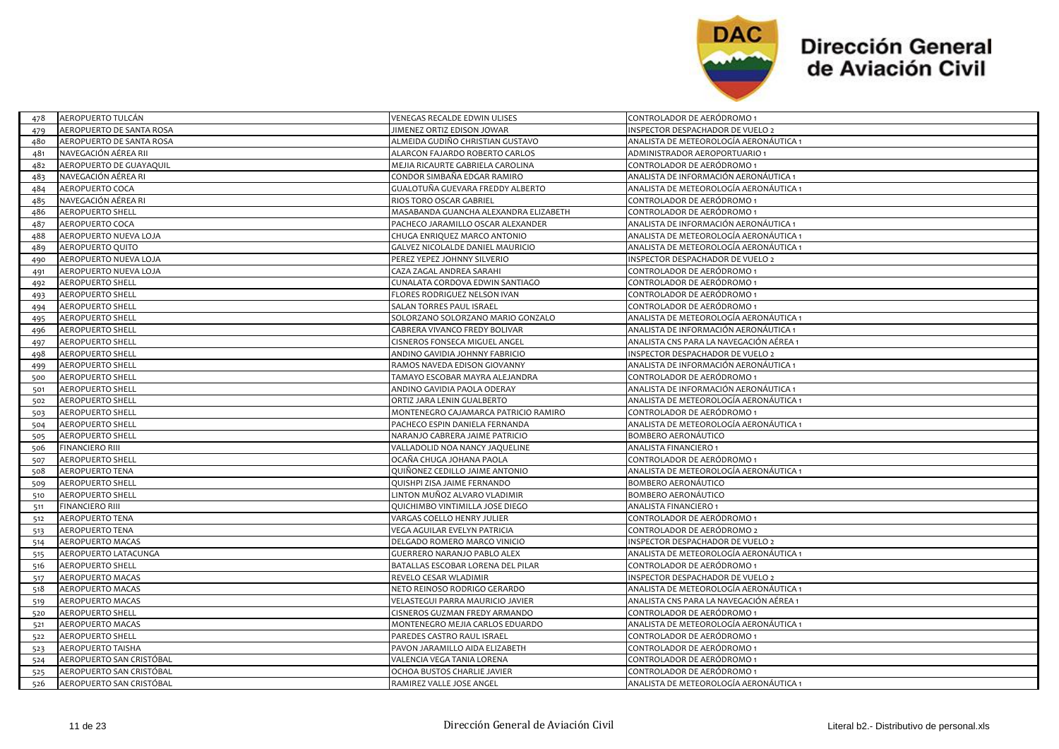

| 478        | AEROPUERTO TULCÁN                               | VENEGAS RECALDE EDWIN ULISES                                     | CONTROLADOR DE AERÓDROMO 1                                           |
|------------|-------------------------------------------------|------------------------------------------------------------------|----------------------------------------------------------------------|
| 479        | AEROPUERTO DE SANTA ROSA                        | JIMENEZ ORTIZ EDISON JOWAR                                       | INSPECTOR DESPACHADOR DE VUELO 2                                     |
| 480        | AEROPUERTO DE SANTA ROSA                        | ALMEIDA GUDIÑO CHRISTIAN GUSTAVO                                 | ANALISTA DE METEOROLOGÍA AERONÁUTICA 1                               |
| 481        | NAVEGACIÓN AÉREA RII                            | ALARCON FAJARDO ROBERTO CARLOS                                   | ADMINISTRADOR AEROPORTUARIO 1                                        |
| 482        | AEROPUERTO DE GUAYAQUIL                         | MEJIA RICAURTE GABRIELA CAROLINA                                 | CONTROLADOR DE AERÓDROMO 1                                           |
| 483        | NAVEGACIÓN AÉREA RI                             | CONDOR SIMBAÑA EDGAR RAMIRO                                      | ANALISTA DE INFORMACIÓN AERONÁUTICA 1                                |
| 484        | <b>AEROPUERTO COCA</b>                          | GUALOTUÑA GUEVARA FREDDY ALBERTO                                 | ANALISTA DE METEOROLOGÍA AERONÁUTICA 1                               |
| 485        | NAVEGACIÓN AÉREA RI                             | RIOS TORO OSCAR GABRIEL                                          | CONTROLADOR DE AERÓDROMO 1                                           |
| 486        | <b>AEROPUERTO SHELL</b>                         | MASABANDA GUANCHA ALEXANDRA ELIZABETH                            | CONTROLADOR DE AERÓDROMO 1                                           |
| 487        | AEROPUERTO COCA                                 | PACHECO JARAMILLO OSCAR ALEXANDER                                | ANALISTA DE INFORMACIÓN AERONÁUTICA 1                                |
| 488        | AEROPUERTO NUEVA LOJA                           | CHUGA ENRIQUEZ MARCO ANTONIO                                     | ANALISTA DE METEOROLOGÍA AERONÁUTICA 1                               |
| 489        | <b>AEROPUERTO QUITO</b>                         | GALVEZ NICOLALDE DANIEL MAURICIO                                 | ANALISTA DE METEOROLOGÍA AERONÁUTICA 1                               |
| 490        | AEROPUERTO NUEVA LOJA                           | PEREZ YEPEZ JOHNNY SILVERIO                                      | INSPECTOR DESPACHADOR DE VUELO 2                                     |
| 491        | AEROPUERTO NUEVA LOJA                           | CAZA ZAGAL ANDREA SARAHI                                         | CONTROLADOR DE AERÓDROMO 1                                           |
| 492        | <b>AEROPUERTO SHELL</b>                         | CUNALATA CORDOVA EDWIN SANTIAGO                                  | CONTROLADOR DE AERÓDROMO 1                                           |
| 493        | <b>AEROPUERTO SHELL</b>                         | FLORES RODRIGUEZ NELSON IVAN                                     | CONTROLADOR DE AERÓDROMO 1                                           |
| 494        | <b>AEROPUERTO SHELL</b>                         | SALAN TORRES PAUL ISRAEL                                         | CONTROLADOR DE AERÓDROMO 1                                           |
| 495        | <b>AEROPUERTO SHELL</b>                         | SOLORZANO SOLORZANO MARIO GONZALO                                | ANALISTA DE METEOROLOGÍA AERONÁUTICA 1                               |
| 496        | <b>AEROPUERTO SHELL</b>                         | CABRERA VIVANCO FREDY BOLIVAR                                    | ANALISTA DE INFORMACIÓN AERONÁUTICA 1                                |
| 497        | <b>AEROPUERTO SHELL</b>                         | CISNEROS FONSECA MIGUEL ANGEL                                    | ANALISTA CNS PARA LA NAVEGACIÓN AÉREA 1                              |
| 498        | <b>AEROPUERTO SHELL</b>                         | ANDINO GAVIDIA JOHNNY FABRICIO                                   | INSPECTOR DESPACHADOR DE VUELO 2                                     |
| 499        | <b>AEROPUERTO SHELL</b>                         | RAMOS NAVEDA EDISON GIOVANNY                                     | ANALISTA DE INFORMACIÓN AERONÁUTICA 1                                |
| 500        | <b>AEROPUERTO SHELL</b>                         | TAMAYO ESCOBAR MAYRA ALEJANDRA                                   | CONTROLADOR DE AERÓDROMO 1                                           |
| 501        | <b>AEROPUERTO SHELL</b>                         | ANDINO GAVIDIA PAOLA ODERAY                                      | ANALISTA DE INFORMACIÓN AERONÁUTICA 1                                |
| 502        | <b>AEROPUERTO SHELL</b>                         | ORTIZ JARA LENIN GUALBERTO                                       | ANALISTA DE METEOROLOGÍA AERONÁUTICA 1                               |
| 503        | <b>AEROPUERTO SHELL</b>                         | MONTENEGRO CAJAMARCA PATRICIO RAMIRO                             | CONTROLADOR DE AERÓDROMO 1                                           |
| 504        | <b>AEROPUERTO SHELL</b>                         | PACHECO ESPIN DANIELA FERNANDA                                   | ANALISTA DE METEOROLOGÍA AERONÁUTICA 1                               |
| 505        | <b>AEROPUERTO SHELL</b>                         | NARANJO CABRERA JAIME PATRICIO                                   | BOMBERO AERONÁUTICO                                                  |
| 506        | FINANCIERO RIII                                 | VALLADOLID NOA NANCY JAQUELINE                                   | ANALISTA FINANCIERO 1                                                |
| 507        | <b>AEROPUERTO SHELL</b>                         | OCAÑA CHUGA JOHANA PAOLA                                         | CONTROLADOR DE AERÓDROMO 1                                           |
| 508        | <b>AEROPUERTO TENA</b>                          | QUIÑONEZ CEDILLO JAIME ANTONIO                                   | ANALISTA DE METEOROLOGÍA AERONÁUTICA 1                               |
| 509        | <b>AEROPUERTO SHELL</b>                         | QUISHPI ZISA JAIME FERNANDO                                      | BOMBERO AERONÁUTICO                                                  |
| 510        | <b>AEROPUERTO SHELL</b>                         | LINTON MUÑOZ ALVARO VLADIMIR                                     | BOMBERO AERONÁUTICO                                                  |
| 511        | FINANCIERO RIII                                 | QUICHIMBO VINTIMILLA JOSE DIEGO                                  | ANALISTA FINANCIERO 1                                                |
| 512        | <b>AEROPUERTO TENA</b>                          | VARGAS COELLO HENRY JULIER                                       | CONTROLADOR DE AERÓDROMO 1                                           |
| 513        | <b>AEROPUERTO TENA</b>                          | VEGA AGUILAR EVELYN PATRICIA                                     | CONTROLADOR DE AERÓDROMO 2                                           |
| 514        | AEROPUERTO MACAS                                | DELGADO ROMERO MARCO VINICIO                                     | INSPECTOR DESPACHADOR DE VUELO 2                                     |
| 515        | AEROPUERTO LATACUNGA<br><b>AEROPUERTO SHELL</b> | GUERRERO NARANJO PABLO ALEX<br>BATALLAS ESCOBAR LORENA DEL PILAR | ANALISTA DE METEOROLOGÍA AERONÁUTICA 1<br>CONTROLADOR DE AERÓDROMO 1 |
| 516        | AEROPUERTO MACAS                                | REVELO CESAR WLADIMIR                                            | INSPECTOR DESPACHADOR DE VUELO 2                                     |
| 517<br>518 | <b>AEROPUERTO MACAS</b>                         | NETO REINOSO RODRIGO GERARDO                                     | ANALISTA DE METEOROLOGÍA AERONÁUTICA 1                               |
| 519        | <b>AEROPUERTO MACAS</b>                         | VELASTEGUI PARRA MAURICIO JAVIER                                 | ANALISTA CNS PARA LA NAVEGACIÓN AÉREA 1                              |
| 520        | <b>AEROPUERTO SHELL</b>                         | CISNEROS GUZMAN FREDY ARMANDO                                    | CONTROLADOR DE AERÓDROMO 1                                           |
| 521        | <b>AEROPUERTO MACAS</b>                         | MONTENEGRO MEJIA CARLOS EDUARDO                                  | ANALISTA DE METEOROLOGÍA AERONÁUTICA 1                               |
| 522        | <b>AEROPUERTO SHELL</b>                         | PAREDES CASTRO RAUL ISRAEL                                       | CONTROLADOR DE AERÓDROMO 1                                           |
| 523        | <b>AEROPUERTO TAISHA</b>                        | PAVON JARAMILLO AIDA ELIZABETH                                   | CONTROLADOR DE AERÓDROMO 1                                           |
| 524        | AEROPUERTO SAN CRISTÓBAL                        | VALENCIA VEGA TANIA LORENA                                       | CONTROLADOR DE AERÓDROMO 1                                           |
| 525        | AEROPUERTO SAN CRISTÓBAL                        | OCHOA BUSTOS CHARLIE JAVIER                                      | CONTROLADOR DE AERÓDROMO 1                                           |
| 526        | AEROPUERTO SAN CRISTÓBAL                        | RAMIREZ VALLE JOSE ANGEL                                         | ANALISTA DE METEOROLOGÍA AERONÁUTICA 1                               |
|            |                                                 |                                                                  |                                                                      |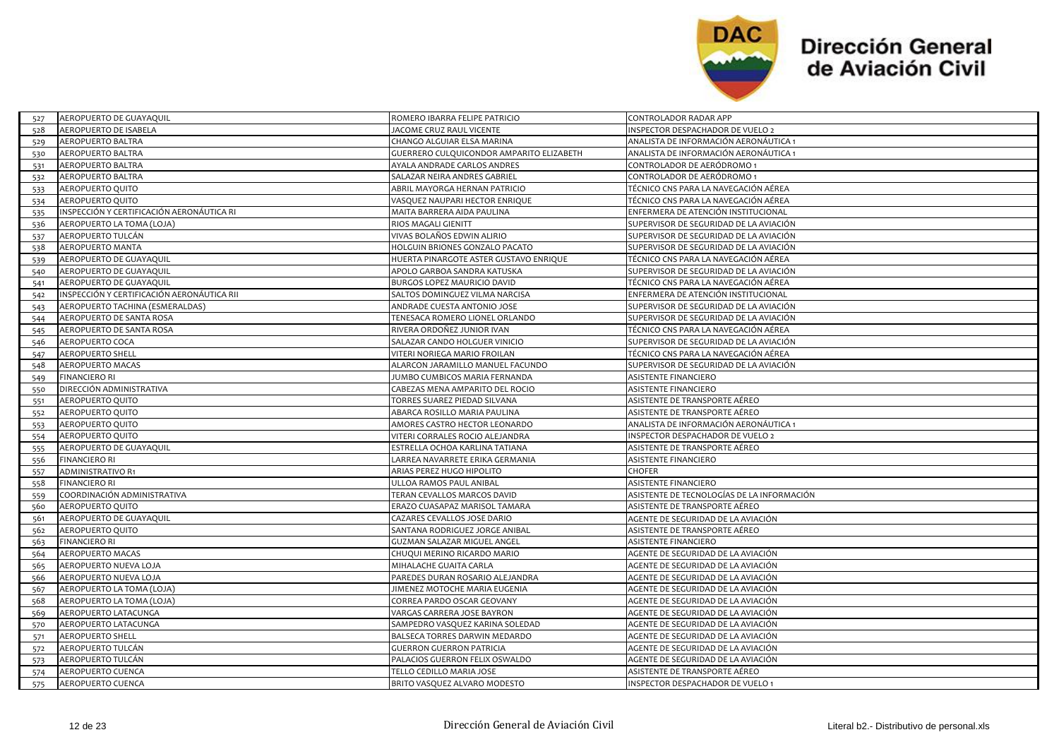

| 527        | AEROPUERTO DE GUAYAQUIL                                | ROMERO IBARRA FELIPE PATRICIO                                    | CONTROLADOR RADAR APP                                                    |
|------------|--------------------------------------------------------|------------------------------------------------------------------|--------------------------------------------------------------------------|
| 528        | AEROPUERTO DE ISABELA                                  | JACOME CRUZ RAUL VICENTE                                         | INSPECTOR DESPACHADOR DE VUELO 2                                         |
| 529        | <b>AEROPUERTO BALTRA</b>                               | CHANGO ALGUIAR ELSA MARINA                                       | ANALISTA DE INFORMACIÓN AERONÁUTICA 1                                    |
| 530        | <b>AEROPUERTO BALTRA</b>                               | GUERRERO CULQUICONDOR AMPARITO ELIZABETH                         | ANALISTA DE INFORMACIÓN AERONÁUTICA 1                                    |
| 531        | <b>AEROPUERTO BALTRA</b>                               | AYALA ANDRADE CARLOS ANDRES                                      | CONTROLADOR DE AERÓDROMO 1                                               |
| 532        | AEROPUERTO BALTRA                                      | SALAZAR NEIRA ANDRES GABRIEL                                     | CONTROLADOR DE AERÓDROMO 1                                               |
| 533        | <b>AEROPUERTO QUITO</b>                                | ABRIL MAYORGA HERNAN PATRICIO                                    | TÉCNICO CNS PARA LA NAVEGACIÓN AÉREA                                     |
| 534        | <b>AEROPUERTO QUITO</b>                                | VASQUEZ NAUPARI HECTOR ENRIQUE                                   | TÉCNICO CNS PARA LA NAVEGACIÓN AÉREA                                     |
| 535        | INSPECCIÓN Y CERTIFICACIÓN AERONÁUTICA RI              | MAITA BARRERA AIDA PAULINA                                       | ENFERMERA DE ATENCIÓN INSTITUCIONAL                                      |
| 536        | AEROPUERTO LA TOMA (LOJA)                              | RIOS MAGALI GIENITT                                              | SUPERVISOR DE SEGURIDAD DE LA AVIACIÓN                                   |
| 537        | AEROPUERTO TULCÁN                                      | VIVAS BOLAÑOS EDWIN ALIRIO                                       | SUPERVISOR DE SEGURIDAD DE LA AVIACIÓN                                   |
| 538        | AEROPUERTO MANTA                                       | HOLGUIN BRIONES GONZALO PACATO                                   | SUPERVISOR DE SEGURIDAD DE LA AVIACIÓN                                   |
| 539        | AEROPUERTO DE GUAYAQUIL                                | HUERTA PINARGOTE ASTER GUSTAVO ENRIQUE                           | TÉCNICO CNS PARA LA NAVEGACIÓN AÉREA                                     |
| 540        | AEROPUERTO DE GUAYAQUIL                                | APOLO GARBOA SANDRA KATUSKA                                      | SUPERVISOR DE SEGURIDAD DE LA AVIACIÓN                                   |
| 541        | AEROPUERTO DE GUAYAQUIL                                | BURGOS LOPEZ MAURICIO DAVID                                      | TÉCNICO CNS PARA LA NAVEGACIÓN AÉREA                                     |
| 542        | INSPECCIÓN Y CERTIFICACIÓN AERONÁUTICA RII             | SALTOS DOMINGUEZ VILMA NARCISA                                   | ENFERMERA DE ATENCIÓN INSTITUCIONAL                                      |
| 543        | AEROPUERTO TACHINA (ESMERALDAS)                        | ANDRADE CUESTA ANTONIO JOSE                                      | SUPERVISOR DE SEGURIDAD DE LA AVIACIÓN                                   |
| 544        | AEROPUERTO DE SANTA ROSA                               | TENESACA ROMERO LIONEL ORLANDO                                   | SUPERVISOR DE SEGURIDAD DE LA AVIACIÓN                                   |
| 545        | AEROPUERTO DE SANTA ROSA                               | RIVERA ORDOÑEZ JUNIOR IVAN                                       | TÉCNICO CNS PARA LA NAVEGACIÓN AÉREA                                     |
| 546        | <b>AEROPUERTO COCA</b>                                 | SALAZAR CANDO HOLGUER VINICIO                                    | SUPERVISOR DE SEGURIDAD DE LA AVIACIÓN                                   |
| 547        | <b>AEROPUERTO SHELL</b>                                | VITERI NORIEGA MARIO FROILAN                                     | TÉCNICO CNS PARA LA NAVEGACIÓN AÉREA                                     |
| 548        | <b>AEROPUERTO MACAS</b>                                | ALARCON JARAMILLO MANUEL FACUNDO                                 | SUPERVISOR DE SEGURIDAD DE LA AVIACIÓN                                   |
| 549        | <b>FINANCIERO RI</b>                                   | JUMBO CUMBICOS MARIA FERNANDA                                    | ASISTENTE FINANCIERO                                                     |
| 550        | DIRECCIÓN ADMINISTRATIVA                               | CABEZAS MENA AMPARITO DEL ROCIO                                  | ASISTENTE FINANCIERO                                                     |
| 551        | AEROPUERTO QUITO                                       | TORRES SUAREZ PIEDAD SILVANA                                     | ASISTENTE DE TRANSPORTE AÉREO                                            |
| 552        | <b>AEROPUERTO QUITO</b>                                | ABARCA ROSILLO MARIA PAULINA                                     | ASISTENTE DE TRANSPORTE AÉREO                                            |
| 553        | AEROPUERTO QUITO                                       | AMORES CASTRO HECTOR LEONARDO                                    | ANALISTA DE INFORMACIÓN AERONÁUTICA 1                                    |
| 554        | <b>AEROPUERTO QUITO</b>                                | VITERI CORRALES ROCIO ALEJANDRA                                  | INSPECTOR DESPACHADOR DE VUELO 2                                         |
| 555        | AEROPUERTO DE GUAYAQUIL                                | ESTRELLA OCHOA KARLINA TATIANA                                   | ASISTENTE DE TRANSPORTE AÉREO                                            |
| 556        | FINANCIERO RI                                          | LARREA NAVARRETE ERIKA GERMANIA                                  | ASISTENTE FINANCIERO                                                     |
| 557        | <b>ADMINISTRATIVO R1</b>                               | ARIAS PEREZ HUGO HIPOLITO                                        | CHOFER                                                                   |
| 558        | FINANCIERO RI                                          | ULLOA RAMOS PAUL ANIBAL                                          | ASISTENTE FINANCIERO                                                     |
| 559        | COORDINACIÓN ADMINISTRATIVA                            | TERAN CEVALLOS MARCOS DAVID                                      | ASISTENTE DE TECNOLOGÍAS DE LA INFORMACIÓN                               |
| 560        | AEROPUERTO QUITO                                       | ERAZO CUASAPAZ MARISOL TAMARA                                    | ASISTENTE DE TRANSPORTE AÉREO                                            |
| 561        | AEROPUERTO DE GUAYAQUIL                                | CAZARES CEVALLOS JOSE DARIO                                      | AGENTE DE SEGURIDAD DE LA AVIACIÓN                                       |
| 562        | AEROPUERTO QUITO                                       | SANTANA RODRIGUEZ JORGE ANIBAL                                   | ASISTENTE DE TRANSPORTE AÉREO                                            |
| 563        | <b>FINANCIERO RI</b>                                   | GUZMAN SALAZAR MIGUEL ANGEL                                      | ASISTENTE FINANCIERO                                                     |
| 564        | <b>AEROPUERTO MACAS</b>                                | CHUQUI MERINO RICARDO MARIO                                      | AGENTE DE SEGURIDAD DE LA AVIACIÓN                                       |
| 565        | AEROPUERTO NUEVA LOJA                                  | MIHALACHE GUAITA CARLA                                           | AGENTE DE SEGURIDAD DE LA AVIACIÓN                                       |
| 566        | AEROPUERTO NUEVA LOJA                                  | PAREDES DURAN ROSARIO ALEJANDRA                                  | AGENTE DE SEGURIDAD DE LA AVIACIÓN                                       |
| 567<br>568 | AEROPUERTO LA TOMA (LOJA)<br>AEROPUERTO LA TOMA (LOJA) | JIMENEZ MOTOCHE MARIA EUGENIA<br>CORREA PARDO OSCAR GEOVANY      | AGENTE DE SEGURIDAD DE LA AVIACIÓN<br>AGENTE DE SEGURIDAD DE LA AVIACIÓN |
|            | AEROPUERTO LATACUNGA                                   | VARGAS CARRERA JOSE BAYRON                                       | AGENTE DE SEGURIDAD DE LA AVIACIÓN                                       |
| 569        | AEROPUERTO LATACUNGA                                   |                                                                  | AGENTE DE SEGURIDAD DE LA AVIACIÓN                                       |
| 570        | <b>AEROPUERTO SHELL</b>                                | SAMPEDRO VASQUEZ KARINA SOLEDAD<br>BALSECA TORRES DARWIN MEDARDO | AGENTE DE SEGURIDAD DE LA AVIACIÓN                                       |
| 571<br>572 | AEROPUERTO TULCÁN                                      | <b>GUERRON GUERRON PATRICIA</b>                                  | AGENTE DE SEGURIDAD DE LA AVIACIÓN                                       |
|            | AEROPUERTO TULCÁN                                      | PALACIOS GUERRON FELIX OSWALDO                                   | AGENTE DE SEGURIDAD DE LA AVIACIÓN                                       |
| 573<br>574 | <b>AEROPUERTO CUENCA</b>                               | TELLO CEDILLO MARIA JOSE                                         | ASISTENTE DE TRANSPORTE AÉREO                                            |
|            | <b>AEROPUERTO CUENCA</b>                               | BRITO VASQUEZ ALVARO MODESTO                                     | INSPECTOR DESPACHADOR DE VUELO 1                                         |
| 575        |                                                        |                                                                  |                                                                          |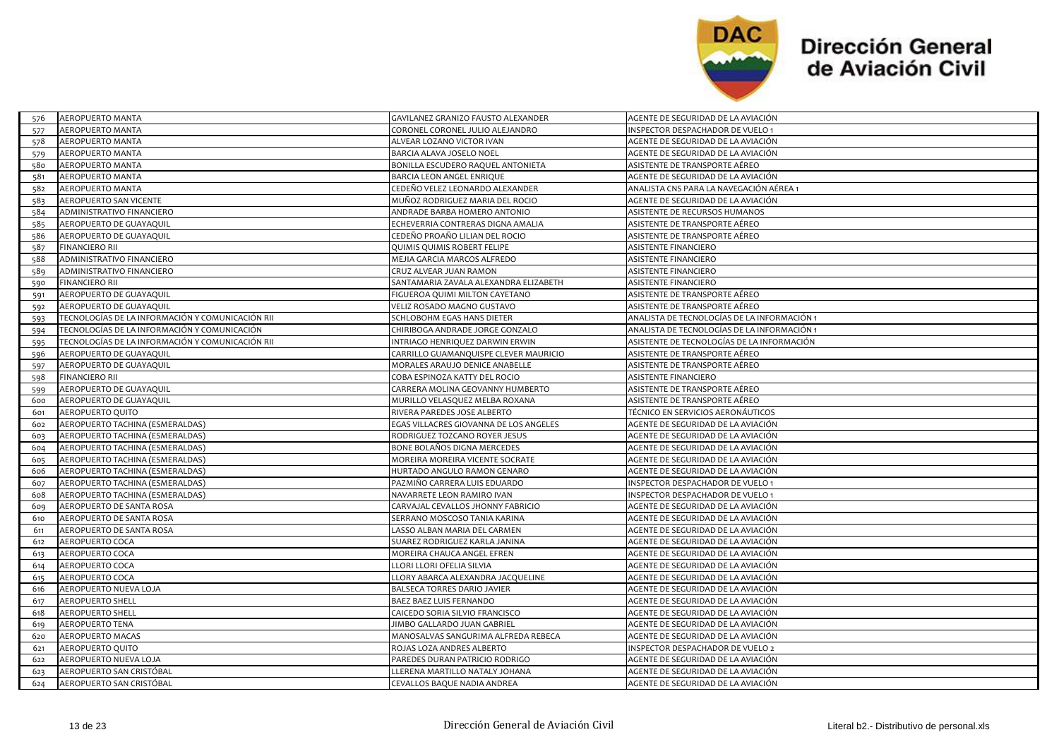

| 576 | <b>AEROPUERTO MANTA</b>                          | GAVILANEZ GRANIZO FAUSTO ALEXANDER     | AGENTE DE SEGURIDAD DE LA AVIACIÓN          |
|-----|--------------------------------------------------|----------------------------------------|---------------------------------------------|
| 577 | <b>AEROPUERTO MANTA</b>                          | CORONEL CORONEL JULIO ALEJANDRO        | INSPECTOR DESPACHADOR DE VUELO 1            |
| 578 | <b>AEROPUERTO MANTA</b>                          | ALVEAR LOZANO VICTOR IVAN              | AGENTE DE SEGURIDAD DE LA AVIACIÓN          |
| 579 | <b>AEROPUERTO MANTA</b>                          | BARCIA ALAVA JOSELO NOEL               | AGENTE DE SEGURIDAD DE LA AVIACIÓN          |
| 580 | <b>AEROPUERTO MANTA</b>                          | BONILLA ESCUDERO RAQUEL ANTONIETA      | ASISTENTE DE TRANSPORTE AÉREO               |
| 581 | <b>AEROPUERTO MANTA</b>                          | BARCIA LEON ANGEL ENRIQUE              | AGENTE DE SEGURIDAD DE LA AVIACIÓN          |
| 582 | <b>AEROPUERTO MANTA</b>                          | CEDEÑO VELEZ LEONARDO ALEXANDER        | ANALISTA CNS PARA LA NAVEGACIÓN AÉREA 1     |
| 583 | AEROPUERTO SAN VICENTE                           | MUÑOZ RODRIGUEZ MARIA DEL ROCIO        | AGENTE DE SEGURIDAD DE LA AVIACIÓN          |
| 584 | ADMINISTRATIVO FINANCIERO                        | ANDRADE BARBA HOMERO ANTONIO           | ASISTENTE DE RECURSOS HUMANOS               |
| 585 | AEROPUERTO DE GUAYAQUIL                          | ECHEVERRIA CONTRERAS DIGNA AMALIA      | ASISTENTE DE TRANSPORTE AÉREO               |
| 586 | AEROPUERTO DE GUAYAQUIL                          | CEDEÑO PROAÑO LILIAN DEL ROCIO         | ASISTENTE DE TRANSPORTE AÉREO               |
| 587 | FINANCIERO RII                                   | QUIMIS QUIMIS ROBERT FELIPE            | ASISTENTE FINANCIERO                        |
| 588 | ADMINISTRATIVO FINANCIERO                        | MEJIA GARCIA MARCOS ALFREDO            | ASISTENTE FINANCIERO                        |
| 589 | ADMINISTRATIVO FINANCIERO                        | CRUZ ALVEAR JUAN RAMON                 | ASISTENTE FINANCIERO                        |
| 590 | <b>FINANCIERO RII</b>                            | SANTAMARIA ZAVALA ALEXANDRA ELIZABETH  | ASISTENTE FINANCIERO                        |
| 591 | AEROPUERTO DE GUAYAQUIL                          | FIGUEROA QUIMI MILTON CAYETANO         | ASISTENTE DE TRANSPORTE AÉREO               |
| 592 | AEROPUERTO DE GUAYAQUIL                          | VELIZ ROSADO MAGNO GUSTAVO             | ASISTENTE DE TRANSPORTE AÉREO               |
| 593 | TECNOLOGÍAS DE LA INFORMACIÓN Y COMUNICACIÓN RII | SCHLOBOHM EGAS HANS DIETER             | ANALISTA DE TECNOLOGÍAS DE LA INFORMACIÓN 1 |
| 594 | TECNOLOGÍAS DE LA INFORMACIÓN Y COMUNICACIÓN     | CHIRIBOGA ANDRADE JORGE GONZALO        | ANALISTA DE TECNOLOGÍAS DE LA INFORMACIÓN 1 |
| 595 | TECNOLOGÍAS DE LA INFORMACIÓN Y COMUNICACIÓN RII | INTRIAGO HENRIQUEZ DARWIN ERWIN        | ASISTENTE DE TECNOLOGÍAS DE LA INFORMACIÓN  |
| 596 | AEROPUERTO DE GUAYAQUIL                          | CARRILLO GUAMANQUISPE CLEVER MAURICIO  | ASISTENTE DE TRANSPORTE AÉREO               |
| 597 | AEROPUERTO DE GUAYAQUIL                          | MORALES ARAUJO DENICE ANABELLE         | ASISTENTE DE TRANSPORTE AÉREO               |
| 598 | <b>FINANCIERO RII</b>                            | COBA ESPINOZA KATTY DEL ROCIO          | <b>ASISTENTE FINANCIERO</b>                 |
| 599 | AEROPUERTO DE GUAYAQUIL                          | CARRERA MOLINA GEOVANNY HUMBERTO       | ASISTENTE DE TRANSPORTE AÉREO               |
| 600 | AEROPUERTO DE GUAYAQUIL                          | MURILLO VELASQUEZ MELBA ROXANA         | ASISTENTE DE TRANSPORTE AÉREO               |
| 601 | <b>AEROPUERTO QUITO</b>                          | RIVERA PAREDES JOSE ALBERTO            | TÉCNICO EN SERVICIOS AERONÁUTICOS           |
| 602 | AEROPUERTO TACHINA (ESMERALDAS)                  | EGAS VILLACRES GIOVANNA DE LOS ANGELES | AGENTE DE SEGURIDAD DE LA AVIACIÓN          |
| 603 | AEROPUERTO TACHINA (ESMERALDAS)                  | RODRIGUEZ TOZCANO ROYER JESUS          | AGENTE DE SEGURIDAD DE LA AVIACIÓN          |
| 604 | AEROPUERTO TACHINA (ESMERALDAS)                  | BONE BOLAÑOS DIGNA MERCEDES            | AGENTE DE SEGURIDAD DE LA AVIACIÓN          |
| 605 | AEROPUERTO TACHINA (ESMERALDAS)                  | MOREIRA MOREIRA VICENTE SOCRATE        | AGENTE DE SEGURIDAD DE LA AVIACIÓN          |
| 606 | AEROPUERTO TACHINA (ESMERALDAS)                  | HURTADO ANGULO RAMON GENARO            | AGENTE DE SEGURIDAD DE LA AVIACIÓN          |
| 607 | AEROPUERTO TACHINA (ESMERALDAS)                  | PAZMIÑO CARRERA LUIS EDUARDO           | INSPECTOR DESPACHADOR DE VUELO 1            |
| 608 | AEROPUERTO TACHINA (ESMERALDAS)                  | NAVARRETE LEON RAMIRO IVAN             | INSPECTOR DESPACHADOR DE VUELO 1            |
| 609 | AEROPUERTO DE SANTA ROSA                         | CARVAJAL CEVALLOS JHONNY FABRICIO      | AGENTE DE SEGURIDAD DE LA AVIACIÓN          |
| 610 | AEROPUERTO DE SANTA ROSA                         | SERRANO MOSCOSO TANIA KARINA           | AGENTE DE SEGURIDAD DE LA AVIACIÓN          |
| 611 | AEROPUERTO DE SANTA ROSA                         | LASSO ALBAN MARIA DEL CARMEN           | AGENTE DE SEGURIDAD DE LA AVIACIÓN          |
| 612 | <b>AEROPUERTO COCA</b>                           | SUAREZ RODRIGUEZ KARLA JANINA          | AGENTE DE SEGURIDAD DE LA AVIACIÓN          |
| 613 | AEROPUERTO COCA                                  | MOREIRA CHAUCA ANGEL EFREN             | AGENTE DE SEGURIDAD DE LA AVIACIÓN          |
| 614 | <b>AEROPUERTO COCA</b>                           | LLORI LLORI OFELIA SILVIA              | AGENTE DE SEGURIDAD DE LA AVIACIÓN          |
| 615 | <b>AEROPUERTO COCA</b>                           | LLORY ABARCA ALEXANDRA JACQUELINE      | AGENTE DE SEGURIDAD DE LA AVIACIÓN          |
| 616 | AEROPUERTO NUEVA LOJA                            | BALSECA TORRES DARIO JAVIER            | AGENTE DE SEGURIDAD DE LA AVIACIÓN          |
| 617 | <b>AEROPUERTO SHELI</b>                          | BAEZ BAEZ LUIS FERNANDO                | AGENTE DE SEGURIDAD DE LA AVIACIÓN          |
| 618 | <b>AEROPUERTO SHELL</b>                          | CAICEDO SORIA SILVIO FRANCISCO         | AGENTE DE SEGURIDAD DE LA AVIACIÓN          |
| 619 | <b>AEROPUERTO TENA</b>                           | JIMBO GALLARDO JUAN GABRIEL            | AGENTE DE SEGURIDAD DE LA AVIACIÓN          |
| 620 | <b>AEROPUERTO MACAS</b>                          | MANOSALVAS SANGURIMA ALFREDA REBECA    | AGENTE DE SEGURIDAD DE LA AVIACIÓN          |
| 621 | AEROPUERTO QUITO                                 | ROJAS LOZA ANDRES ALBERTO              | INSPECTOR DESPACHADOR DE VUELO 2            |
| 622 | AEROPUERTO NUEVA LOJA                            | PAREDES DURAN PATRICIO RODRIGO         | AGENTE DE SEGURIDAD DE LA AVIACIÓN          |
| 623 | AEROPUERTO SAN CRISTÓBAL                         | LLERENA MARTILLO NATALY JOHANA         | AGENTE DE SEGURIDAD DE LA AVIACIÓN          |
| 624 | AEROPUERTO SAN CRISTÓBAL                         | CEVALLOS BAQUE NADIA ANDREA            | AGENTE DE SEGURIDAD DE LA AVIACIÓN          |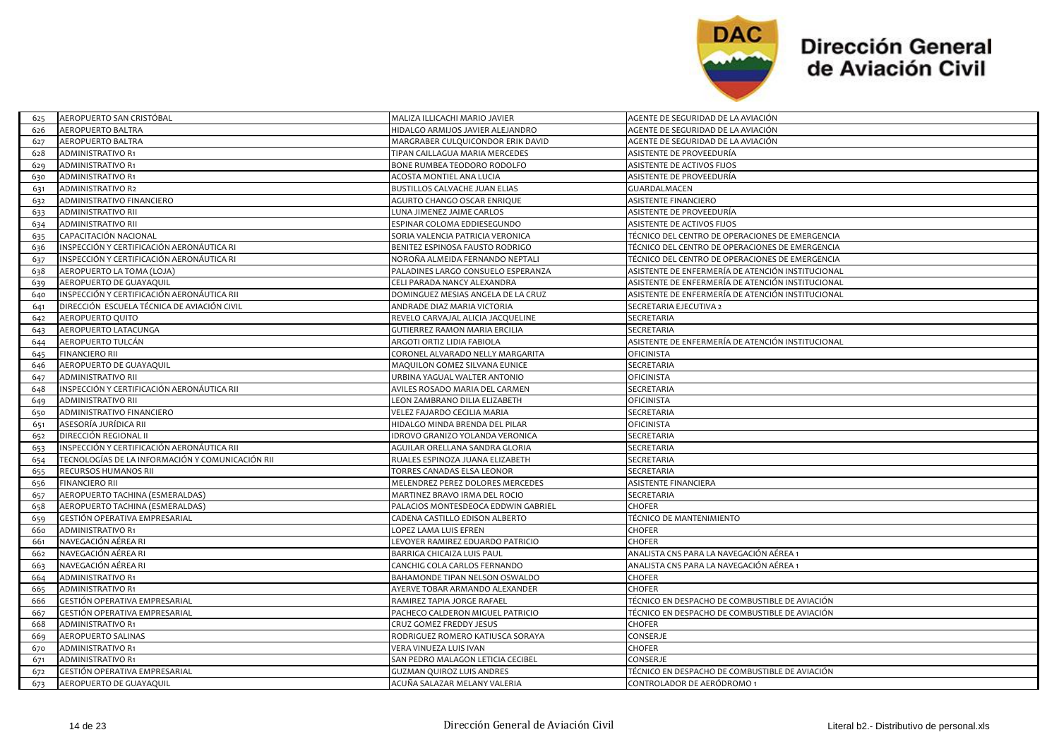

| 625 | AEROPUERTO SAN CRISTÓBAL                         | MALIZA ILLICACHI MARIO JAVIER       | AGENTE DE SEGURIDAD DE LA AVIACIÓN                |
|-----|--------------------------------------------------|-------------------------------------|---------------------------------------------------|
| 626 | AEROPUERTO BALTRA                                | HIDALGO ARMIJOS JAVIER ALEJANDRO    | AGENTE DE SEGURIDAD DE LA AVIACIÓN                |
| 627 | <b>AEROPUERTO BALTRA</b>                         | MARGRABER CULQUICONDOR ERIK DAVID   | AGENTE DE SEGURIDAD DE LA AVIACIÓN                |
| 628 | <b>ADMINISTRATIVO R1</b>                         | TIPAN CAILLAGUA MARIA MERCEDES      | ASISTENTE DE PROVEEDURÍA                          |
| 629 | <b>ADMINISTRATIVO R1</b>                         | BONE RUMBEA TEODORO RODOLFO         | ASISTENTE DE ACTIVOS FIJOS                        |
| 630 | <b>ADMINISTRATIVO R1</b>                         | ACOSTA MONTIEL ANA LUCIA            | ASISTENTE DE PROVEEDURÍA                          |
| 631 | <b>ADMINISTRATIVO R2</b>                         | BUSTILLOS CALVACHE JUAN ELIAS       | GUARDALMACEN                                      |
| 632 | ADMINISTRATIVO FINANCIERO                        | AGURTO CHANGO OSCAR ENRIQUE         | <b>ASISTENTE FINANCIERO</b>                       |
| 633 | <b>ADMINISTRATIVO RII</b>                        | LUNA JIMENEZ JAIME CARLOS           | ASISTENTE DE PROVEEDURÍA                          |
| 634 | ADMINISTRATIVO RII                               | ESPINAR COLOMA EDDIESEGUNDO         | ASISTENTE DE ACTIVOS FIJOS                        |
| 635 | CAPACITACIÓN NACIONAL                            | SORIA VALENCIA PATRICIA VERONICA    | TÉCNICO DEL CENTRO DE OPERACIONES DE EMERGENCIA   |
| 636 | INSPECCIÓN Y CERTIFICACIÓN AERONÁUTICA RI        | BENITEZ ESPINOSA FAUSTO RODRIGO     | TÉCNICO DEL CENTRO DE OPERACIONES DE EMERGENCIA   |
| 637 | INSPECCIÓN Y CERTIFICACIÓN AERONÁUTICA RI        | NOROÑA ALMEIDA FERNANDO NEPTALI     | TÉCNICO DEL CENTRO DE OPERACIONES DE EMERGENCIA   |
| 638 | AEROPUERTO LA TOMA (LOJA)                        | PALADINES LARGO CONSUELO ESPERANZA  | ASISTENTE DE ENFERMERÍA DE ATENCIÓN INSTITUCIONAL |
| 639 | AEROPUERTO DE GUAYAQUIL                          | CELI PARADA NANCY ALEXANDRA         | ASISTENTE DE ENFERMERÍA DE ATENCIÓN INSTITUCIONAL |
| 640 | INSPECCIÓN Y CERTIFICACIÓN AERONÁUTICA RII       | DOMINGUEZ MESIAS ANGELA DE LA CRUZ  | ASISTENTE DE ENFERMERÍA DE ATENCIÓN INSTITUCIONAL |
| 641 | DIRECCIÓN ESCUELA TÉCNICA DE AVIACIÓN CIVIL      | ANDRADE DIAZ MARIA VICTORIA         | SECRETARIA EJECUTIVA 2                            |
| 642 | <b>AEROPUERTO QUITO</b>                          | REVELO CARVAJAL ALICIA JACQUELINE   | SECRETARIA                                        |
| 643 | AEROPUERTO LATACUNGA                             | GUTIERREZ RAMON MARIA ERCILIA       | SECRETARIA                                        |
| 644 | AEROPUERTO TULCÁN                                | ARGOTI ORTIZ LIDIA FABIOLA          | ASISTENTE DE ENFERMERÍA DE ATENCIÓN INSTITUCIONAL |
| 645 | <b>FINANCIERO RII</b>                            | CORONEL ALVARADO NELLY MARGARITA    | <b>OFICINISTA</b>                                 |
| 646 | AEROPUERTO DE GUAYAQUIL                          | MAQUILON GOMEZ SILVANA EUNICE       | SECRETARIA                                        |
| 647 | ADMINISTRATIVO RII                               | URBINA YAGUAL WALTER ANTONIO        | <b>OFICINISTA</b>                                 |
| 648 | INSPECCIÓN Y CERTIFICACIÓN AERONÁUTICA RII       | AVILES ROSADO MARIA DEL CARMEN      | SECRETARIA                                        |
| 649 | <b>ADMINISTRATIVO RII</b>                        | LEON ZAMBRANO DILIA ELIZABETH       | <b>OFICINISTA</b>                                 |
| 650 | ADMINISTRATIVO FINANCIERO                        | VELEZ FAJARDO CECILIA MARIA         | SECRETARIA                                        |
| 651 | ASESORÍA JURÍDICA RII                            | HIDALGO MINDA BRENDA DEL PILAR      | <b>OFICINISTA</b>                                 |
| 652 | DIRECCIÓN REGIONAL II                            | IDROVO GRANIZO YOLANDA VERONICA     | SECRETARIA                                        |
| 653 | INSPECCIÓN Y CERTIFICACIÓN AERONÁUTICA RII       | AGUILAR ORELLANA SANDRA GLORIA      | SECRETARIA                                        |
| 654 | TECNOLOGÍAS DE LA INFORMACIÓN Y COMUNICACIÓN RII | RUALES ESPINOZA JUANA ELIZABETH     | SECRETARIA                                        |
| 655 | RECURSOS HUMANOS RII                             | TORRES CANADAS ELSA LEONOR          | SECRETARIA                                        |
| 656 | <b>FINANCIERO RII</b>                            | MELENDREZ PEREZ DOLORES MERCEDES    | <b>ASISTENTE FINANCIERA</b>                       |
| 657 | AEROPUERTO TACHINA (ESMERALDAS)                  | MARTINEZ BRAVO IRMA DEL ROCIO       | SECRETARIA                                        |
| 658 | AEROPUERTO TACHINA (ESMERALDAS)                  | PALACIOS MONTESDEOCA EDDWIN GABRIEL | <b>CHOFER</b>                                     |
| 659 | GESTIÓN OPERATIVA EMPRESARIAL                    | CADENA CASTILLO EDISON ALBERTO      | TÉCNICO DE MANTENIMIENTO                          |
| 660 | <b>ADMINISTRATIVO R1</b>                         | LOPEZ LAMA LUIS EFREN               | <b>CHOFER</b>                                     |
| 661 | NAVEGACIÓN AÉREA RI                              | LEVOYER RAMIREZ EDUARDO PATRICIO    | <b>CHOFER</b>                                     |
| 662 | NAVEGACIÓN AÉREA RI                              | BARRIGA CHICAIZA LUIS PAUL          | ANALISTA CNS PARA LA NAVEGACIÓN AÉREA 1           |
| 663 | NAVEGACIÓN AÉREA RI                              | CANCHIG COLA CARLOS FERNANDO        | ANALISTA CNS PARA LA NAVEGACIÓN AÉREA 1           |
| 664 | <b>ADMINISTRATIVO R1</b>                         | BAHAMONDE TIPAN NELSON OSWALDO      | <b>CHOFER</b>                                     |
| 665 | <b>ADMINISTRATIVO R1</b>                         | AYERVE TOBAR ARMANDO ALEXANDER      | <b>CHOFER</b>                                     |
| 666 | GESTIÓN OPERATIVA EMPRESARIAL                    | RAMIREZ TAPIA JORGE RAFAEL          | TÉCNICO EN DESPACHO DE COMBUSTIBLE DE AVIACIÓN    |
| 667 | <b>GESTIÓN OPERATIVA EMPRESARIAL</b>             | PACHECO CALDERON MIGUEL PATRICIO    | TÉCNICO EN DESPACHO DE COMBUSTIBLE DE AVIACIÓN    |
| 668 | <b>ADMINISTRATIVO R1</b>                         | CRUZ GOMEZ FREDDY JESUS             | CHOFER                                            |
| 669 | <b>AEROPUERTO SALINAS</b>                        | RODRIGUEZ ROMERO KATIUSCA SORAYA    | CONSERJE                                          |
| 670 | ADMINISTRATIVO R1                                | VERA VINUEZA LUIS IVAN              | CHOFER                                            |
| 671 | <b>ADMINISTRATIVO R1</b>                         | SAN PEDRO MALAGON LETICIA CECIBEL   | CONSERJE                                          |
| 672 | GESTIÓN OPERATIVA EMPRESARIAL                    | <b>GUZMAN QUIROZ LUIS ANDRES</b>    | TÉCNICO EN DESPACHO DE COMBUSTIBLE DE AVIACIÓN    |
| 673 | AEROPUERTO DE GUAYAQUIL                          | ACUÑA SALAZAR MELANY VALERIA        | CONTROLADOR DE AERÓDROMO 1                        |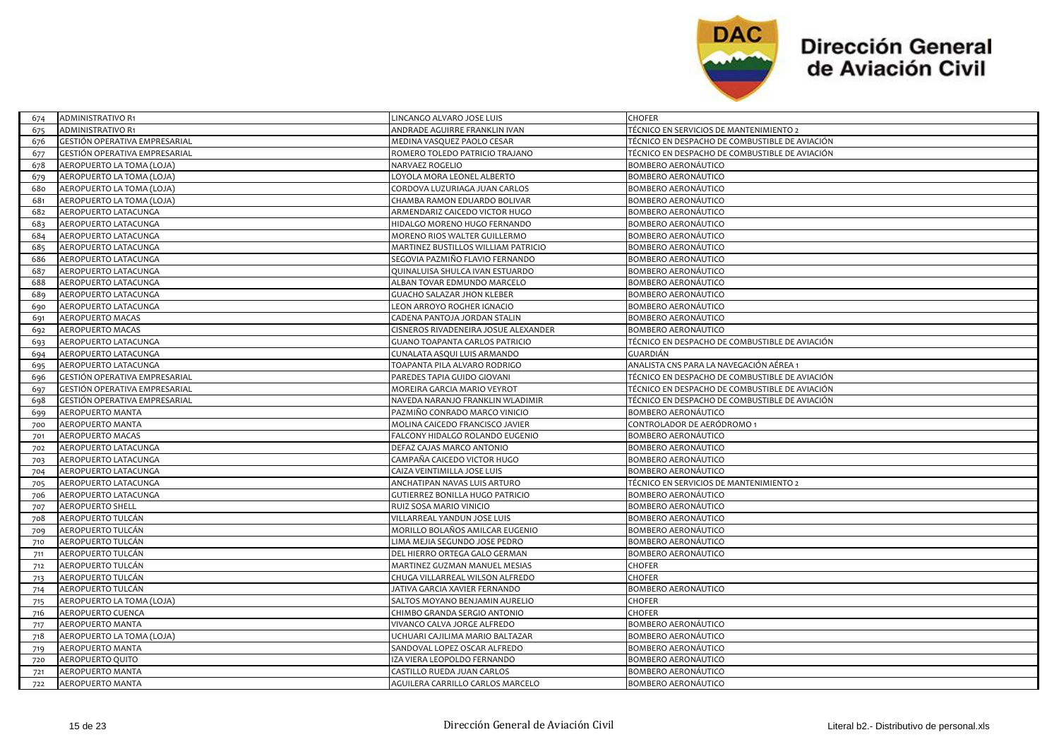

| 674 | ADMINISTRATIVO R1                    | LINCANGO ALVARO JOSE LUIS            | <b>CHOFER</b>                                  |
|-----|--------------------------------------|--------------------------------------|------------------------------------------------|
| 675 | <b>ADMINISTRATIVO R1</b>             | ANDRADE AGUIRRE FRANKLIN IVAN        | TÉCNICO EN SERVICIOS DE MANTENIMIENTO 2        |
| 676 | GESTIÓN OPERATIVA EMPRESARIAL        | MEDINA VASQUEZ PAOLO CESAR           | TÉCNICO EN DESPACHO DE COMBUSTIBLE DE AVIACIÓN |
| 677 | GESTIÓN OPERATIVA EMPRESARIAL        | ROMERO TOLEDO PATRICIO TRAJANO       | TÉCNICO EN DESPACHO DE COMBUSTIBLE DE AVIACIÓN |
| 678 | AEROPUERTO LA TOMA (LOJA)            | NARVAEZ ROGELIO                      | BOMBERO AERONÁUTICO                            |
| 679 | AEROPUERTO LA TOMA (LOJA)            | LOYOLA MORA LEONEL ALBERTO           | BOMBERO AERONÁUTICO                            |
| 680 | AEROPUERTO LA TOMA (LOJA)            | CORDOVA LUZURIAGA JUAN CARLOS        | BOMBERO AERONÁUTICO                            |
| 681 | AEROPUERTO LA TOMA (LOJA)            | CHAMBA RAMON EDUARDO BOLIVAR         | BOMBERO AERONÁUTICO                            |
| 682 | AEROPUERTO LATACUNGA                 | ARMENDARIZ CAICEDO VICTOR HUGO       | BOMBERO AERONÁUTICO                            |
| 683 | AEROPUERTO LATACUNGA                 | HIDALGO MORENO HUGO FERNANDO         | BOMBERO AERONÁUTICO                            |
| 684 | AEROPUERTO LATACUNGA                 | MORENO RIOS WALTER GUILLERMO         | BOMBERO AERONÁUTICO                            |
| 685 | AEROPUERTO LATACUNGA                 | MARTINEZ BUSTILLOS WILLIAM PATRICIO  | BOMBERO AERONÁUTICO                            |
| 686 | AEROPUERTO LATACUNGA                 | SEGOVIA PAZMIÑO FLAVIO FERNANDO      | BOMBERO AERONÁUTICO                            |
| 687 | AEROPUERTO LATACUNGA                 | QUINALUISA SHULCA IVAN ESTUARDO      | BOMBERO AERONÁUTICO                            |
| 688 | AEROPUERTO LATACUNGA                 | ALBAN TOVAR EDMUNDO MARCELO          | BOMBERO AERONÁUTICO                            |
| 689 | AEROPUERTO LATACUNGA                 | <b>GUACHO SALAZAR JHON KLEBER</b>    | BOMBERO AERONÁUTICO                            |
| 690 | AEROPUERTO LATACUNGA                 | LEON ARROYO ROGHER IGNACIO           | BOMBERO AERONÁUTICO                            |
| 691 | <b>AEROPUERTO MACAS</b>              | CADENA PANTOJA JORDAN STALIN         | BOMBERO AERONÁUTICO                            |
| 692 | <b>AEROPUERTO MACAS</b>              | CISNEROS RIVADENEIRA JOSUE ALEXANDER | BOMBERO AERONÁUTICO                            |
| 693 | AEROPUERTO LATACUNGA                 | GUANO TOAPANTA CARLOS PATRICIO       | TÉCNICO EN DESPACHO DE COMBUSTIBLE DE AVIACIÓN |
| 694 | AEROPUERTO LATACUNGA                 | CUNALATA ASQUI LUIS ARMANDO          | GUARDIÁN                                       |
| 695 | AEROPUERTO LATACUNGA                 | TOAPANTA PILA ALVARO RODRIGO         | ANALISTA CNS PARA LA NAVEGACIÓN AÉREA 1        |
| 696 | GESTIÓN OPERATIVA EMPRESARIAL        | PAREDES TAPIA GUIDO GIOVANI          | TÉCNICO EN DESPACHO DE COMBUSTIBLE DE AVIACIÓN |
| 697 | GESTIÓN OPERATIVA EMPRESARIAL        | MOREIRA GARCIA MARIO VEYROT          | TÉCNICO EN DESPACHO DE COMBUSTIBLE DE AVIACIÓN |
| 698 | <b>GESTIÓN OPERATIVA EMPRESARIAL</b> | NAVEDA NARANJO FRANKLIN WLADIMIR     | TÉCNICO EN DESPACHO DE COMBUSTIBLE DE AVIACIÓN |
| 699 | <b>AEROPUERTO MANTA</b>              | PAZMIÑO CONRADO MARCO VINICIO        | BOMBERO AERONÁUTICO                            |
| 700 | <b>AEROPUERTO MANTA</b>              | MOLINA CAICEDO FRANCISCO JAVIER      | CONTROLADOR DE AERÓDROMO 1                     |
| 701 | AEROPUERTO MACAS                     | FALCONY HIDALGO ROLANDO EUGENIO      | BOMBERO AERONÁUTICO                            |
| 702 | AEROPUERTO LATACUNGA                 | DEFAZ CAJAS MARCO ANTONIO            | BOMBERO AERONÁUTICO                            |
| 703 | AEROPUERTO LATACUNGA                 | CAMPAÑA CAICEDO VICTOR HUGO          | BOMBERO AERONÁUTICO                            |
| 704 | AEROPUERTO LATACUNGA                 | CAIZA VEINTIMILLA JOSE LUIS          | BOMBERO AERONÁUTICO                            |
| 705 | AEROPUERTO LATACUNGA                 | ANCHATIPAN NAVAS LUIS ARTURO         | TÉCNICO EN SERVICIOS DE MANTENIMIENTO 2        |
| 706 | AEROPUERTO LATACUNGA                 | GUTIERREZ BONILLA HUGO PATRICIO      | BOMBERO AERONÁUTICO                            |
| 707 | <b>AEROPUERTO SHELL</b>              | RUIZ SOSA MARIO VINICIO              | BOMBERO AERONÁUTICO                            |
| 708 | AEROPUERTO TULCÁN                    | VILLARREAL YANDUN JOSE LUIS          | BOMBERO AERONÁUTICO                            |
| 709 | AEROPUERTO TULCÁN                    | MORILLO BOLAÑOS AMILCAR EUGENIO      | BOMBERO AERONÁUTICO                            |
| 710 | AEROPUERTO TULCÁN                    | LIMA MEJIA SEGUNDO JOSE PEDRO        | BOMBERO AERONÁUTICO                            |
| 711 | AEROPUERTO TULCÁN                    | DEL HIERRO ORTEGA GALO GERMAN        | BOMBERO AERONÁUTICO                            |
| 712 | AEROPUERTO TULCÁN                    | MARTINEZ GUZMAN MANUEL MESIAS        | CHOFER                                         |
| 713 | AEROPUERTO TULCÁN                    | CHUGA VILLARREAL WILSON ALFREDO      | CHOFER                                         |
| 714 | AEROPUERTO TULCÁN                    | JATIVA GARCIA XAVIER FERNANDO        | BOMBERO AERONÁUTICO                            |
| 715 | AEROPUERTO LA TOMA (LOJA)            | SALTOS MOYANO BENJAMIN AURELIO       | CHOFER                                         |
| 716 | <b>AEROPUERTO CUENCA</b>             | CHIMBO GRANDA SERGIO ANTONIO         | CHOFER                                         |
| 717 | <b>AEROPUERTO MANTA</b>              | VIVANCO CALVA JORGE ALFREDO          | BOMBERO AERONÁUTICO                            |
| 718 | AEROPUERTO LA TOMA (LOJA)            | UCHUARI CAJILIMA MARIO BALTAZAR      | BOMBERO AERONÁUTICO                            |
| 719 | <b>AEROPUERTO MANTA</b>              | SANDOVAL LOPEZ OSCAR ALFREDO         | BOMBERO AERONÁUTICO                            |
| 720 | AEROPUERTO QUITO                     | IZA VIERA LEOPOLDO FERNANDO          | BOMBERO AERONÁUTICO                            |
| 721 | AEROPUERTO MANTA                     | CASTILLO RUEDA JUAN CARLOS           | BOMBERO AERONÁUTICO                            |
| 722 | <b>AEROPUERTO MANTA</b>              | AGUILERA CARRILLO CARLOS MARCELO     | BOMBERO AERONÁUTICO                            |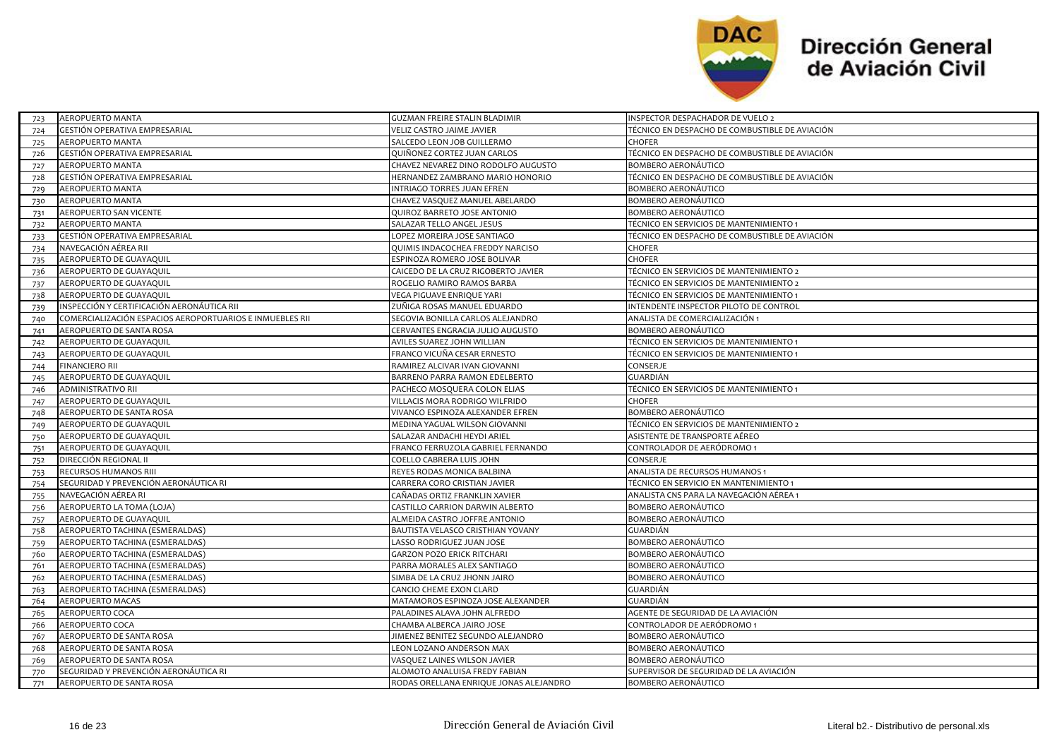

| 723 | <b>AEROPUERTO MANTA</b>                                  | <b>GUZMAN FREIRE STALIN BLADIMIR</b>   | <b>INSPECTOR DESPACHADOR DE VUELO 2</b>        |
|-----|----------------------------------------------------------|----------------------------------------|------------------------------------------------|
| 724 | GESTIÓN OPERATIVA EMPRESARIAL                            | VELIZ CASTRO JAIME JAVIER              | TÉCNICO EN DESPACHO DE COMBUSTIBLE DE AVIACIÓN |
| 725 | AEROPUERTO MANTA                                         | SALCEDO LEON JOB GUILLERMO             | CHOFER                                         |
| 726 | GESTIÓN OPERATIVA EMPRESARIAL                            | QUIÑONEZ CORTEZ JUAN CARLOS            | TÉCNICO EN DESPACHO DE COMBUSTIBLE DE AVIACIÓN |
| 727 | AEROPUERTO MANTA                                         | CHAVEZ NEVAREZ DINO RODOLFO AUGUSTO    | BOMBERO AERONÁUTICO                            |
| 728 | GESTIÓN OPERATIVA EMPRESARIAL                            | HERNANDEZ ZAMBRANO MARIO HONORIO       | TÉCNICO EN DESPACHO DE COMBUSTIBLE DE AVIACIÓN |
| 729 | AEROPUERTO MANTA                                         | INTRIAGO TORRES JUAN EFREN             | BOMBERO AERONÁUTICO                            |
| 730 | AEROPUERTO MANTA                                         | CHAVEZ VASQUEZ MANUEL ABELARDO         | BOMBERO AERONÁUTICO                            |
| 731 | AEROPUERTO SAN VICENTE                                   | QUIROZ BARRETO JOSE ANTONIO            | BOMBERO AERONÁUTICO                            |
| 732 | AEROPUERTO MANTA                                         | SALAZAR TELLO ANGEL JESUS              | TÉCNICO EN SERVICIOS DE MANTENIMIENTO 1        |
| 733 | GESTIÓN OPERATIVA EMPRESARIAL                            | LOPEZ MOREIRA JOSE SANTIAGO            | TÉCNICO EN DESPACHO DE COMBUSTIBLE DE AVIACIÓN |
| 734 | NAVEGACIÓN AÉREA RII                                     | QUIMIS INDACOCHEA FREDDY NARCISO       | CHOFER                                         |
| 735 | AEROPUERTO DE GUAYAQUIL                                  | ESPINOZA ROMERO JOSE BOLIVAR           | CHOFER                                         |
| 736 | AEROPUERTO DE GUAYAQUIL                                  | CAICEDO DE LA CRUZ RIGOBERTO JAVIER    | TÉCNICO EN SERVICIOS DE MANTENIMIENTO 2        |
| 737 | AEROPUERTO DE GUAYAQUIL                                  | ROGELIO RAMIRO RAMOS BARBA             | TÉCNICO EN SERVICIOS DE MANTENIMIENTO 2        |
| 738 | AEROPUERTO DE GUAYAQUIL                                  | VEGA PIGUAVE ENRIQUE YARI              | TÉCNICO EN SERVICIOS DE MANTENIMIENTO 1        |
| 739 | INSPECCIÓN Y CERTIFICACIÓN AERONÁUTICA RII               | ZUÑIGA ROSAS MANUEL EDUARDO            | INTENDENTE INSPECTOR PILOTO DE CONTROL         |
| 740 | COMERCIALIZACIÓN ESPACIOS AEROPORTUARIOS E INMUEBLES RII | SEGOVIA BONILLA CARLOS ALEJANDRO       | ANALISTA DE COMERCIALIZACIÓN 1                 |
| 741 | AEROPUERTO DE SANTA ROSA                                 | CERVANTES ENGRACIA JULIO AUGUSTO       | BOMBERO AERONÁUTICO                            |
| 742 | AEROPUERTO DE GUAYAQUIL                                  | AVILES SUAREZ JOHN WILLIAN             | TÉCNICO EN SERVICIOS DE MANTENIMIENTO 1        |
| 743 | AEROPUERTO DE GUAYAQUIL                                  | FRANCO VICUÑA CESAR ERNESTO            | TÉCNICO EN SERVICIOS DE MANTENIMIENTO 1        |
| 744 | FINANCIERO RII                                           | RAMIREZ ALCIVAR IVAN GIOVANNI          | CONSERJE                                       |
| 745 | AEROPUERTO DE GUAYAQUIL                                  | BARRENO PARRA RAMON EDELBERTO          | <b>GUARDIÁN</b>                                |
| 746 | ADMINISTRATIVO RII                                       | PACHECO MOSQUERA COLON ELIAS           | TÉCNICO EN SERVICIOS DE MANTENIMIENTO 1        |
| 747 | AEROPUERTO DE GUAYAQUIL                                  | VILLACIS MORA RODRIGO WILFRIDO         | CHOFER                                         |
| 748 | AEROPUERTO DE SANTA ROSA                                 | VIVANCO ESPINOZA ALEXANDER EFREN       | BOMBERO AERONÁUTICO                            |
| 749 | AEROPUERTO DE GUAYAQUIL                                  | MEDINA YAGUAL WILSON GIOVANNI          | TÉCNICO EN SERVICIOS DE MANTENIMIENTO 2        |
| 750 | AEROPUERTO DE GUAYAQUIL                                  | SALAZAR ANDACHI HEYDI ARIEL            | ASISTENTE DE TRANSPORTE AÉREO                  |
| 751 | AEROPUERTO DE GUAYAQUIL                                  | FRANCO FERRUZOLA GABRIEL FERNANDO      | CONTROLADOR DE AERÓDROMO 1                     |
| 752 | DIRECCIÓN REGIONAL II                                    | COELLO CABRERA LUIS JOHN               | CONSERJE                                       |
| 753 | RECURSOS HUMANOS RIII                                    | REYES RODAS MONICA BALBINA             | ANALISTA DE RECURSOS HUMANOS 1                 |
| 754 | SEGURIDAD Y PREVENCIÓN AERONÁUTICA RI                    | CARRERA CORO CRISTIAN JAVIER           | TÉCNICO EN SERVICIO EN MANTENIMIENTO 1         |
| 755 | NAVEGACIÓN AÉREA RI                                      | CAÑADAS ORTIZ FRANKLIN XAVIER          | ANALISTA CNS PARA LA NAVEGACIÓN AÉREA 1        |
| 756 | AEROPUERTO LA TOMA (LOJA)                                | CASTILLO CARRION DARWIN ALBERTO        | BOMBERO AERONÁUTICO                            |
| 757 | AEROPUERTO DE GUAYAQUIL                                  | ALMEIDA CASTRO JOFFRE ANTONIO          | BOMBERO AERONÁUTICO                            |
| 758 | AEROPUERTO TACHINA (ESMERALDAS)                          | BAUTISTA VELASCO CRISTHIAN YOVANY      | <b>GUARDIÁN</b>                                |
| 759 | AEROPUERTO TACHINA (ESMERALDAS)                          | LASSO RODRIGUEZ JUAN JOSE              | BOMBERO AERONÁUTICO                            |
| 760 | AEROPUERTO TACHINA (ESMERALDAS)                          | <b>GARZON POZO ERICK RITCHARI</b>      | BOMBERO AERONÁUTICO                            |
| 761 | AEROPUERTO TACHINA (ESMERALDAS)                          | PARRA MORALES ALEX SANTIAGO            | <b>BOMBERO AERONÁUTICO</b>                     |
| 762 | AEROPUERTO TACHINA (ESMERALDAS)                          | SIMBA DE LA CRUZ JHONN JAIRO           | BOMBERO AERONÁUTICO                            |
| 763 | AEROPUERTO TACHINA (ESMERALDAS)                          | CANCIO CHEME EXON CLARD                | GUARDIÁN                                       |
| 764 | AEROPUERTO MACAS                                         | MATAMOROS ESPINOZA JOSE ALEXANDER      | GUARDIÁN                                       |
| 765 | AEROPUERTO COCA                                          | PALADINES ALAVA JOHN ALFREDO           | AGENTE DE SEGURIDAD DE LA AVIACIÓN             |
| 766 | AEROPUERTO COCA                                          | CHAMBA ALBERCA JAIRO JOSE              | CONTROLADOR DE AERÓDROMO 1                     |
| 767 | AEROPUERTO DE SANTA ROSA                                 | JIMENEZ BENITEZ SEGUNDO ALEJANDRO      | BOMBERO AERONÁUTICO                            |
| 768 | AEROPUERTO DE SANTA ROSA                                 | LEON LOZANO ANDERSON MAX               | BOMBERO AERONÁUTICO                            |
| 769 | AEROPUERTO DE SANTA ROSA                                 | VASQUEZ LAINES WILSON JAVIER           | BOMBERO AERONÁUTICO                            |
| 770 | SEGURIDAD Y PREVENCIÓN AERONÁUTICA RI                    | ALOMOTO ANALUISA FREDY FABIAN          | SUPERVISOR DE SEGURIDAD DE LA AVIACIÓN         |
| 771 | AEROPUERTO DE SANTA ROSA                                 | RODAS ORELLANA ENRIQUE JONAS ALEJANDRO | BOMBERO AERONÁUTICO                            |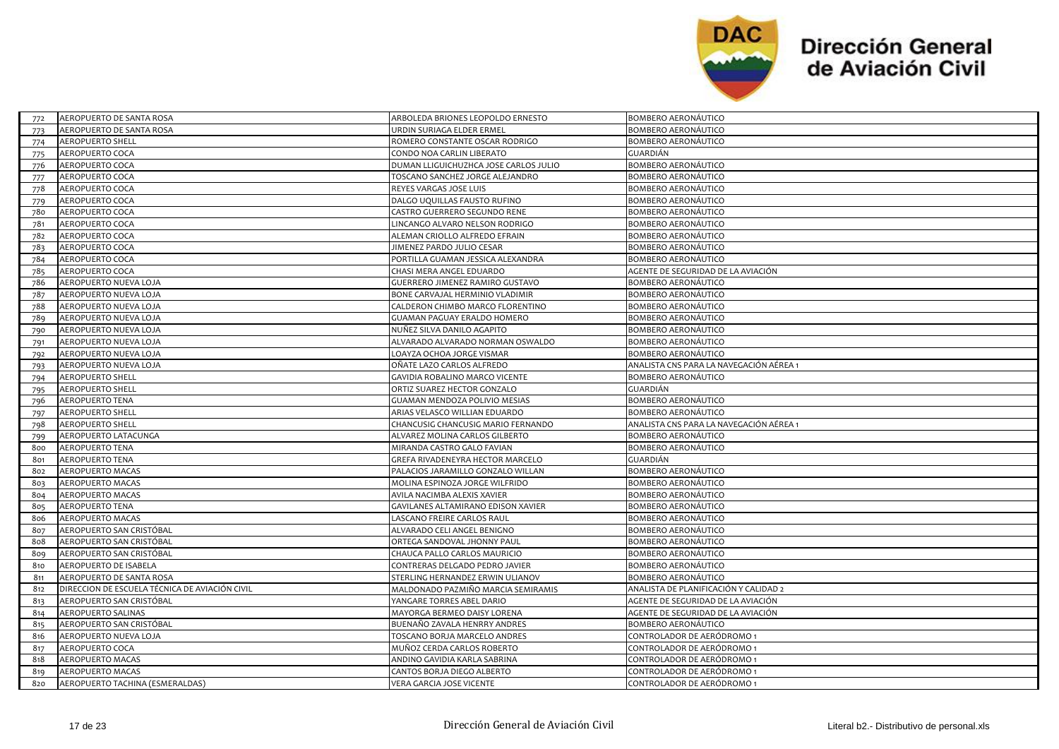

| 772 | AEROPUERTO DE SANTA ROSA                       | ARBOLEDA BRIONES LEOPOLDO ERNESTO     | <b>BOMBERO AERONÁUTICO</b>              |
|-----|------------------------------------------------|---------------------------------------|-----------------------------------------|
| 773 | AEROPUERTO DE SANTA ROSA                       | URDIN SURIAGA ELDER ERMEL             | <b>BOMBERO AERONÁUTICO</b>              |
| 774 | <b>AEROPUERTO SHELL</b>                        | ROMERO CONSTANTE OSCAR RODRIGO        | <b>BOMBERO AERONÁUTICO</b>              |
| 775 | AEROPUERTO COCA                                | CONDO NOA CARLIN LIBERATO             | <b>GUARDIÁN</b>                         |
| 776 | AEROPUERTO COCA                                | DUMAN LLIGUICHUZHCA JOSE CARLOS JULIO | <b>BOMBERO AERONÁUTICO</b>              |
| 777 | AEROPUERTO COCA                                | TOSCANO SANCHEZ JORGE ALEJANDRO       | <b>BOMBERO AERONÁUTICO</b>              |
| 778 | AEROPUERTO COCA                                | REYES VARGAS JOSE LUIS                | BOMBERO AERONÁUTICO                     |
| 779 | AEROPUERTO COCA                                | DALGO UQUILLAS FAUSTO RUFINO          | <b>BOMBERO AERONÁUTICO</b>              |
| 780 | AEROPUERTO COCA                                | CASTRO GUERRERO SEGUNDO RENE          | BOMBERO AERONÁUTICO                     |
| 781 | AEROPUERTO COCA                                | LINCANGO ALVARO NELSON RODRIGO        | <b>BOMBERO AERONÁUTICO</b>              |
| 782 | AEROPUERTO COCA                                | ALEMAN CRIOLLO ALFREDO EFRAIN         | <b>BOMBERO AERONÁUTICO</b>              |
| 783 | AEROPUERTO COCA                                | JIMENEZ PARDO JULIO CESAR             | <b>BOMBERO AERONÁUTICO</b>              |
| 784 | AEROPUERTO COCA                                | PORTILLA GUAMAN JESSICA ALEXANDRA     | <b>BOMBERO AERONÁUTICO</b>              |
| 785 | AEROPUERTO COCA                                | CHASI MERA ANGEL EDUARDO              | AGENTE DE SEGURIDAD DE LA AVIACIÓN      |
| 786 | AEROPUERTO NUEVA LOJA                          | GUERRERO JIMENEZ RAMIRO GUSTAVO       | <b>BOMBERO AERONÁUTICO</b>              |
| 787 | AEROPUERTO NUEVA LOJA                          | BONE CARVAJAL HERMINIO VLADIMIR       | <b>BOMBERO AERONÁUTICO</b>              |
| 788 | AEROPUERTO NUEVA LOJA                          | CALDERON CHIMBO MARCO FLORENTINO      | <b>BOMBERO AERONÁUTICO</b>              |
| 789 | AEROPUERTO NUEVA LOJA                          | GUAMAN PAGUAY ERALDO HOMERO           | <b>BOMBERO AERONÁUTICO</b>              |
| 790 | AEROPUERTO NUEVA LOJA                          | NUÑEZ SILVA DANILO AGAPITO            | <b>BOMBERO AERONÁUTICO</b>              |
| 791 | AEROPUERTO NUEVA LOJA                          | ALVARADO ALVARADO NORMAN OSWALDO      | <b>BOMBERO AERONÁUTICO</b>              |
| 792 | AEROPUERTO NUEVA LOJA                          | LOAYZA OCHOA JORGE VISMAR             | BOMBERO AERONÁUTICO                     |
| 793 | AEROPUERTO NUEVA LOJA                          | OÑATE LAZO CARLOS ALFREDO             | ANALISTA CNS PARA LA NAVEGACIÓN AÉREA 1 |
| 794 | <b>AEROPUERTO SHELL</b>                        | GAVIDIA ROBALINO MARCO VICENTE        | <b>BOMBERO AERONÁUTICO</b>              |
| 795 | <b>AEROPUERTO SHELL</b>                        | ORTIZ SUAREZ HECTOR GONZALO           | <b>GUARDIÁN</b>                         |
| 796 | <b>AEROPUERTO TENA</b>                         | GUAMAN MENDOZA POLIVIO MESIAS         | <b>BOMBERO AERONÁUTICO</b>              |
| 797 | <b>AEROPUERTO SHELL</b>                        | ARIAS VELASCO WILLIAN EDUARDO         | <b>BOMBERO AERONÁUTICO</b>              |
| 798 | <b>AEROPUERTO SHELL</b>                        | CHANCUSIG CHANCUSIG MARIO FERNANDO    | ANALISTA CNS PARA LA NAVEGACIÓN AÉREA 1 |
| 799 | AEROPUERTO LATACUNGA                           | ALVAREZ MOLINA CARLOS GILBERTO        | <b>BOMBERO AERONÁUTICO</b>              |
| 800 | AEROPUERTO TENA                                | MIRANDA CASTRO GALO FAVIAN            | BOMBERO AERONÁUTICO                     |
| 801 | <b>AEROPUERTO TENA</b>                         | GREFA RIVADENEYRA HECTOR MARCELO      | GUARDIÁN                                |
| 802 | AEROPUERTO MACAS                               | PALACIOS JARAMILLO GONZALO WILLAN     | BOMBERO AERONÁUTICO                     |
| 803 | AEROPUERTO MACAS                               | MOLINA ESPINOZA JORGE WILFRIDO        | <b>BOMBERO AERONÁUTICO</b>              |
| 804 | AEROPUERTO MACAS                               | AVILA NACIMBA ALEXIS XAVIER           | <b>BOMBERO AERONÁUTICO</b>              |
| 805 | AEROPUERTO TENA                                | GAVILANES ALTAMIRANO EDISON XAVIER    | <b>BOMBERO AERONÁUTICO</b>              |
| 806 | AEROPUERTO MACAS                               | LASCANO FREIRE CARLOS RAUL            | <b>BOMBERO AERONÁUTICO</b>              |
| 807 | AEROPUERTO SAN CRISTÓBAL                       | ALVARADO CELI ANGEL BENIGNO           | <b>BOMBERO AERONÁUTICO</b>              |
| 808 | AEROPUERTO SAN CRISTÓBAL                       | ORTEGA SANDOVAL JHONNY PAUL           | <b>BOMBERO AERONÁUTICO</b>              |
| 809 | AEROPUERTO SAN CRISTÓBAL                       | CHAUCA PALLO CARLOS MAURICIO          | <b>BOMBERO AERONÁUTICO</b>              |
| 810 | AEROPUERTO DE ISABELA                          | CONTRERAS DELGADO PEDRO JAVIER        | <b>BOMBERO AERONÁUTICO</b>              |
| 811 | AEROPUERTO DE SANTA ROSA                       | STERLING HERNANDEZ ERWIN ULIANOV      | <b>BOMBERO AERONÁUTICO</b>              |
| 812 | DIRECCION DE ESCUELA TÉCNICA DE AVIACIÓN CIVIL | MALDONADO PAZMIÑO MARCIA SEMIRAMIS    | ANALISTA DE PLANIFICACIÓN Y CALIDAD 2   |
| 813 | AEROPUERTO SAN CRISTÓBAL                       | YANGARE TORRES ABEL DARIO             | AGENTE DE SEGURIDAD DE LA AVIACIÓN      |
| 814 | <b>AEROPUERTO SALINAS</b>                      | MAYORGA BERMEO DAISY LORENA           | AGENTE DE SEGURIDAD DE LA AVIACIÓN      |
| 815 | AEROPUERTO SAN CRISTÓBAL                       | BUENAÑO ZAVALA HENRRY ANDRES          | <b>BOMBERO AERONÁUTICO</b>              |
| 816 | AEROPUERTO NUEVA LOJA                          | TOSCANO BORJA MARCELO ANDRES          | CONTROLADOR DE AERÓDROMO 1              |
| 817 | AEROPUERTO COCA                                | MUÑOZ CERDA CARLOS ROBERTO            | CONTROLADOR DE AERÓDROMO 1              |
| 818 | AEROPUERTO MACAS                               | ANDINO GAVIDIA KARLA SABRINA          | CONTROLADOR DE AERÓDROMO 1              |
| 819 | <b>AEROPUERTO MACAS</b>                        | CANTOS BORJA DIEGO ALBERTO            | CONTROLADOR DE AERÓDROMO 1              |
| 820 | AEROPUERTO TACHINA (ESMERALDAS)                | VERA GARCIA JOSE VICENTE              | CONTROLADOR DE AERÓDROMO 1              |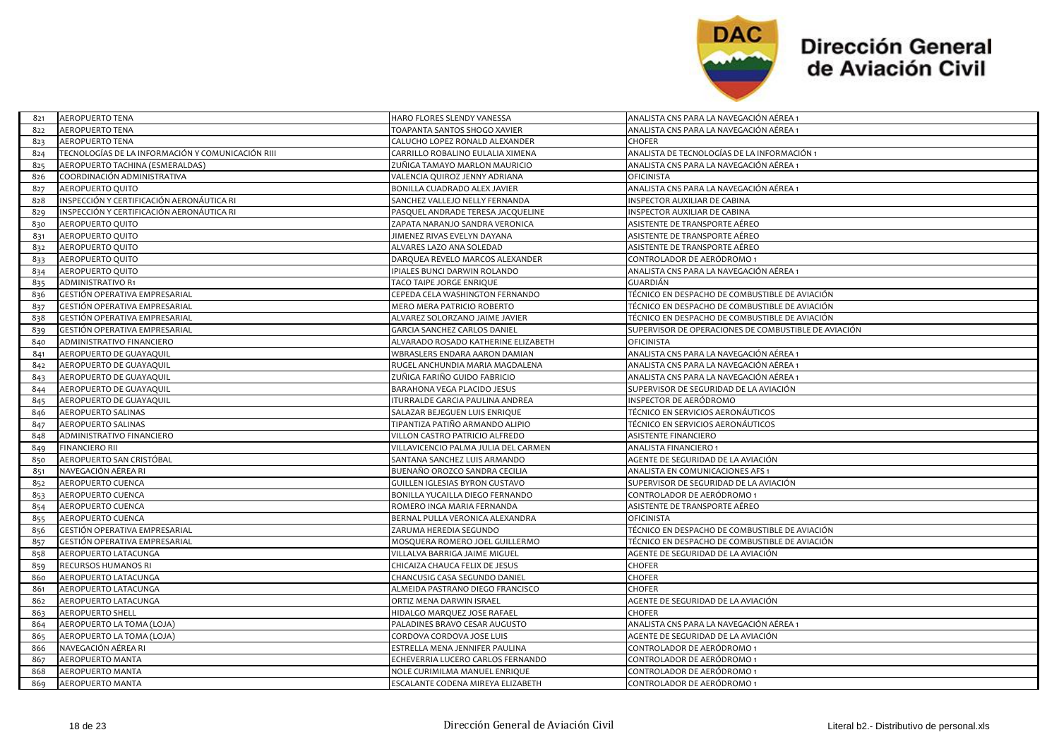

| 821 | <b>AEROPUERTO TENA</b>                            | HARO FLORES SLENDY VANESSA                                         | ANALISTA CNS PARA LA NAVEGACIÓN AÉREA 1                  |
|-----|---------------------------------------------------|--------------------------------------------------------------------|----------------------------------------------------------|
| 822 | <b>AEROPUERTO TENA</b>                            | TOAPANTA SANTOS SHOGO XAVIER                                       | ANALISTA CNS PARA LA NAVEGACIÓN AÉREA 1                  |
| 823 | <b>AEROPUERTO TENA</b>                            | CALUCHO LOPEZ RONALD ALEXANDER                                     | <b>CHOFER</b>                                            |
| 824 | TECNOLOGÍAS DE LA INFORMACIÓN Y COMUNICACIÓN RIII | CARRILLO ROBALINO EULALIA XIMENA                                   | ANALISTA DE TECNOLOGÍAS DE LA INFORMACIÓN 1              |
| 825 | AEROPUERTO TACHINA (ESMERALDAS)                   | ZUÑIGA TAMAYO MARLON MAURICIO                                      | ANALISTA CNS PARA LA NAVEGACIÓN AÉREA 1                  |
| 826 | COORDINACIÓN ADMINISTRATIVA                       | VALENCIA QUIROZ JENNY ADRIANA                                      | <b>OFICINISTA</b>                                        |
| 827 | AEROPUERTO QUITO                                  | BONILLA CUADRADO ALEX JAVIER                                       | ANALISTA CNS PARA LA NAVEGACIÓN AÉREA 1                  |
| 828 | INSPECCIÓN Y CERTIFICACIÓN AERONÁUTICA RI         | SANCHEZ VALLEJO NELLY FERNANDA                                     | INSPECTOR AUXILIAR DE CABINA                             |
| 829 | INSPECCIÓN Y CERTIFICACIÓN AERONÁUTICA RI         | PASQUEL ANDRADE TERESA JACQUELINE                                  | INSPECTOR AUXILIAR DE CABINA                             |
| 830 | AEROPUERTO QUITO                                  | ZAPATA NARANJO SANDRA VERONICA                                     | ASISTENTE DE TRANSPORTE AÉREO                            |
| 831 | <b>AEROPUERTO QUITO</b>                           | JIMENEZ RIVAS EVELYN DAYANA                                        | ASISTENTE DE TRANSPORTE AÉREO                            |
| 832 | AEROPUERTO QUITO                                  | ALVARES LAZO ANA SOLEDAD                                           | ASISTENTE DE TRANSPORTE AÉREO                            |
| 833 | <b>AEROPUERTO QUITO</b>                           | DARQUEA REVELO MARCOS ALEXANDER                                    | CONTROLADOR DE AERÓDROMO 1                               |
| 834 | AEROPUERTO QUITO                                  | <b>IPIALES BUNCI DARWIN ROLANDO</b>                                | ANALISTA CNS PARA LA NAVEGACIÓN AÉREA 1                  |
| 835 | <b>ADMINISTRATIVO R1</b>                          | TACO TAIPE JORGE ENRIQUE                                           | GUARDIÁN                                                 |
| 836 | GESTIÓN OPERATIVA EMPRESARIAL                     | CEPEDA CELA WASHINGTON FERNANDO                                    | TÉCNICO EN DESPACHO DE COMBUSTIBLE DE AVIACIÓN           |
| 837 | GESTIÓN OPERATIVA EMPRESARIAL                     | MERO MERA PATRICIO ROBERTO                                         | TÉCNICO EN DESPACHO DE COMBUSTIBLE DE AVIACIÓN           |
| 838 | GESTIÓN OPERATIVA EMPRESARIAL                     | ALVAREZ SOLORZANO JAIME JAVIER                                     | TÉCNICO EN DESPACHO DE COMBUSTIBLE DE AVIACIÓN           |
| 839 | GESTIÓN OPERATIVA EMPRESARIAL                     | GARCIA SANCHEZ CARLOS DANIEL                                       | SUPERVISOR DE OPERACIONES DE COMBUSTIBLE DE AVIACIÓN     |
| 840 | ADMINISTRATIVO FINANCIERO                         | ALVARADO ROSADO KATHERINE ELIZABETH                                | <b>OFICINISTA</b>                                        |
| 841 | AEROPUERTO DE GUAYAQUIL                           | WBRASLERS ENDARA AARON DAMIAN                                      | ANALISTA CNS PARA LA NAVEGACIÓN AÉREA 1                  |
| 842 | AEROPUERTO DE GUAYAQUIL                           | RUGEL ANCHUNDIA MARIA MAGDALENA                                    | ANALISTA CNS PARA LA NAVEGACIÓN AÉREA 1                  |
| 843 | AEROPUERTO DE GUAYAQUIL                           | ZUÑIGA FARIÑO GUIDO FABRICIO                                       | ANALISTA CNS PARA LA NAVEGACIÓN AÉREA 1                  |
| 844 | AEROPUERTO DE GUAYAQUIL                           | BARAHONA VEGA PLACIDO JESUS                                        | SUPERVISOR DE SEGURIDAD DE LA AVIACIÓN                   |
| 845 | AEROPUERTO DE GUAYAQUIL                           | ITURRALDE GARCIA PAULINA ANDREA                                    | INSPECTOR DE AERÓDROMO                                   |
| 846 | AEROPUERTO SALINAS                                | SALAZAR BEJEGUEN LUIS ENRIQUE                                      | TÉCNICO EN SERVICIOS AERONÁUTICOS                        |
| 847 | AEROPUERTO SALINAS                                | TIPANTIZA PATIÑO ARMANDO ALIPIO                                    | TÉCNICO EN SERVICIOS AERONÁUTICOS                        |
| 848 | ADMINISTRATIVO FINANCIERO                         | VILLON CASTRO PATRICIO ALFREDO                                     | <b>ASISTENTE FINANCIERO</b>                              |
| 849 | <b>FINANCIERO RII</b>                             | VILLAVICENCIO PALMA JULIA DEL CARMEN                               | ANALISTA FINANCIERO 1                                    |
| 850 | AEROPUERTO SAN CRISTÓBAL                          | SANTANA SANCHEZ LUIS ARMANDO                                       | AGENTE DE SEGURIDAD DE LA AVIACIÓN                       |
| 851 | NAVEGACIÓN AÉREA RI                               | BUENAÑO OROZCO SANDRA CECILIA                                      | ANALISTA EN COMUNICACIONES AFS 1                         |
| 852 | AEROPUERTO CUENCA                                 | GUILLEN IGLESIAS BYRON GUSTAVO                                     | SUPERVISOR DE SEGURIDAD DE LA AVIACIÓN                   |
| 853 | <b>AEROPUERTO CUENCA</b>                          | BONILLA YUCAILLA DIEGO FERNANDO                                    | CONTROLADOR DE AERÓDROMO 1                               |
| 854 | AEROPUERTO CUENCA                                 | ROMERO INGA MARIA FERNANDA                                         | ASISTENTE DE TRANSPORTE AÉREO                            |
| 855 | <b>AEROPUERTO CUENCA</b>                          | BERNAL PULLA VERONICA ALEXANDRA                                    | <b>OFICINISTA</b>                                        |
| 856 | GESTIÓN OPERATIVA EMPRESARIAL                     | ZARUMA HEREDIA SEGUNDO                                             | TÉCNICO EN DESPACHO DE COMBUSTIBLE DE AVIACIÓN           |
| 857 | GESTIÓN OPERATIVA EMPRESARIAL                     | MOSQUERA ROMERO JOEL GUILLERMO                                     | TÉCNICO EN DESPACHO DE COMBUSTIBLE DE AVIACIÓN           |
| 858 | AEROPUERTO LATACUNGA                              | VILLALVA BARRIGA JAIME MIGUEL                                      | AGENTE DE SEGURIDAD DE LA AVIACIÓN                       |
| 859 | RECURSOS HUMANOS RI                               | CHICAIZA CHAUCA FELIX DE JESUS                                     | <b>CHOFER</b>                                            |
| 860 | AEROPUERTO LATACUNGA                              | CHANCUSIG CASA SEGUNDO DANIEL                                      | CHOFER                                                   |
| 861 | AEROPUERTO LATACUNGA                              | ALMEIDA PASTRANO DIEGO FRANCISCO                                   | CHOFER                                                   |
| 862 | AEROPUERTO LATACUNGA                              | ORTIZ MENA DARWIN ISRAEL                                           | AGENTE DE SEGURIDAD DE LA AVIACIÓN                       |
| 863 | <b>AEROPUERTO SHELL</b>                           | HIDALGO MARQUEZ JOSE RAFAEL                                        | <b>CHOFER</b>                                            |
| 864 | AEROPUERTO LA TOMA (LOJA)                         | PALADINES BRAVO CESAR AUGUSTO                                      | ANALISTA CNS PARA LA NAVEGACIÓN AÉREA 1                  |
| 865 | AEROPUERTO LA TOMA (LOJA)                         | CORDOVA CORDOVA JOSE LUIS                                          | AGENTE DE SEGURIDAD DE LA AVIACIÓN                       |
| 866 | NAVEGACIÓN AÉREA RI                               | ESTRELLA MENA JENNIFER PAULINA                                     | CONTROLADOR DE AERÓDROMO 1                               |
| 867 | <b>AEROPUERTO MANTA</b>                           | ECHEVERRIA LUCERO CARLOS FERNANDO                                  | CONTROLADOR DE AERÓDROMO 1                               |
| 868 | AEROPUERTO MANTA<br><b>AEROPUERTO MANTA</b>       | NOLE CURIMILMA MANUEL ENRIQUE<br>ESCALANTE CODENA MIREYA ELIZABETH | CONTROLADOR DE AERÓDROMO 1<br>CONTROLADOR DE AERÓDROMO 1 |
| 869 |                                                   |                                                                    |                                                          |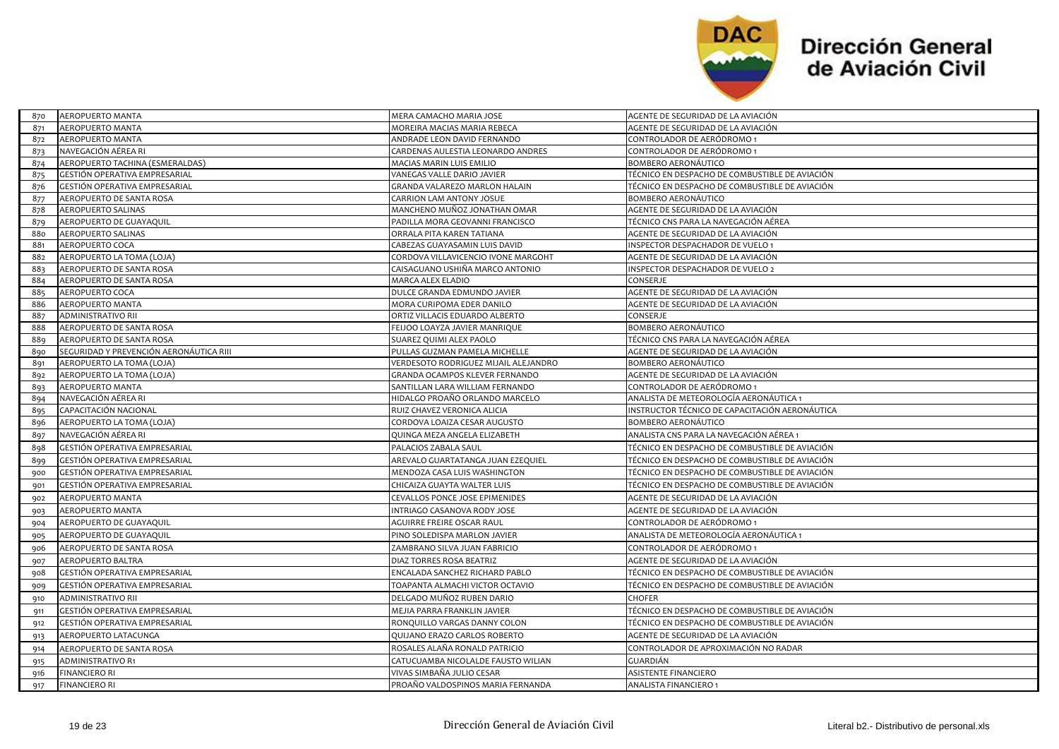

| 870 | <b>AEROPUERTO MANTA</b>                 | MERA CAMACHO MARIA JOSE              | AGENTE DE SEGURIDAD DE LA AVIACIÓN             |
|-----|-----------------------------------------|--------------------------------------|------------------------------------------------|
| 871 | <b>AEROPUERTO MANTA</b>                 | MOREIRA MACIAS MARIA REBECA          | AGENTE DE SEGURIDAD DE LA AVIACIÓN             |
| 872 | <b>AEROPUERTO MANTA</b>                 | ANDRADE LEON DAVID FERNANDO          | CONTROLADOR DE AERÓDROMO 1                     |
| 873 | NAVEGACIÓN AÉREA RI                     | CARDENAS AULESTIA LEONARDO ANDRES    | CONTROLADOR DE AERÓDROMO 1                     |
| 874 | AEROPUERTO TACHINA (ESMERALDAS)         | MACIAS MARIN LUIS EMILIO             | BOMBERO AERONÁUTICO                            |
| 875 | GESTIÓN OPERATIVA EMPRESARIAL           | VANEGAS VALLE DARIO JAVIER           | TÉCNICO EN DESPACHO DE COMBUSTIBLE DE AVIACIÓN |
| 876 | GESTIÓN OPERATIVA EMPRESARIAL           | GRANDA VALAREZO MARLON HALAIN        | TÉCNICO EN DESPACHO DE COMBUSTIBLE DE AVIACIÓN |
| 877 | AEROPUERTO DE SANTA ROSA                | CARRION LAM ANTONY JOSUE             | <b>BOMBERO AERONÁUTICO</b>                     |
| 878 | AEROPUERTO SALINAS                      | MANCHENO MUÑOZ JONATHAN OMAR         | AGENTE DE SEGURIDAD DE LA AVIACIÓN             |
| 879 | AEROPUERTO DE GUAYAQUIL                 | PADILLA MORA GEOVANNI FRANCISCO      | TÉCNICO CNS PARA LA NAVEGACIÓN AÉREA           |
| 880 | <b>AEROPUERTO SALINAS</b>               | ORRALA PITA KAREN TATIANA            | AGENTE DE SEGURIDAD DE LA AVIACIÓN             |
| 881 | AEROPUERTO COCA                         | CABEZAS GUAYASAMIN LUIS DAVID        | INSPECTOR DESPACHADOR DE VUELO 1               |
| 882 | AEROPUERTO LA TOMA (LOJA)               | CORDOVA VILLAVICENCIO IVONE MARGOHT  | AGENTE DE SEGURIDAD DE LA AVIACIÓN             |
| 883 | AEROPUERTO DE SANTA ROSA                | CAISAGUANO USHIÑA MARCO ANTONIO      | INSPECTOR DESPACHADOR DE VUELO 2               |
| 884 | AEROPUERTO DE SANTA ROSA                | MARCA ALEX ELADIO                    | CONSERJE                                       |
| 885 | AEROPUERTO COCA                         | DULCE GRANDA EDMUNDO JAVIER          | AGENTE DE SEGURIDAD DE LA AVIACIÓN             |
| 886 | AEROPUERTO MANTA                        | MORA CURIPOMA EDER DANILO            | AGENTE DE SEGURIDAD DE LA AVIACIÓN             |
| 887 | ADMINISTRATIVO RII                      | ORTIZ VILLACIS EDUARDO ALBERTO       | CONSERJE                                       |
| 888 | AEROPUERTO DE SANTA ROSA                | FEIJOO LOAYZA JAVIER MANRIQUE        | BOMBERO AERONÁUTICO                            |
| 889 | AEROPUERTO DE SANTA ROSA                | SUAREZ QUIMI ALEX PAOLO              | TÉCNICO CNS PARA LA NAVEGACIÓN AÉREA           |
| 890 | SEGURIDAD Y PREVENCIÓN AERONÁUTICA RIII | PULLAS GUZMAN PAMELA MICHELLE        | AGENTE DE SEGURIDAD DE LA AVIACIÓN             |
| 891 | AEROPUERTO LA TOMA (LOJA)               | VERDESOTO RODRIGUEZ MIJAIL ALEJANDRO | BOMBERO AERONÁUTICO                            |
| 892 | AEROPUERTO LA TOMA (LOJA)               | GRANDA OCAMPOS KLEVER FERNANDO       | AGENTE DE SEGURIDAD DE LA AVIACIÓN             |
| 893 | <b>AEROPUERTO MANTA</b>                 | SANTILLAN LARA WILLIAM FERNANDO      | CONTROLADOR DE AERÓDROMO 1                     |
| 894 | NAVEGACIÓN AÉREA RI                     | HIDALGO PROAÑO ORLANDO MARCELO       | ANALISTA DE METEOROLOGÍA AERONÁUTICA 1         |
| 895 | CAPACITACIÓN NACIONAL                   | RUIZ CHAVEZ VERONICA ALICIA          | INSTRUCTOR TÉCNICO DE CAPACITACIÓN AERONÁUTICA |
| 896 | AEROPUERTO LA TOMA (LOJA)               | CORDOVA LOAIZA CESAR AUGUSTO         | BOMBERO AERONÁUTICO                            |
| 897 | NAVEGACIÓN AÉREA RI                     | QUINGA MEZA ANGELA ELIZABETH         | ANALISTA CNS PARA LA NAVEGACIÓN AÉREA 1        |
| 898 | GESTIÓN OPERATIVA EMPRESARIAL           | PALACIOS ZABALA SAUL                 | TÉCNICO EN DESPACHO DE COMBUSTIBLE DE AVIACIÓN |
| 899 | GESTIÓN OPERATIVA EMPRESARIAL           | AREVALO GUARTATANGA JUAN EZEQUIEL    | TÉCNICO EN DESPACHO DE COMBUSTIBLE DE AVIACIÓN |
| 900 | GESTIÓN OPERATIVA EMPRESARIAL           | MENDOZA CASA LUIS WASHINGTON         | TÉCNICO EN DESPACHO DE COMBUSTIBLE DE AVIACIÓN |
| 901 | GESTIÓN OPERATIVA EMPRESARIAL           | CHICAIZA GUAYTA WALTER LUIS          | TÉCNICO EN DESPACHO DE COMBUSTIBLE DE AVIACIÓN |
| 902 | AEROPUERTO MANTA                        | CEVALLOS PONCE JOSE EPIMENIDES       | AGENTE DE SEGURIDAD DE LA AVIACIÓN             |
| 903 | AEROPUERTO MANTA                        | INTRIAGO CASANOVA RODY JOSE          | AGENTE DE SEGURIDAD DE LA AVIACIÓN             |
| 904 | AEROPUERTO DE GUAYAQUIL                 | AGUIRRE FREIRE OSCAR RAUL            | CONTROLADOR DE AERÓDROMO 1                     |
| 905 | AEROPUERTO DE GUAYAQUIL                 | PINO SOLEDISPA MARLON JAVIER         | ANALISTA DE METEOROLOGÍA AERONÁUTICA 1         |
| 906 | AEROPUERTO DE SANTA ROSA                | ZAMBRANO SILVA JUAN FABRICIO         | CONTROLADOR DE AERÓDROMO 1                     |
| 907 | AEROPUERTO BALTRA                       | DIAZ TORRES ROSA BEATRIZ             | AGENTE DE SEGURIDAD DE LA AVIACIÓN             |
| 908 | GESTIÓN OPERATIVA EMPRESARIAL           | ENCALADA SANCHEZ RICHARD PABLO       | TÉCNICO EN DESPACHO DE COMBUSTIBLE DE AVIACIÓN |
| 909 | GESTIÓN OPERATIVA EMPRESARIAL           | TOAPANTA ALMACHI VICTOR OCTAVIO      | TÉCNICO EN DESPACHO DE COMBUSTIBLE DE AVIACIÓN |
| 910 | <b>ADMINISTRATIVO RII</b>               | DELGADO MUÑOZ RUBEN DARIO            | CHOFER                                         |
| 911 | GESTIÓN OPERATIVA EMPRESARIAL           | MEJIA PARRA FRANKLIN JAVIER          | TÉCNICO EN DESPACHO DE COMBUSTIBLE DE AVIACIÓN |
| 912 | GESTIÓN OPERATIVA EMPRESARIAL           | RONQUILLO VARGAS DANNY COLON         | TÉCNICO EN DESPACHO DE COMBUSTIBLE DE AVIACIÓN |
| 913 | AEROPUERTO LATACUNGA                    | QUIJANO ERAZO CARLOS ROBERTO         | AGENTE DE SEGURIDAD DE LA AVIACIÓN             |
| 914 | AEROPUERTO DE SANTA ROSA                | ROSALES ALAÑA RONALD PATRICIO        | CONTROLADOR DE APROXIMACIÓN NO RADAR           |
| 915 | ADMINISTRATIVO R1                       | CATUCUAMBA NICOLALDE FAUSTO WILIAN   | GUARDIÁN                                       |
| 916 | <b>FINANCIERO RI</b>                    | VIVAS SIMBAÑA JULIO CESAR            | <b>ASISTENTE FINANCIERO</b>                    |
| 917 | <b>FINANCIERO RI</b>                    | PROAÑO VALDOSPINOS MARIA FERNANDA    | <b>ANALISTA FINANCIERO 1</b>                   |
|     |                                         |                                      |                                                |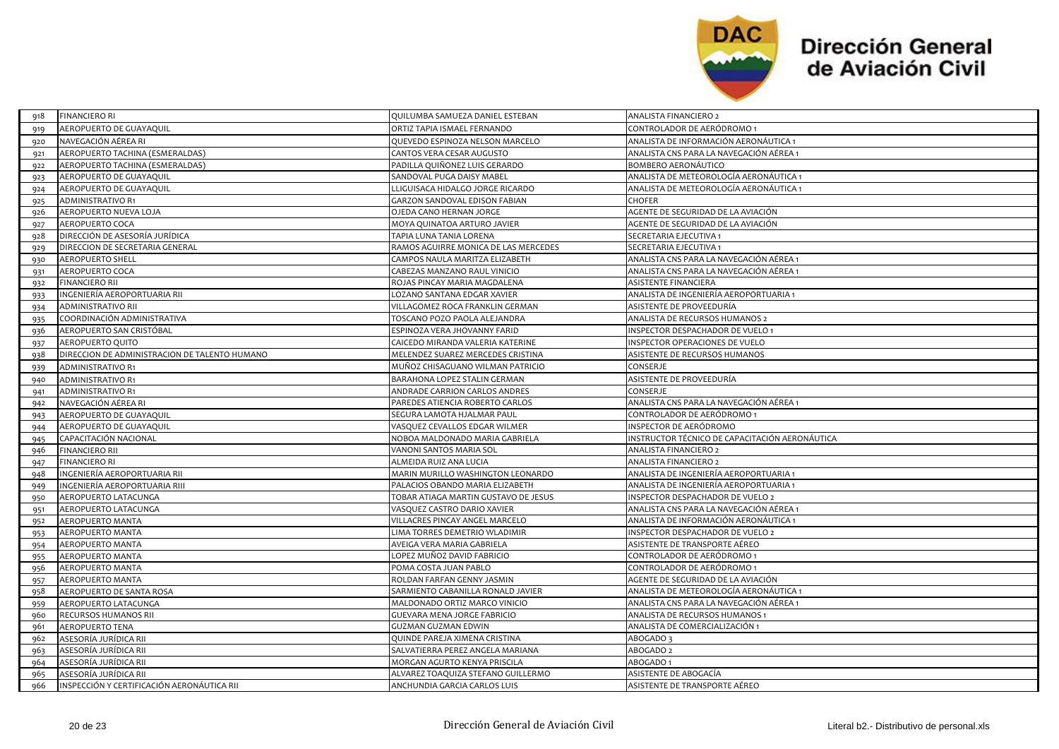

| 918        | <b>FINANCIERO RI</b>                          | QUILUMBA SAMUEZA DANIEL ESTEBAN                             | ANALISTA FINANCIERO 2                                             |
|------------|-----------------------------------------------|-------------------------------------------------------------|-------------------------------------------------------------------|
| 919        | AEROPUERTO DE GUAYAQUIL                       | ORTIZ TAPIA ISMAEL FERNANDO                                 | CONTROLADOR DE AERÓDROMO 1                                        |
| 920        | NAVEGACIÓN AÉREA RI                           | QUEVEDO ESPINOZA NELSON MARCELO                             | ANALISTA DE INFORMACIÓN AERONÁUTICA 1                             |
| 921        | AEROPUERTO TACHINA (ESMERALDAS)               | CANTOS VERA CESAR AUGUSTO                                   | ANALISTA CNS PARA LA NAVEGACIÓN AÉREA 1                           |
| 922        | AEROPUERTO TACHINA (ESMERALDAS)               | PADILLA QUIÑONEZ LUIS GERARDO                               | BOMBERO AERONÁUTICO                                               |
| 923        | AEROPUERTO DE GUAYAQUIL                       | SANDOVAL PUGA DAISY MABEL                                   | ANALISTA DE METEOROLOGÍA AERONÁUTICA 1                            |
| 924        | AEROPUERTO DE GUAYAQUIL                       | LLIGUISACA HIDALGO JORGE RICARDO                            | ANALISTA DE METEOROLOGÍA AERONÁUTICA 1                            |
| 925        | <b>ADMINISTRATIVO R1</b>                      | GARZON SANDOVAL EDISON FABIAN                               | <b>CHOFER</b>                                                     |
| 926        | AEROPUERTO NUEVA LOJA                         | OJEDA CANO HERNAN JORGE                                     | AGENTE DE SEGURIDAD DE LA AVIACIÓN                                |
| 927        | AEROPUERTO COCA                               | MOYA QUINATOA ARTURO JAVIER                                 | AGENTE DE SEGURIDAD DE LA AVIACIÓN                                |
| 928        | DIRECCIÓN DE ASESORÍA JURÍDICA                | TAPIA LUNA TANIA LORENA                                     | SECRETARIA EJECUTIVA 1                                            |
| 929        | DIRECCION DE SECRETARIA GENERAL               | RAMOS AGUIRRE MONICA DE LAS MERCEDES                        | SECRETARIA EJECUTIVA 1                                            |
| 930        | <b>AEROPUERTO SHELL</b>                       | CAMPOS NAULA MARITZA ELIZABETH                              | ANALISTA CNS PARA LA NAVEGACIÓN AÉREA 1                           |
| 931        | AEROPUERTO COCA                               | CABEZAS MANZANO RAUL VINICIO                                | ANALISTA CNS PARA LA NAVEGACIÓN AÉREA 1                           |
| 932        | <b>FINANCIERO RII</b>                         | ROJAS PINCAY MARIA MAGDALENA                                | ASISTENTE FINANCIERA                                              |
| 933        | INGENIERÍA AEROPORTUARIA RII                  | LOZANO SANTANA EDGAR XAVIER                                 | ANALISTA DE INGENIERÍA AEROPORTUARIA 1                            |
| 934        | <b>ADMINISTRATIVO RII</b>                     | VILLAGOMEZ ROCA FRANKLIN GERMAN                             | ASISTENTE DE PROVEEDURÍA                                          |
| 935        | COORDINACIÓN ADMINISTRATIVA                   | TOSCANO POZO PAOLA ALEJANDRA                                | ANALISTA DE RECURSOS HUMANOS 2                                    |
| 936        | AEROPUERTO SAN CRISTÓBAL                      | ESPINOZA VERA JHOVANNY FARID                                | INSPECTOR DESPACHADOR DE VUELO 1                                  |
| 937        | AEROPUERTO QUITO                              | CAICEDO MIRANDA VALERIA KATERINE                            | INSPECTOR OPERACIONES DE VUELO                                    |
| 938        | DIRECCION DE ADMINISTRACION DE TALENTO HUMANO | MELENDEZ SUAREZ MERCEDES CRISTINA                           | ASISTENTE DE RECURSOS HUMANOS                                     |
| 939        | ADMINISTRATIVO R1                             | MUÑOZ CHISAGUANO WILMAN PATRICIO                            | CONSERJE                                                          |
| 940        | <b>ADMINISTRATIVO R1</b>                      | BARAHONA LOPEZ STALIN GERMAN                                | ASISTENTE DE PROVEEDURÍA                                          |
| 941        | <b>ADMINISTRATIVO R1</b>                      | ANDRADE CARRION CARLOS ANDRES                               | CONSERJE                                                          |
| 942        | NAVEGACIÓN AÉREA RI                           | PAREDES ATIENCIA ROBERTO CARLOS                             | ANALISTA CNS PARA LA NAVEGACIÓN AÉREA 1                           |
| 943        | AEROPUERTO DE GUAYAQUIL                       | SEGURA LAMOTA HJALMAR PAUL                                  | CONTROLADOR DE AERÓDROMO 1                                        |
| 944        | AEROPUERTO DE GUAYAQUIL                       | VASQUEZ CEVALLOS EDGAR WILMER                               | INSPECTOR DE AERÓDROMO                                            |
| 945        | CAPACITACIÓN NACIONAL                         | NOBOA MALDONADO MARIA GABRIELA                              | INSTRUCTOR TÉCNICO DE CAPACITACIÓN AERONÁUTICA                    |
| 946        | <b>FINANCIERO RII</b>                         | VANONI SANTOS MARIA SOL                                     | <b>ANALISTA FINANCIERO 2</b>                                      |
| 947        | <b>FINANCIERO RI</b>                          | ALMEIDA RUIZ ANA LUCIA                                      | ANALISTA FINANCIERO 2                                             |
| 948        | INGENIERÍA AEROPORTUARIA RII                  | MARIN MURILLO WASHINGTON LEONARDO                           | ANALISTA DE INGENIERÍA AEROPORTUARIA 1                            |
| 949        | INGENIERÍA AEROPORTUARIA RIII                 | PALACIOS OBANDO MARIA ELIZABETH                             | ANALISTA DE INGENIERÍA AEROPORTUARIA 1                            |
| 950        | AEROPUERTO LATACUNGA                          | TOBAR ATIAGA MARTIN GUSTAVO DE JESUS                        | INSPECTOR DESPACHADOR DE VUELO 2                                  |
| 951        | AEROPUERTO LATACUNGA                          | VASQUEZ CASTRO DARIO XAVIER                                 | ANALISTA CNS PARA LA NAVEGACIÓN AÉREA 1                           |
| 952        | <b>AEROPUERTO MANTA</b>                       | VILLACRES PINCAY ANGEL MARCELO                              | ANALISTA DE INFORMACIÓN AERONÁUTICA 1                             |
| 953        | AEROPUERTO MANTA<br><b>AEROPUERTO MANTA</b>   | LIMA TORRES DEMETRIO WLADIMIR<br>AVEIGA VERA MARIA GABRIELA | INSPECTOR DESPACHADOR DE VUELO 2<br>ASISTENTE DE TRANSPORTE AÉREO |
| 954        | <b>AEROPUERTO MANTA</b>                       | LOPEZ MUÑOZ DAVID FABRICIO                                  | CONTROLADOR DE AERÓDROMO 1                                        |
| 955<br>956 | <b>AEROPUERTO MANTA</b>                       | POMA COSTA JUAN PABLO                                       | CONTROLADOR DE AERÓDROMO 1                                        |
| 957        | <b>AEROPUERTO MANTA</b>                       | ROLDAN FARFAN GENNY JASMIN                                  | AGENTE DE SEGURIDAD DE LA AVIACIÓN                                |
| 958        | AEROPUERTO DE SANTA ROSA                      | SARMIENTO CABANILLA RONALD JAVIER                           | ANALISTA DE METEOROLOGÍA AERONÁUTICA 1                            |
| 959        | AEROPUERTO LATACUNGA                          | MALDONADO ORTIZ MARCO VINICIO                               | ANALISTA CNS PARA LA NAVEGACIÓN AÉREA 1                           |
| 960        | RECURSOS HUMANOS RII                          | GUEVARA MENA JORGE FABRICIO                                 | ANALISTA DE RECURSOS HUMANOS 1                                    |
| 961        | <b>AEROPUERTO TENA</b>                        | <b>GUZMAN GUZMAN EDWIN</b>                                  | ANALISTA DE COMERCIALIZACIÓN 1                                    |
| 962        | ASESORÍA JURÍDICA RII                         | QUINDE PAREJA XIMENA CRISTINA                               | <b>ABOGADO3</b>                                                   |
| 963        | ASESORÍA JURÍDICA RII                         | SALVATIERRA PEREZ ANGELA MARIANA                            | ABOGADO 2                                                         |
| 964        | ASESORÍA JURÍDICA RII                         | MORGAN AGURTO KENYA PRISCILA                                | ABOGADO 1                                                         |
| 965        | ASESORÍA JURÍDICA RII                         | ALVAREZ TOAQUIZA STEFANO GUILLERMO                          | ASISTENTE DE ABOGACÍA                                             |
| 966        | INSPECCIÓN Y CERTIFICACIÓN AERONÁUTICA RII    | ANCHUNDIA GARCIA CARLOS LUIS                                | ASISTENTE DE TRANSPORTE AÉREO                                     |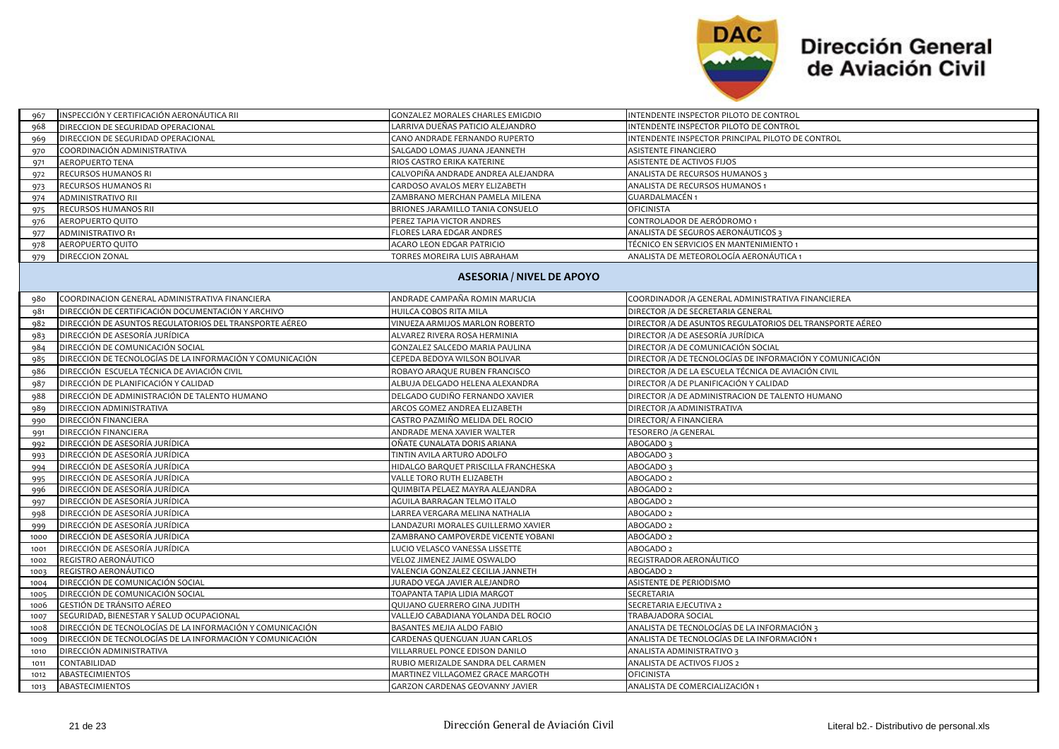

| 967                              | INSPECCIÓN Y CERTIFICACIÓN AERONÁUTICA RII         | GONZALEZ MORALES CHARLES EMIGDIO   | INTENDENTE INSPECTOR PILOTO DE CONTROL             |
|----------------------------------|----------------------------------------------------|------------------------------------|----------------------------------------------------|
| 968                              | DIRECCION DE SEGURIDAD OPERACIONAL                 | LARRIVA DUEÑAS PATICIO ALEJANDRO   | INTENDENTE INSPECTOR PILOTO DE CONTROL             |
| 969                              | DIRECCION DE SEGURIDAD OPERACIONAL                 | CANO ANDRADE FERNANDO RUPERTO      | INTENDENTE INSPECTOR PRINCIPAL PILOTO DE CONTROL   |
| 970                              | COORDINACIÓN ADMINISTRATIVA                        | SALGADO LOMAS JUANA JEANNETH       | ASISTENTE FINANCIERO                               |
| 971                              | <b>AEROPUERTO TENA</b>                             | RIOS CASTRO ERIKA KATERINE         | ASISTENTE DE ACTIVOS FIJOS                         |
| 972                              | <b>RECURSOS HUMANOS RI</b>                         | CALVOPIÑA ANDRADE ANDREA ALEJANDRA | ANALISTA DE RECURSOS HUMANOS 3                     |
| 973                              | <b>RECURSOS HUMANOS RI</b>                         | CARDOSO AVALOS MERY ELIZABETH      | ANALISTA DE RECURSOS HUMANOS 1                     |
| 974                              | ADMINISTRATIVO RII                                 | ZAMBRANO MERCHAN PAMELA MILENA     | GUARDALMACÉN 1                                     |
| 975                              | <b>RECURSOS HUMANOS RII</b>                        | BRIONES JARAMILLO TANIA CONSUELO   | OFICINISTA                                         |
| 976                              | AEROPUERTO QUITO                                   | PEREZ TAPIA VICTOR ANDRES          | CONTROLADOR DE AERÓDROMO 1                         |
| 977                              | ADMINISTRATIVO R1                                  | FLORES LARA EDGAR ANDRES           | ANALISTA DE SEGUROS AERONÁUTICOS 3                 |
| 978                              | AEROPUERTO QUITO                                   | ACARO LEON EDGAR PATRICIO          | TÉCNICO EN SERVICIOS EN MANTENIMIENTO 1            |
| 979                              | <b>DIRECCION ZONAL</b>                             | TORRES MOREIRA LUIS ABRAHAM        | ANALISTA DE METEOROLOGÍA AERONÁUTICA 1             |
| <b>ASESORIA / NIVEL DE APOYO</b> |                                                    |                                    |                                                    |
| 980                              | COORDINACION GENERAL ADMINISTRATIVA FINANCIERA     | ANDRADE CAMPAÑA ROMIN MARUCIA      | COORDINADOR / A GENERAL ADMINISTRATIVA FINANCIEREA |
| 981                              | DIRECCIÓN DE CERTIFICACIÓN DOCUMENTACIÓN Y ARCHIVO | <b>HUILCA COBOS RITA MILA</b>      | DIRECTOR /A DE SECRETARIA GENERAL                  |

| 981  | DIRECCIÓN DE CERTIFICACIÓN DOCUMENTACIÓN Y ARCHIVO        | HUILCA COBOS RITA MILA               | DIRECTOR / A DE SECRETARIA GENERAL                        |
|------|-----------------------------------------------------------|--------------------------------------|-----------------------------------------------------------|
| 982  | DIRECCIÓN DE ASUNTOS REGULATORIOS DEL TRANSPORTE AÉREO    | VINUEZA ARMIJOS MARLON ROBERTO       | DIRECTOR /A DE ASUNTOS REGULATORIOS DEL TRANSPORTE AÉREO  |
| 983  | DIRECCIÓN DE ASESORÍA JURÍDICA                            | ALVAREZ RIVERA ROSA HERMINIA         | DIRECTOR /A DE ASESORÍA JURÍDICA                          |
| 984  | DIRECCIÓN DE COMUNICACIÓN SOCIAL                          | GONZALEZ SALCEDO MARIA PAULINA       | DIRECTOR / A DE COMUNICACIÓN SOCIAL                       |
| 985  | DIRECCIÓN DE TECNOLOGÍAS DE LA INFORMACIÓN Y COMUNICACIÓN | CEPEDA BEDOYA WILSON BOLIVAR         | DIRECTOR / A DE TECNOLOGÍAS DE INFORMACIÓN Y COMUNICACIÓN |
| 986  | DIRECCIÓN ESCUELA TÉCNICA DE AVIACIÓN CIVIL               | ROBAYO ARAQUE RUBEN FRANCISCO        | DIRECTOR /A DE LA ESCUELA TÉCNICA DE AVIACIÓN CIVIL       |
| 987  | DIRECCIÓN DE PLANIFICACIÓN Y CALIDAD                      | ALBUJA DELGADO HELENA ALEXANDRA      | DIRECTOR /A DE PLANIFICACIÓN Y CALIDAD                    |
| 988  | DIRECCIÓN DE ADMINISTRACIÓN DE TALENTO HUMANO             | DELGADO GUDIÑO FERNANDO XAVIER       | DIRECTOR / A DE ADMINISTRACION DE TALENTO HUMANO          |
| 989  | DIRECCION ADMINISTRATIVA                                  | ARCOS GOMEZ ANDREA ELIZABETH         | DIRECTOR / A ADMINISTRATIVA                               |
| 990  | DIRECCIÓN FINANCIERA                                      | CASTRO PAZMIÑO MELIDA DEL ROCIO      | DIRECTOR/ A FINANCIERA                                    |
| 991  | DIRECCIÓN FINANCIERA                                      | ANDRADE MENA XAVIER WALTER           | <b>TESORERO /A GENERAL</b>                                |
| 992  | DIRECCIÓN DE ASESORÍA JURÍDICA                            | OÑATE CUNALATA DORIS ARIANA          | <b>ABOGADO3</b>                                           |
| 993  | DIRECCIÓN DE ASESORÍA JURÍDICA                            | TINTIN AVILA ARTURO ADOLFO           | ABOGADO 3                                                 |
| 994  | DIRECCIÓN DE ASESORÍA JURÍDICA                            | HIDALGO BARQUET PRISCILLA FRANCHESKA | <b>ABOGADO3</b>                                           |
| 995  | DIRECCIÓN DE ASESORÍA JURÍDICA                            | VALLE TORO RUTH ELIZABETH            | ABOGADO 2                                                 |
| 996  | DIRECCIÓN DE ASESORÍA JURÍDICA                            | QUIMBITA PELAEZ MAYRA ALEJANDRA      | ABOGADO 2                                                 |
| 997  | DIRECCIÓN DE ASESORÍA JURÍDICA                            | AGUILA BARRAGAN TELMO ITALO          | ABOGADO 2                                                 |
| 998  | DIRECCIÓN DE ASESORÍA JURÍDICA                            | LARREA VERGARA MELINA NATHALIA       | ABOGADO 2                                                 |
| 999  | DIRECCIÓN DE ASESORÍA JURÍDICA                            | LANDAZURI MORALES GUILLERMO XAVIER   | ABOGADO 2                                                 |
| 1000 | DIRECCIÓN DE ASESORÍA JURÍDICA                            | ZAMBRANO CAMPOVERDE VICENTE YOBANI   | ABOGADO 2                                                 |
| 1001 | DIRECCIÓN DE ASESORÍA JURÍDICA                            | LUCIO VELASCO VANESSA LISSETTE       | ABOGADO 2                                                 |
| 1002 | REGISTRO AERONÁUTICO                                      | VELOZ JIMENEZ JAIME OSWALDO          | REGISTRADOR AERONÁUTICO                                   |
| 1003 | REGISTRO AERONÁUTICO                                      | VALENCIA GONZALEZ CECILIA JANNETH    | ABOGADO 2                                                 |
| 1004 | DIRECCIÓN DE COMUNICACIÓN SOCIAL                          | JURADO VEGA JAVIER ALEJANDRO         | ASISTENTE DE PERIODISMO                                   |
| 1005 | DIRECCIÓN DE COMUNICACIÓN SOCIAL                          | TOAPANTA TAPIA LIDIA MARGOT          | <b>SECRETARIA</b>                                         |
| 1006 | GESTIÓN DE TRÁNSITO AÉREO                                 | QUIJANO GUERRERO GINA JUDITH         | SECRETARIA EJECUTIVA 2                                    |
| 1007 | SEGURIDAD, BIENESTAR Y SALUD OCUPACIONAL                  | VALLEJO CABADIANA YOLANDA DEL ROCIO  | TRABAJADORA SOCIAL                                        |
| 1008 | DIRECCIÓN DE TECNOLOGÍAS DE LA INFORMACIÓN Y COMUNICACIÓN | BASANTES MEJIA ALDO FABIO            | ANALISTA DE TECNOLOGÍAS DE LA INFORMACIÓN 3               |
| 1009 | DIRECCIÓN DE TECNOLOGÍAS DE LA INFORMACIÓN Y COMUNICACIÓN | CARDENAS QUENGUAN JUAN CARLOS        | ANALISTA DE TECNOLOGÍAS DE LA INFORMACIÓN 1               |
| 1010 | DIRECCIÓN ADMINISTRATIVA                                  | VILLARRUEL PONCE EDISON DANILO       | ANALISTA ADMINISTRATIVO 3                                 |
| 1011 | CONTABILIDAD                                              | RUBIO MERIZALDE SANDRA DEL CARMEN    | ANALISTA DE ACTIVOS FIJOS 2                               |
| 1012 | <b>ABASTECIMIENTOS</b>                                    | MARTINEZ VILLAGOMEZ GRACE MARGOTH    | <b>OFICINISTA</b>                                         |
| 1013 | <b>ABASTECIMIENTOS</b>                                    | GARZON CARDENAS GEOVANNY JAVIER      | ANALISTA DE COMERCIALIZACIÓN 1                            |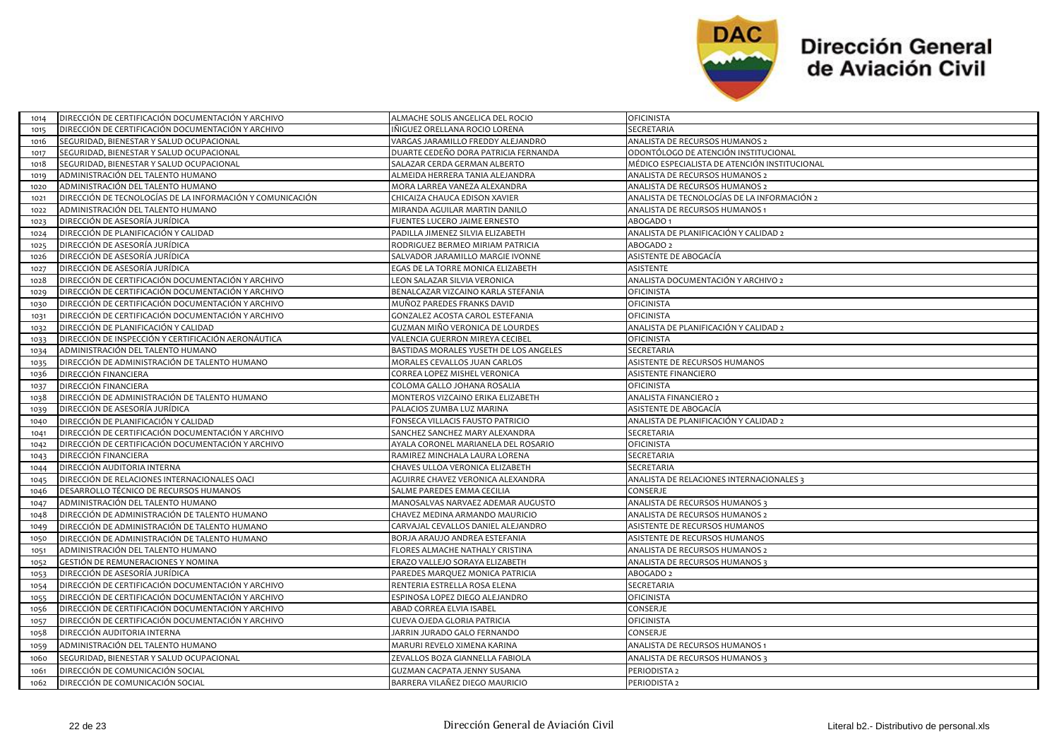

| 1014 | DIRECCIÓN DE CERTIFICACIÓN DOCUMENTACIÓN Y ARCHIVO        | ALMACHE SOLIS ANGELICA DEL ROCIO       | <b>OFICINISTA</b>                             |
|------|-----------------------------------------------------------|----------------------------------------|-----------------------------------------------|
| 1015 | DIRECCIÓN DE CERTIFICACIÓN DOCUMENTACIÓN Y ARCHIVO        | IÑIGUEZ ORELLANA ROCIO LORENA          | SECRETARIA                                    |
| 1016 | SEGURIDAD, BIENESTAR Y SALUD OCUPACIONAL                  | VARGAS JARAMILLO FREDDY ALEJANDRO      | ANALISTA DE RECURSOS HUMANOS 2                |
| 1017 | SEGURIDAD, BIENESTAR Y SALUD OCUPACIONAL                  | DUARTE CEDEÑO DORA PATRICIA FERNANDA   | ODONTÓLOGO DE ATENCIÓN INSTITUCIONAL          |
| 1018 | SEGURIDAD, BIENESTAR Y SALUD OCUPACIONAL                  | SALAZAR CERDA GERMAN ALBERTO           | MÉDICO ESPECIALISTA DE ATENCIÓN INSTITUCIONAL |
| 1019 | ADMINISTRACIÓN DEL TALENTO HUMANO                         | ALMEIDA HERRERA TANIA ALEJANDRA        | ANALISTA DE RECURSOS HUMANOS 2                |
| 1020 | ADMINISTRACIÓN DEL TALENTO HUMANO                         | MORA LARREA VANEZA ALEXANDRA           | ANALISTA DE RECURSOS HUMANOS 2                |
| 1021 | DIRECCIÓN DE TECNOLOGÍAS DE LA INFORMACIÓN Y COMUNICACIÓN | CHICAIZA CHAUCA EDISON XAVIER          | ANALISTA DE TECNOLOGÍAS DE LA INFORMACIÓN 2   |
| 1022 | ADMINISTRACIÓN DEL TALENTO HUMANO                         | MIRANDA AGUILAR MARTIN DANILO          | ANALISTA DE RECURSOS HUMANOS 1                |
| 1023 | DIRECCIÓN DE ASESORÍA JURÍDICA                            | FUENTES LUCERO JAIME ERNESTO           | ABOGADO 1                                     |
| 1024 | DIRECCIÓN DE PLANIFICACIÓN Y CALIDAD                      | PADILLA JIMENEZ SILVIA ELIZABETH       | ANALISTA DE PLANIFICACIÓN Y CALIDAD 2         |
| 1025 | DIRECCIÓN DE ASESORÍA JURÍDICA                            | RODRIGUEZ BERMEO MIRIAM PATRICIA       | ABOGADO 2                                     |
| 1026 | DIRECCIÓN DE ASESORÍA JURÍDICA                            | SALVADOR JARAMILLO MARGIE IVONNE       | ASISTENTE DE ABOGACÍA                         |
| 1027 | DIRECCIÓN DE ASESORÍA JURÍDICA                            | EGAS DE LA TORRE MONICA ELIZABETH      | ASISTENTE                                     |
| 1028 | DIRECCIÓN DE CERTIFICACIÓN DOCUMENTACIÓN Y ARCHIVO        | LEON SALAZAR SILVIA VERONICA           | ANALISTA DOCUMENTACIÓN Y ARCHIVO 2            |
| 1029 | DIRECCIÓN DE CERTIFICACIÓN DOCUMENTACIÓN Y ARCHIVO        | BENALCAZAR VIZCAINO KARLA STEFANIA     | OFICINISTA                                    |
| 1030 | DIRECCIÓN DE CERTIFICACIÓN DOCUMENTACIÓN Y ARCHIVO        | MUÑOZ PAREDES FRANKS DAVID             | OFICINISTA                                    |
| 1031 | DIRECCIÓN DE CERTIFICACIÓN DOCUMENTACIÓN Y ARCHIVO        | GONZALEZ ACOSTA CAROL ESTEFANIA        | <b>OFICINISTA</b>                             |
| 1032 | DIRECCIÓN DE PLANIFICACIÓN Y CALIDAD                      | GUZMAN MIÑO VERONICA DE LOURDES        | ANALISTA DE PLANIFICACIÓN Y CALIDAD 2         |
| 1033 | DIRECCIÓN DE INSPECCIÓN Y CERTIFICACIÓN AERONÁUTICA       | VALENCIA GUERRON MIREYA CECIBEL        | OFICINISTA                                    |
| 1034 | ADMINISTRACIÓN DEL TALENTO HUMANO                         | BASTIDAS MORALES YUSETH DE LOS ANGELES | SECRETARIA                                    |
| 1035 | DIRECCIÓN DE ADMINISTRACIÓN DE TALENTO HUMANO             | MORALES CEVALLOS JUAN CARLOS           | ASISTENTE DE RECURSOS HUMANOS                 |
| 1036 | DIRECCIÓN FINANCIERA                                      | CORREA LOPEZ MISHEL VERONICA           | <b>ASISTENTE FINANCIERO</b>                   |
| 1037 | DIRECCIÓN FINANCIERA                                      | COLOMA GALLO JOHANA ROSALIA            | OFICINISTA                                    |
| 1038 | DIRECCIÓN DE ADMINISTRACIÓN DE TALENTO HUMANO             | MONTEROS VIZCAINO ERIKA ELIZABETH      | <b>ANALISTA FINANCIERO 2</b>                  |
| 1039 | DIRECCIÓN DE ASESORÍA JURÍDICA                            | PALACIOS ZUMBA LUZ MARINA              | ASISTENTE DE ABOGACÍA                         |
| 1040 | DIRECCIÓN DE PLANIFICACIÓN Y CALIDAD                      | FONSECA VILLACIS FAUSTO PATRICIO       | ANALISTA DE PLANIFICACIÓN Y CALIDAD 2         |
| 1041 | DIRECCIÓN DE CERTIFICACIÓN DOCUMENTACIÓN Y ARCHIVO        | SANCHEZ SANCHEZ MARY ALEXANDRA         | SECRETARIA                                    |
| 1042 | DIRECCIÓN DE CERTIFICACIÓN DOCUMENTACIÓN Y ARCHIVO        | AYALA CORONEL MARIANELA DEL ROSARIO    | OFICINISTA                                    |
| 1043 | DIRECCIÓN FINANCIERA                                      | RAMIREZ MINCHALA LAURA LORENA          | SECRETARIA                                    |
| 1044 | DIRECCIÓN AUDITORIA INTERNA                               | CHAVES ULLOA VERONICA ELIZABETH        | SECRETARIA                                    |
| 1045 | DIRECCIÓN DE RELACIONES INTERNACIONALES OACI              | AGUIRRE CHAVEZ VERONICA ALEXANDRA      | ANALISTA DE RELACIONES INTERNACIONALES 3      |
| 1046 | DESARROLLO TÉCNICO DE RECURSOS HUMANOS                    | SALME PAREDES EMMA CECILIA             | CONSERJE                                      |
| 1047 | ADMINISTRACIÓN DEL TALENTO HUMANO                         | MANOSALVAS NARVAEZ ADEMAR AUGUSTO      | ANALISTA DE RECURSOS HUMANOS 3                |
| 1048 | DIRECCIÓN DE ADMINISTRACIÓN DE TALENTO HUMANO             | CHAVEZ MEDINA ARMANDO MAURICIO         | ANALISTA DE RECURSOS HUMANOS 2                |
| 1049 | DIRECCIÓN DE ADMINISTRACIÓN DE TALENTO HUMANO             | CARVAJAL CEVALLOS DANIEL ALEJANDRO     | ASISTENTE DE RECURSOS HUMANOS                 |
| 1050 | DIRECCIÓN DE ADMINISTRACIÓN DE TALENTO HUMANO             | BORJA ARAUJO ANDREA ESTEFANIA          | ASISTENTE DE RECURSOS HUMANOS                 |
| 1051 | ADMINISTRACIÓN DEL TALENTO HUMANO                         | FLORES ALMACHE NATHALY CRISTINA        | ANALISTA DE RECURSOS HUMANOS 2                |
| 1052 | GESTIÓN DE REMUNERACIONES Y NOMINA                        | ERAZO VALLEJO SORAYA ELIZABETH         | ANALISTA DE RECURSOS HUMANOS 3                |
| 1053 | DIRECCIÓN DE ASESORÍA JURÍDICA                            | PAREDES MARQUEZ MONICA PATRICIA        | ABOGADO 2                                     |
| 1054 | DIRECCIÓN DE CERTIFICACIÓN DOCUMENTACIÓN Y ARCHIVO        | RENTERIA ESTRELLA ROSA ELENA           | SECRETARIA                                    |
| 1055 | DIRECCIÓN DE CERTIFICACIÓN DOCUMENTACIÓN Y ARCHIVO        | ESPINOSA LOPEZ DIEGO ALEJANDRO         | OFICINISTA                                    |
| 1056 | DIRECCIÓN DE CERTIFICACIÓN DOCUMENTACIÓN Y ARCHIVO        | ABAD CORREA ELVIA ISABEL               | CONSERJE                                      |
| 1057 | DIRECCIÓN DE CERTIFICACIÓN DOCUMENTACIÓN Y ARCHIVO        | CUEVA OJEDA GLORIA PATRICIA            | OFICINISTA                                    |
| 1058 | DIRECCIÓN AUDITORIA INTERNA                               | JARRIN JURADO GALO FERNANDO            | CONSERJE                                      |
| 1059 | ADMINISTRACIÓN DEL TALENTO HUMANO                         | MARURI REVELO XIMENA KARINA            | ANALISTA DE RECURSOS HUMANOS 1                |
| 1060 | SEGURIDAD, BIENESTAR Y SALUD OCUPACIONAL                  | ZEVALLOS BOZA GIANNELLA FABIOLA        | ANALISTA DE RECURSOS HUMANOS 3                |
| 1061 | DIRECCIÓN DE COMUNICACIÓN SOCIAL                          | GUZMAN CACPATA JENNY SUSANA            | PERIODISTA 2                                  |
|      |                                                           |                                        | PERIODISTA <sub>2</sub>                       |
| 1062 | DIRECCIÓN DE COMUNICACIÓN SOCIAL                          | BARRERA VILAÑEZ DIEGO MAURICIO         |                                               |